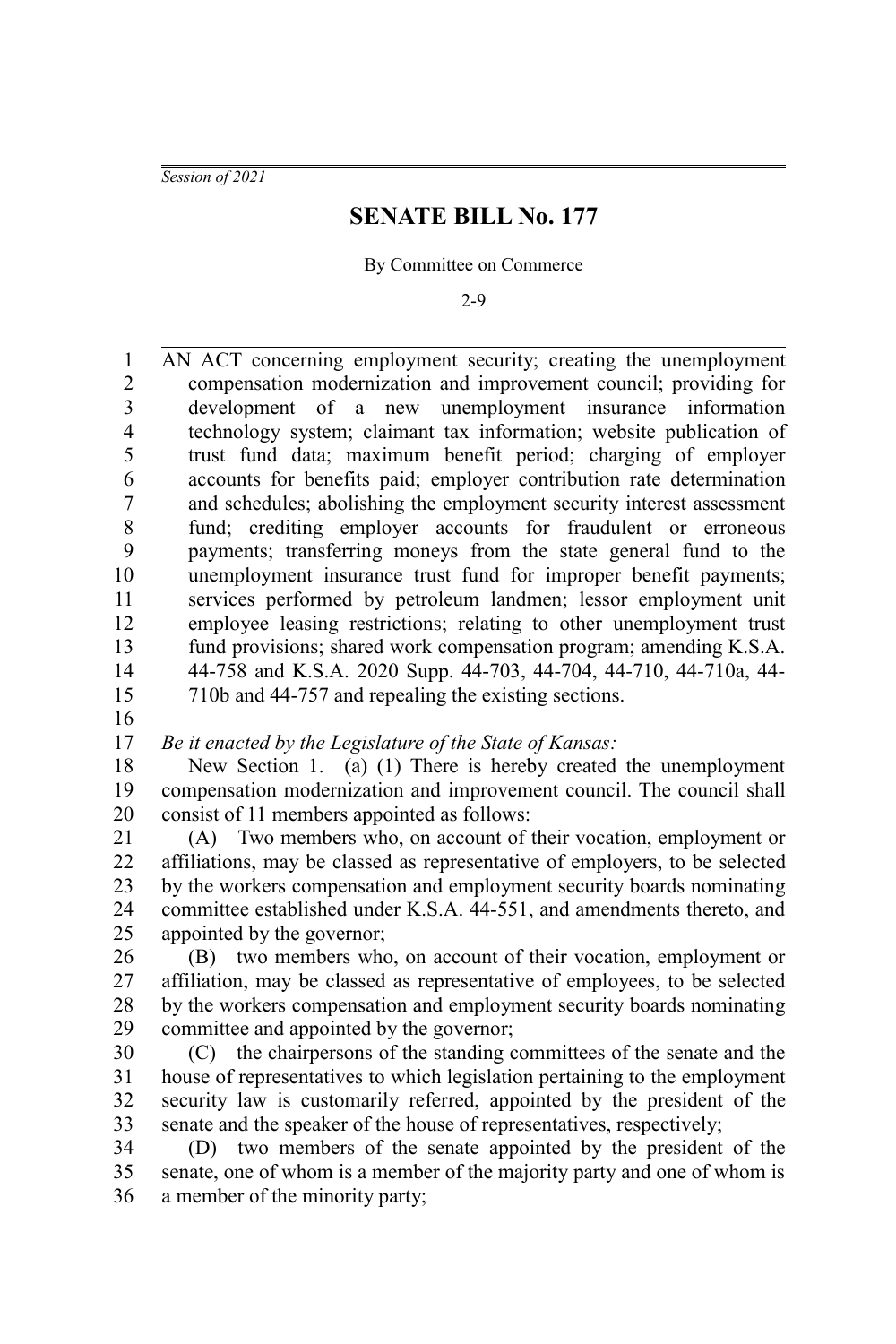*Session of 2021*

### **SENATE BILL No. 177**

By Committee on Commerce

2-9

AN ACT concerning employment security; creating the unemployment compensation modernization and improvement council; providing for development of a new unemployment insurance information technology system; claimant tax information; website publication of trust fund data; maximum benefit period; charging of employer accounts for benefits paid; employer contribution rate determination and schedules; abolishing the employment security interest assessment fund; crediting employer accounts for fraudulent or erroneous payments; transferring moneys from the state general fund to the unemployment insurance trust fund for improper benefit payments; services performed by petroleum landmen; lessor employment unit employee leasing restrictions; relating to other unemployment trust fund provisions; shared work compensation program; amending K.S.A. 44-758 and K.S.A. 2020 Supp. 44-703, 44-704, 44-710, 44-710a, 44- 710b and 44-757 and repealing the existing sections. 1 2 3 4 5 6 7 8 9 10 11 12 13 14 15

16

*Be it enacted by the Legislature of the State of Kansas:* 17

New Section 1. (a) (1) There is hereby created the unemployment compensation modernization and improvement council. The council shall consist of 11 members appointed as follows: 18 19 20

(A) Two members who, on account of their vocation, employment or affiliations, may be classed as representative of employers, to be selected by the workers compensation and employment security boards nominating committee established under K.S.A. 44-551, and amendments thereto, and appointed by the governor; 21 22 23 24 25

(B) two members who, on account of their vocation, employment or affiliation, may be classed as representative of employees, to be selected by the workers compensation and employment security boards nominating committee and appointed by the governor; 26 27 28 29

(C) the chairpersons of the standing committees of the senate and the house of representatives to which legislation pertaining to the employment security law is customarily referred, appointed by the president of the senate and the speaker of the house of representatives, respectively; 30 31 32 33

(D) two members of the senate appointed by the president of the senate, one of whom is a member of the majority party and one of whom is a member of the minority party; 34 35 36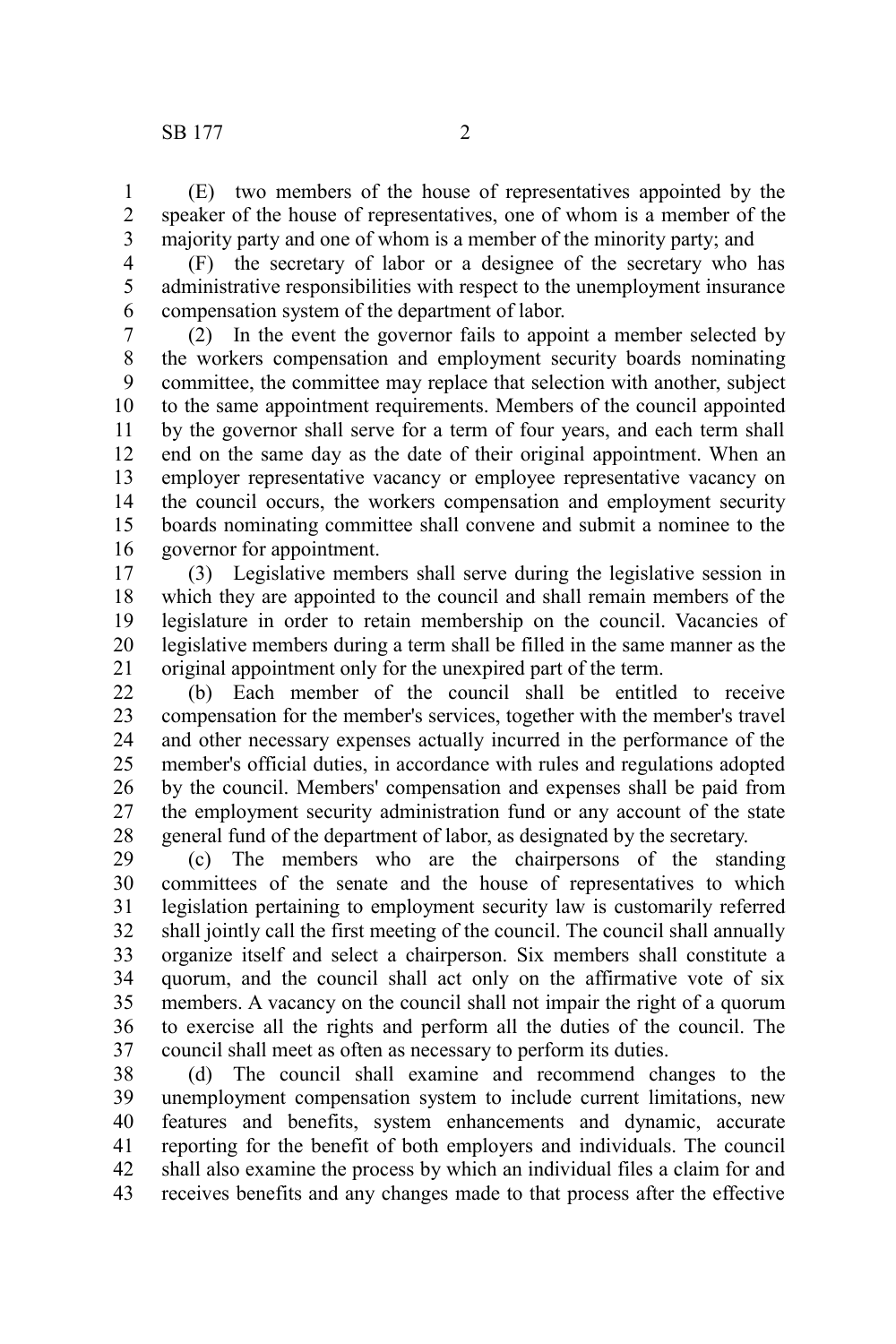(E) two members of the house of representatives appointed by the speaker of the house of representatives, one of whom is a member of the majority party and one of whom is a member of the minority party; and 1 2 3

4 5

6

(F) the secretary of labor or a designee of the secretary who has administrative responsibilities with respect to the unemployment insurance compensation system of the department of labor.

(2) In the event the governor fails to appoint a member selected by the workers compensation and employment security boards nominating committee, the committee may replace that selection with another, subject to the same appointment requirements. Members of the council appointed by the governor shall serve for a term of four years, and each term shall end on the same day as the date of their original appointment. When an employer representative vacancy or employee representative vacancy on the council occurs, the workers compensation and employment security boards nominating committee shall convene and submit a nominee to the governor for appointment. 7 8 9 10 11 12 13 14 15 16

(3) Legislative members shall serve during the legislative session in which they are appointed to the council and shall remain members of the legislature in order to retain membership on the council. Vacancies of legislative members during a term shall be filled in the same manner as the original appointment only for the unexpired part of the term. 17 18 19 20 21

(b) Each member of the council shall be entitled to receive compensation for the member's services, together with the member's travel and other necessary expenses actually incurred in the performance of the member's official duties, in accordance with rules and regulations adopted by the council. Members' compensation and expenses shall be paid from the employment security administration fund or any account of the state general fund of the department of labor, as designated by the secretary.  $22$ 23 24 25 26 27 28

(c) The members who are the chairpersons of the standing committees of the senate and the house of representatives to which legislation pertaining to employment security law is customarily referred shall jointly call the first meeting of the council. The council shall annually organize itself and select a chairperson. Six members shall constitute a quorum, and the council shall act only on the affirmative vote of six members. A vacancy on the council shall not impair the right of a quorum to exercise all the rights and perform all the duties of the council. The council shall meet as often as necessary to perform its duties. 29 30 31 32 33 34 35 36 37

(d) The council shall examine and recommend changes to the unemployment compensation system to include current limitations, new features and benefits, system enhancements and dynamic, accurate reporting for the benefit of both employers and individuals. The council shall also examine the process by which an individual files a claim for and receives benefits and any changes made to that process after the effective 38 39 40 41 42 43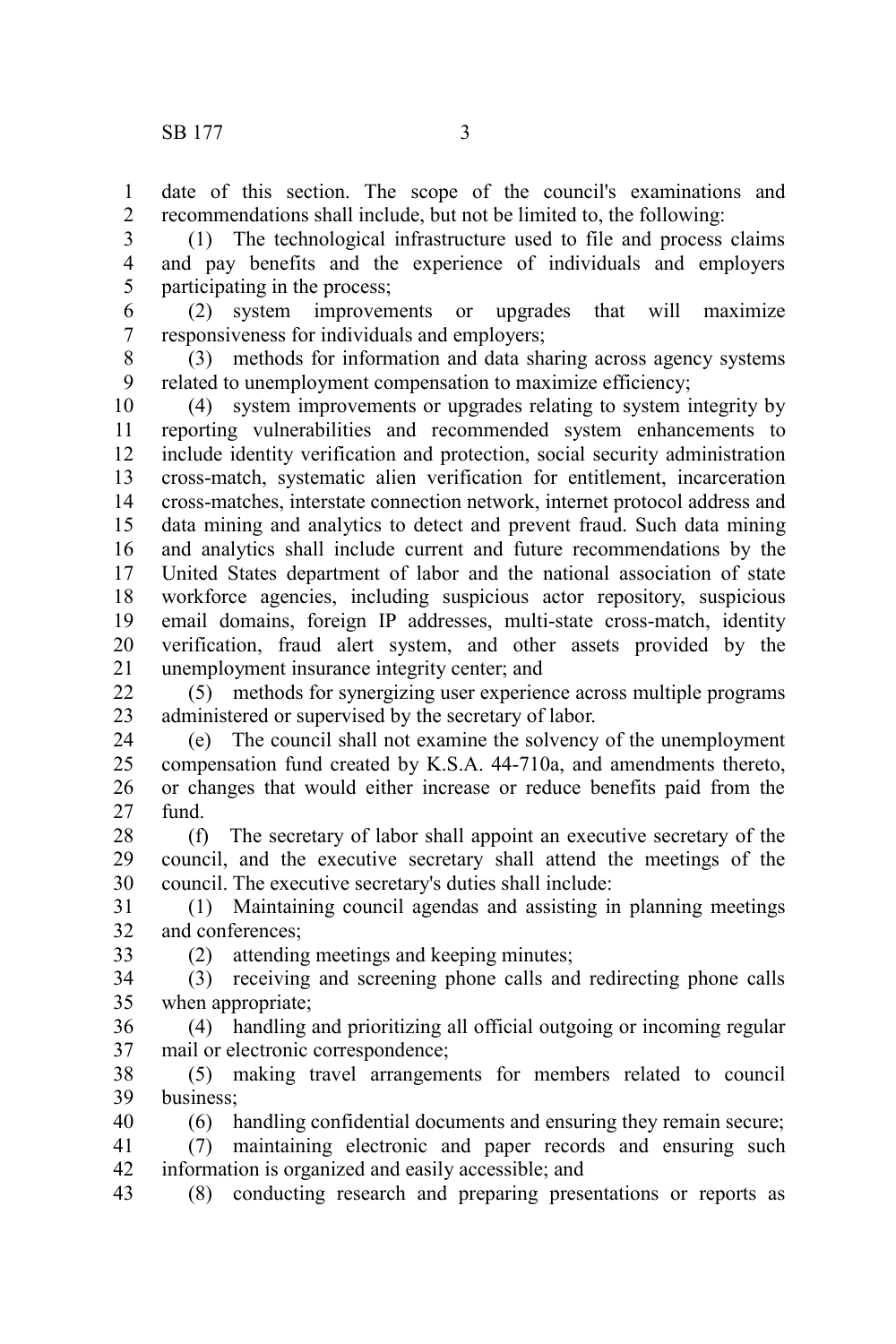date of this section. The scope of the council's examinations and recommendations shall include, but not be limited to, the following: 1 2

(1) The technological infrastructure used to file and process claims and pay benefits and the experience of individuals and employers participating in the process; 3 4 5

(2) system improvements or upgrades that will maximize responsiveness for individuals and employers; 6 7

(3) methods for information and data sharing across agency systems related to unemployment compensation to maximize efficiency; 8 9

(4) system improvements or upgrades relating to system integrity by reporting vulnerabilities and recommended system enhancements to include identity verification and protection, social security administration cross-match, systematic alien verification for entitlement, incarceration cross-matches, interstate connection network, internet protocol address and data mining and analytics to detect and prevent fraud. Such data mining and analytics shall include current and future recommendations by the United States department of labor and the national association of state workforce agencies, including suspicious actor repository, suspicious email domains, foreign IP addresses, multi-state cross-match, identity verification, fraud alert system, and other assets provided by the unemployment insurance integrity center; and 10 11 12 13 14 15 16 17 18 19 20 21

(5) methods for synergizing user experience across multiple programs administered or supervised by the secretary of labor. 22 23

(e) The council shall not examine the solvency of the unemployment compensation fund created by K.S.A. 44-710a, and amendments thereto, or changes that would either increase or reduce benefits paid from the fund. 24 25 26 27

(f) The secretary of labor shall appoint an executive secretary of the council, and the executive secretary shall attend the meetings of the council. The executive secretary's duties shall include: 28 29 30

(1) Maintaining council agendas and assisting in planning meetings and conferences; 31 32

33

(2) attending meetings and keeping minutes;

(3) receiving and screening phone calls and redirecting phone calls when appropriate; 34 35

(4) handling and prioritizing all official outgoing or incoming regular mail or electronic correspondence; 36 37

(5) making travel arrangements for members related to council business; 38 39

(6) handling confidential documents and ensuring they remain secure; 40

(7) maintaining electronic and paper records and ensuring such information is organized and easily accessible; and 41 42

(8) conducting research and preparing presentations or reports as 43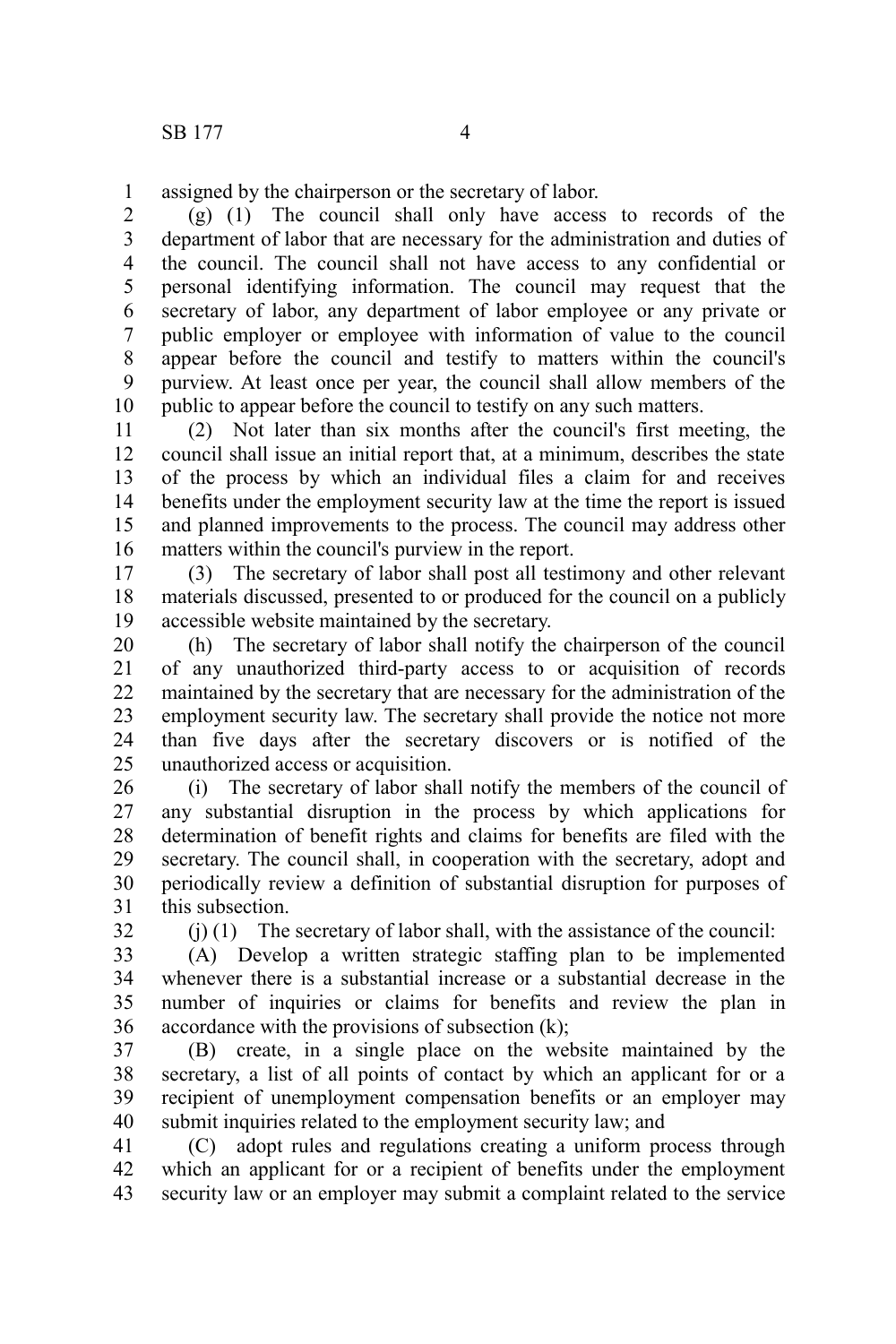assigned by the chairperson or the secretary of labor. 1

(g) (1) The council shall only have access to records of the department of labor that are necessary for the administration and duties of the council. The council shall not have access to any confidential or personal identifying information. The council may request that the secretary of labor, any department of labor employee or any private or public employer or employee with information of value to the council appear before the council and testify to matters within the council's purview. At least once per year, the council shall allow members of the public to appear before the council to testify on any such matters. 2 3 4 5 6 7 8 9 10

(2) Not later than six months after the council's first meeting, the council shall issue an initial report that, at a minimum, describes the state of the process by which an individual files a claim for and receives benefits under the employment security law at the time the report is issued and planned improvements to the process. The council may address other matters within the council's purview in the report. 11 12 13 14 15 16

(3) The secretary of labor shall post all testimony and other relevant materials discussed, presented to or produced for the council on a publicly accessible website maintained by the secretary. 17 18 19

(h) The secretary of labor shall notify the chairperson of the council of any unauthorized third-party access to or acquisition of records maintained by the secretary that are necessary for the administration of the employment security law. The secretary shall provide the notice not more than five days after the secretary discovers or is notified of the unauthorized access or acquisition. 20 21 22 23 24 25

(i) The secretary of labor shall notify the members of the council of any substantial disruption in the process by which applications for determination of benefit rights and claims for benefits are filed with the secretary. The council shall, in cooperation with the secretary, adopt and periodically review a definition of substantial disruption for purposes of this subsection. 26 27 28 29 30 31

32

 $(i)$  (1) The secretary of labor shall, with the assistance of the council:

(A) Develop a written strategic staffing plan to be implemented whenever there is a substantial increase or a substantial decrease in the number of inquiries or claims for benefits and review the plan in accordance with the provisions of subsection (k); 33 34 35 36

(B) create, in a single place on the website maintained by the secretary, a list of all points of contact by which an applicant for or a recipient of unemployment compensation benefits or an employer may submit inquiries related to the employment security law; and 37 38 39 40

(C) adopt rules and regulations creating a uniform process through which an applicant for or a recipient of benefits under the employment security law or an employer may submit a complaint related to the service 41 42 43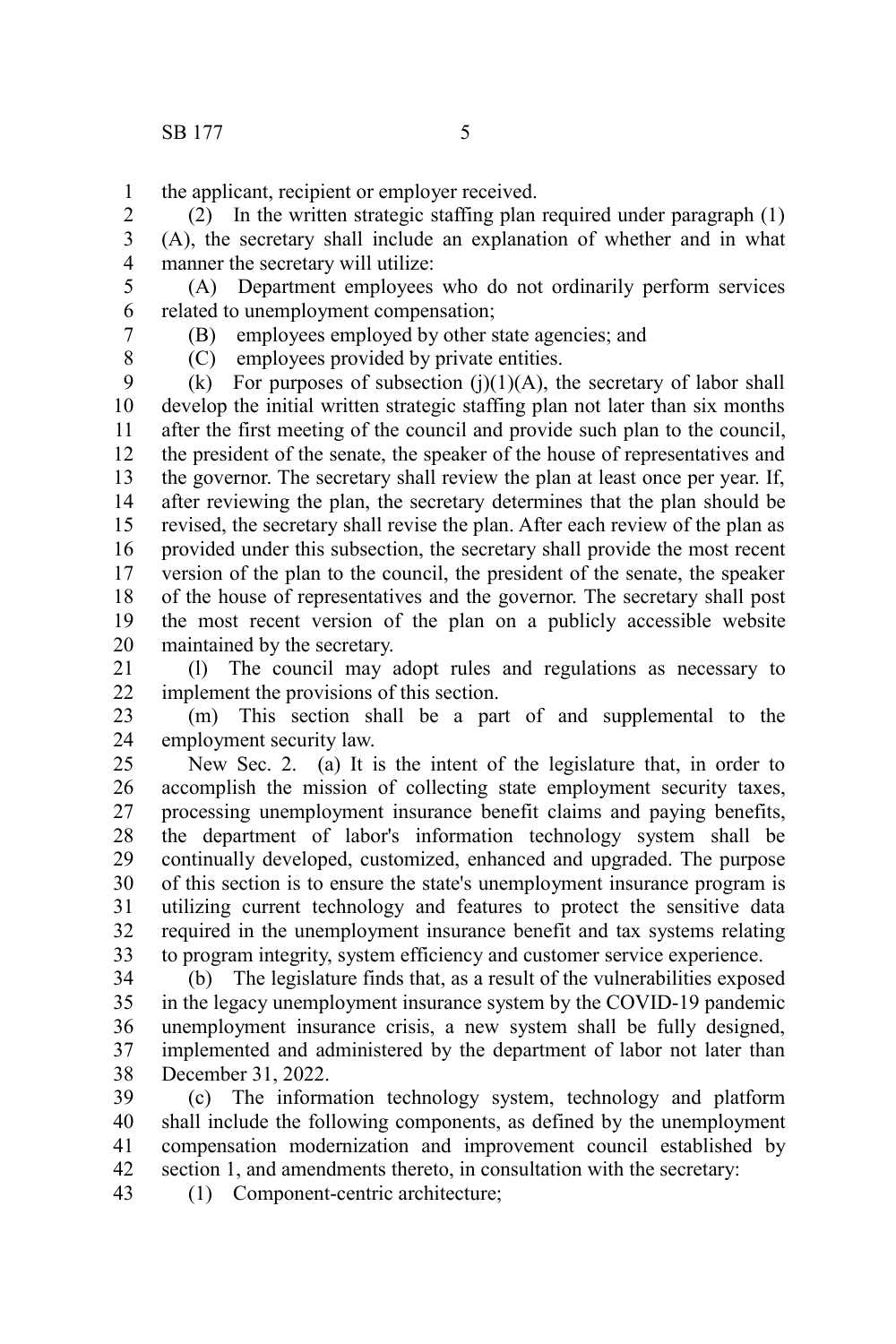the applicant, recipient or employer received. 1

(2) In the written strategic staffing plan required under paragraph (1) (A), the secretary shall include an explanation of whether and in what manner the secretary will utilize: 2 3 4

(A) Department employees who do not ordinarily perform services related to unemployment compensation; 5 6

7 8 (B) employees employed by other state agencies; and

(C) employees provided by private entities.

(k) For purposes of subsection  $(i)(1)(A)$ , the secretary of labor shall develop the initial written strategic staffing plan not later than six months after the first meeting of the council and provide such plan to the council, the president of the senate, the speaker of the house of representatives and the governor. The secretary shall review the plan at least once per year. If, after reviewing the plan, the secretary determines that the plan should be revised, the secretary shall revise the plan. After each review of the plan as provided under this subsection, the secretary shall provide the most recent version of the plan to the council, the president of the senate, the speaker of the house of representatives and the governor. The secretary shall post the most recent version of the plan on a publicly accessible website maintained by the secretary. 9 10 11 12 13 14 15 16 17 18 19 20

(l) The council may adopt rules and regulations as necessary to implement the provisions of this section. 21 22

(m) This section shall be a part of and supplemental to the employment security law. 23 24

New Sec. 2. (a) It is the intent of the legislature that, in order to accomplish the mission of collecting state employment security taxes, processing unemployment insurance benefit claims and paying benefits, the department of labor's information technology system shall be continually developed, customized, enhanced and upgraded. The purpose of this section is to ensure the state's unemployment insurance program is utilizing current technology and features to protect the sensitive data required in the unemployment insurance benefit and tax systems relating to program integrity, system efficiency and customer service experience. 25 26 27 28 29 30 31 32 33

(b) The legislature finds that, as a result of the vulnerabilities exposed in the legacy unemployment insurance system by the COVID-19 pandemic unemployment insurance crisis, a new system shall be fully designed, implemented and administered by the department of labor not later than December 31, 2022. 34 35 36 37 38

(c) The information technology system, technology and platform shall include the following components, as defined by the unemployment compensation modernization and improvement council established by section 1, and amendments thereto, in consultation with the secretary: 39 40 41 42

(1) Component-centric architecture; 43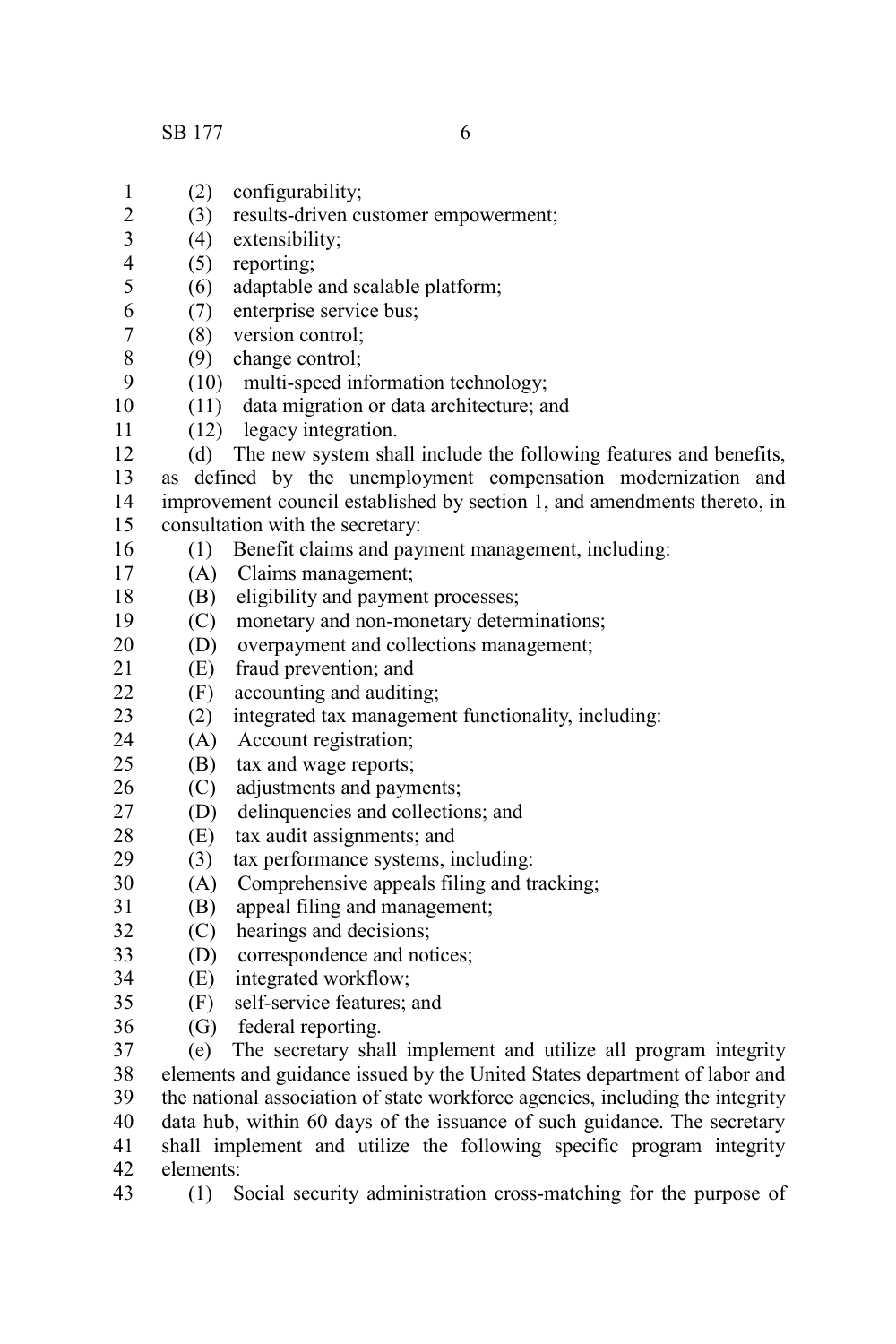SB 177 6

- (2) configurability; (3) results-driven customer empowerment; (4) extensibility; (5) reporting; (6) adaptable and scalable platform; (7) enterprise service bus; (8) version control; (9) change control; (10) multi-speed information technology; (11) data migration or data architecture; and (12) legacy integration. (d) The new system shall include the following features and benefits, as defined by the unemployment compensation modernization and improvement council established by section 1, and amendments thereto, in consultation with the secretary: (1) Benefit claims and payment management, including: (A) Claims management; (B) eligibility and payment processes; (C) monetary and non-monetary determinations; (D) overpayment and collections management; (E) fraud prevention; and (F) accounting and auditing; (2) integrated tax management functionality, including: (A) Account registration; (B) tax and wage reports; (C) adjustments and payments; (D) delinquencies and collections; and (E) tax audit assignments; and (3) tax performance systems, including: (A) Comprehensive appeals filing and tracking; (B) appeal filing and management; (C) hearings and decisions; (D) correspondence and notices; (E) integrated workflow; (F) self-service features; and (G) federal reporting. (e) The secretary shall implement and utilize all program integrity elements and guidance issued by the United States department of labor and the national association of state workforce agencies, including the integrity data hub, within 60 days of the issuance of such guidance. The secretary shall implement and utilize the following specific program integrity elements: 1 2 3 4 5 6 7 8 9 10 11 12 13 14 15 16 17 18 19 20 21  $22$ 23 24  $25$ 26 27 28 29 30 31 32 33 34 35 36 37 38 39 40 41 42
- (1) Social security administration cross-matching for the purpose of 43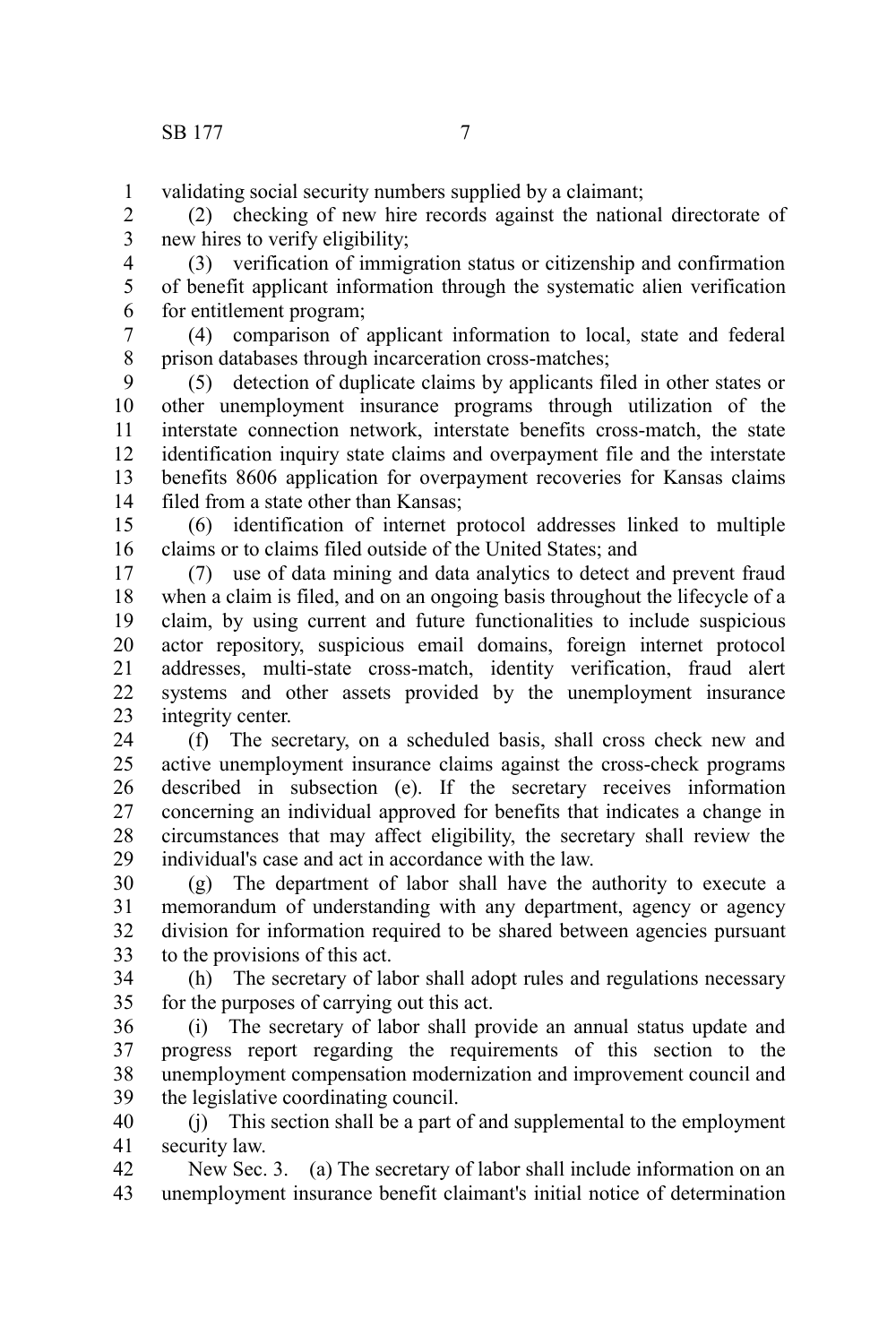validating social security numbers supplied by a claimant; 1

(2) checking of new hire records against the national directorate of new hires to verify eligibility; 2 3

(3) verification of immigration status or citizenship and confirmation of benefit applicant information through the systematic alien verification for entitlement program; 4 5 6

(4) comparison of applicant information to local, state and federal prison databases through incarceration cross-matches; 7 8

(5) detection of duplicate claims by applicants filed in other states or other unemployment insurance programs through utilization of the interstate connection network, interstate benefits cross-match, the state identification inquiry state claims and overpayment file and the interstate benefits 8606 application for overpayment recoveries for Kansas claims filed from a state other than Kansas; 9 10 11 12 13 14

(6) identification of internet protocol addresses linked to multiple claims or to claims filed outside of the United States; and 15 16

(7) use of data mining and data analytics to detect and prevent fraud when a claim is filed, and on an ongoing basis throughout the lifecycle of a claim, by using current and future functionalities to include suspicious actor repository, suspicious email domains, foreign internet protocol addresses, multi-state cross-match, identity verification, fraud alert systems and other assets provided by the unemployment insurance integrity center. 17 18 19 20 21 22 23

(f) The secretary, on a scheduled basis, shall cross check new and active unemployment insurance claims against the cross-check programs described in subsection (e). If the secretary receives information concerning an individual approved for benefits that indicates a change in circumstances that may affect eligibility, the secretary shall review the individual's case and act in accordance with the law. 24 25 26 27 28 29

(g) The department of labor shall have the authority to execute a memorandum of understanding with any department, agency or agency division for information required to be shared between agencies pursuant to the provisions of this act. 30 31 32 33

(h) The secretary of labor shall adopt rules and regulations necessary for the purposes of carrying out this act. 34 35

(i) The secretary of labor shall provide an annual status update and progress report regarding the requirements of this section to the unemployment compensation modernization and improvement council and the legislative coordinating council. 36 37 38 39

(j) This section shall be a part of and supplemental to the employment security law. 40 41

New Sec. 3. (a) The secretary of labor shall include information on an unemployment insurance benefit claimant's initial notice of determination 42 43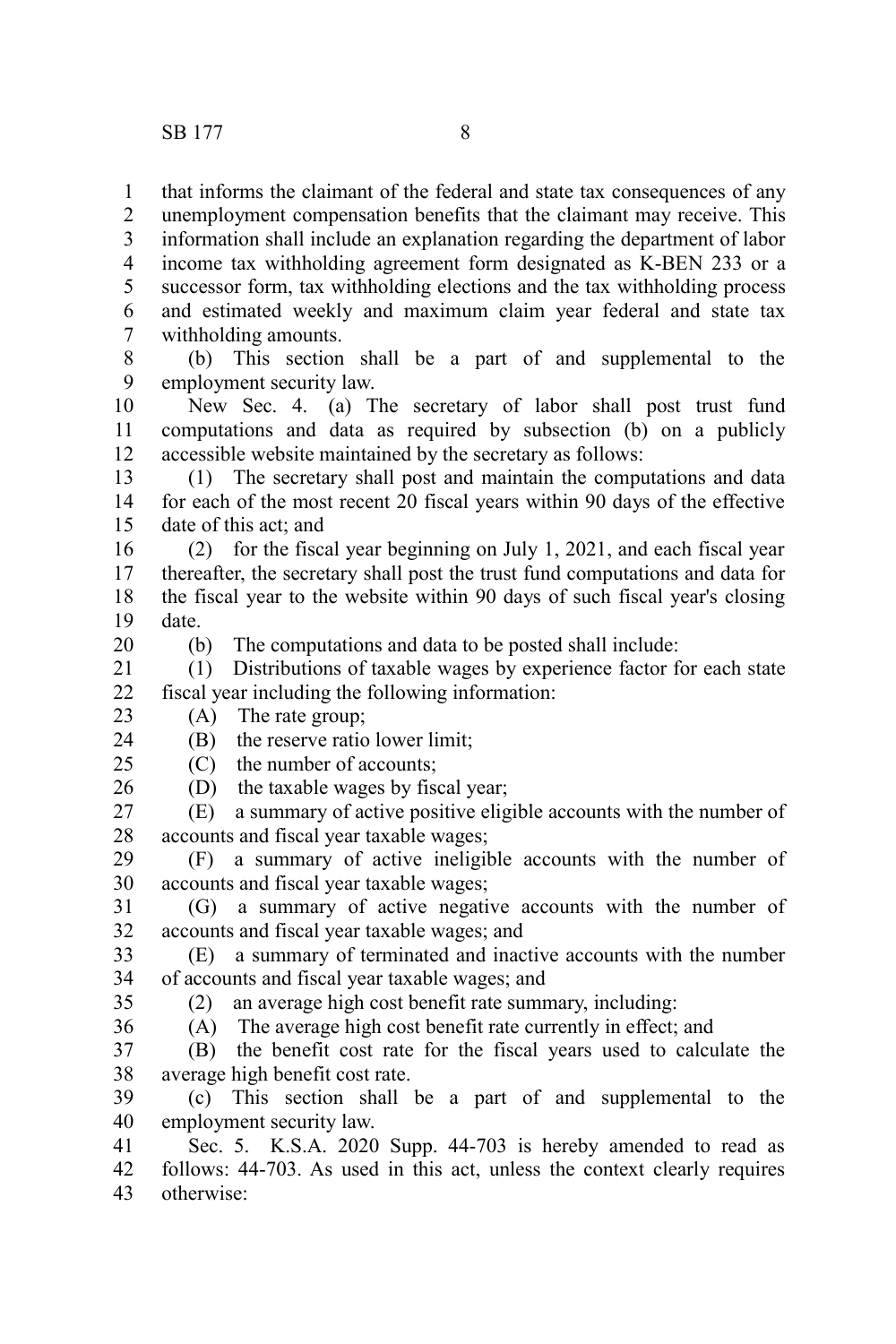that informs the claimant of the federal and state tax consequences of any unemployment compensation benefits that the claimant may receive. This information shall include an explanation regarding the department of labor income tax withholding agreement form designated as K-BEN 233 or a successor form, tax withholding elections and the tax withholding process and estimated weekly and maximum claim year federal and state tax withholding amounts. 1 2 3 4 5 6 7

(b) This section shall be a part of and supplemental to the employment security law. 8 9

New Sec. 4. (a) The secretary of labor shall post trust fund computations and data as required by subsection (b) on a publicly accessible website maintained by the secretary as follows: 10 11 12

(1) The secretary shall post and maintain the computations and data for each of the most recent 20 fiscal years within 90 days of the effective date of this act; and 13 14 15

(2) for the fiscal year beginning on July 1, 2021, and each fiscal year thereafter, the secretary shall post the trust fund computations and data for the fiscal year to the website within 90 days of such fiscal year's closing date. 16 17 18 19

20

(b) The computations and data to be posted shall include:

(1) Distributions of taxable wages by experience factor for each state fiscal year including the following information: 21 22

(A) The rate group; 23

(B) the reserve ratio lower limit; 24

(C) the number of accounts;  $25$ 

(D) the taxable wages by fiscal year; 26

(E) a summary of active positive eligible accounts with the number of accounts and fiscal year taxable wages; 27 28

(F) a summary of active ineligible accounts with the number of accounts and fiscal year taxable wages; 29 30

(G) a summary of active negative accounts with the number of accounts and fiscal year taxable wages; and 31 32

(E) a summary of terminated and inactive accounts with the number of accounts and fiscal year taxable wages; and 33 34

35

(2) an average high cost benefit rate summary, including:

(A) The average high cost benefit rate currently in effect; and (B) the benefit cost rate for the fiscal years used to calculate the 36 37

average high benefit cost rate. 38

(c) This section shall be a part of and supplemental to the employment security law. 39 40

Sec. 5. K.S.A. 2020 Supp. 44-703 is hereby amended to read as follows: 44-703. As used in this act, unless the context clearly requires otherwise: 41 42 43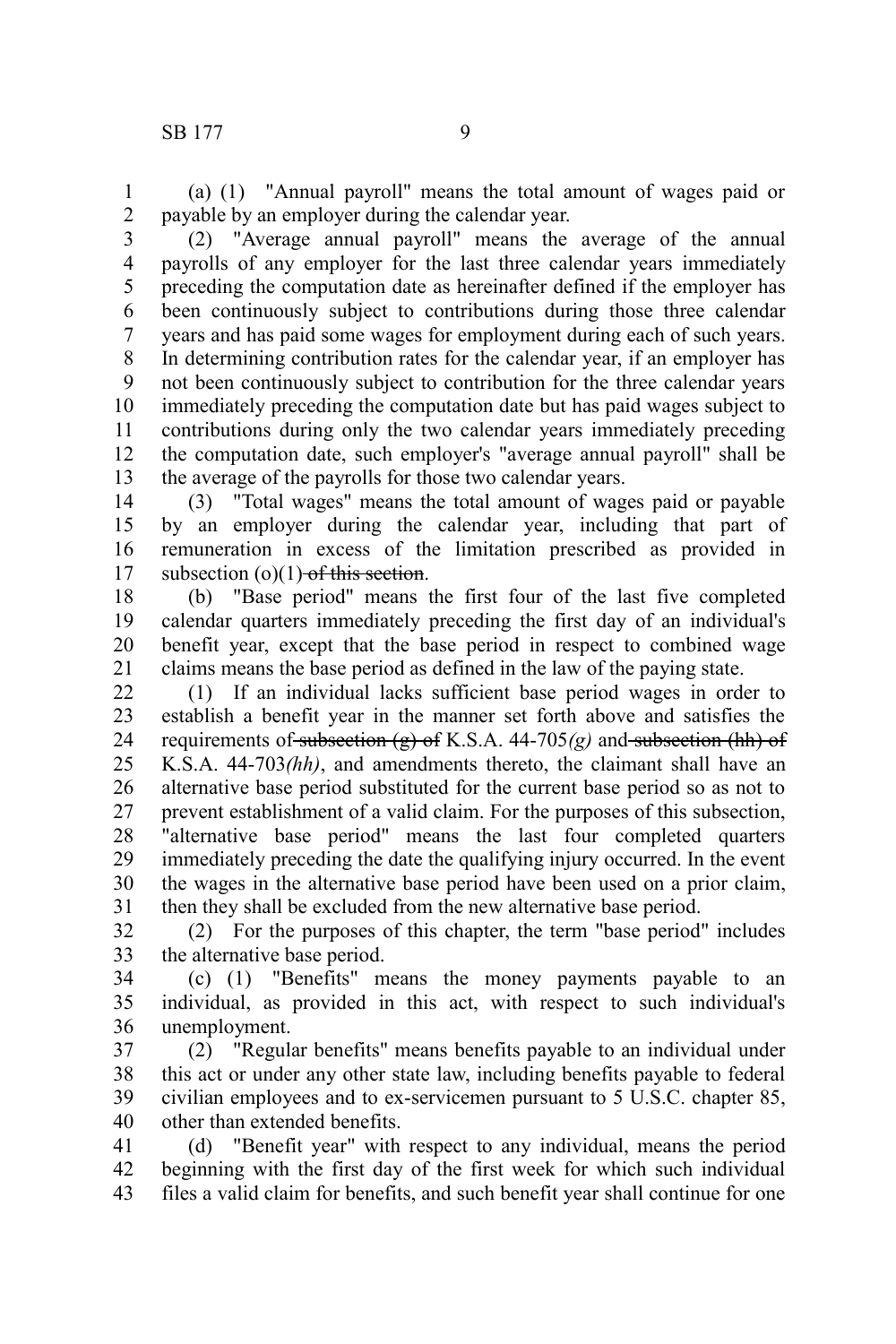(a) (1) "Annual payroll" means the total amount of wages paid or payable by an employer during the calendar year. 1 2

(2) "Average annual payroll" means the average of the annual payrolls of any employer for the last three calendar years immediately preceding the computation date as hereinafter defined if the employer has been continuously subject to contributions during those three calendar years and has paid some wages for employment during each of such years. In determining contribution rates for the calendar year, if an employer has not been continuously subject to contribution for the three calendar years immediately preceding the computation date but has paid wages subject to contributions during only the two calendar years immediately preceding the computation date, such employer's "average annual payroll" shall be the average of the payrolls for those two calendar years. 3 4 5 6 7 8 9 10 11 12 13

(3) "Total wages" means the total amount of wages paid or payable by an employer during the calendar year, including that part of remuneration in excess of the limitation prescribed as provided in subsection  $(o)(1)$  of this section. 14 15 16 17

(b) "Base period" means the first four of the last five completed calendar quarters immediately preceding the first day of an individual's benefit year, except that the base period in respect to combined wage claims means the base period as defined in the law of the paying state. 18 19 20 21

(1) If an individual lacks sufficient base period wages in order to establish a benefit year in the manner set forth above and satisfies the requirements of subsection  $(g)$  of K.S.A. 44-705 $(g)$  and subsection (hh) of K.S.A. 44-703*(hh)*, and amendments thereto, the claimant shall have an alternative base period substituted for the current base period so as not to prevent establishment of a valid claim. For the purposes of this subsection, "alternative base period" means the last four completed quarters immediately preceding the date the qualifying injury occurred. In the event the wages in the alternative base period have been used on a prior claim, then they shall be excluded from the new alternative base period. 22 23 24 25 26 27 28 29 30 31

(2) For the purposes of this chapter, the term "base period" includes the alternative base period. 32 33

(c) (1) "Benefits" means the money payments payable to an individual, as provided in this act, with respect to such individual's unemployment. 34 35 36

(2) "Regular benefits" means benefits payable to an individual under this act or under any other state law, including benefits payable to federal civilian employees and to ex-servicemen pursuant to 5 U.S.C. chapter 85, other than extended benefits. 37 38 39 40

(d) "Benefit year" with respect to any individual, means the period beginning with the first day of the first week for which such individual files a valid claim for benefits, and such benefit year shall continue for one 41 42 43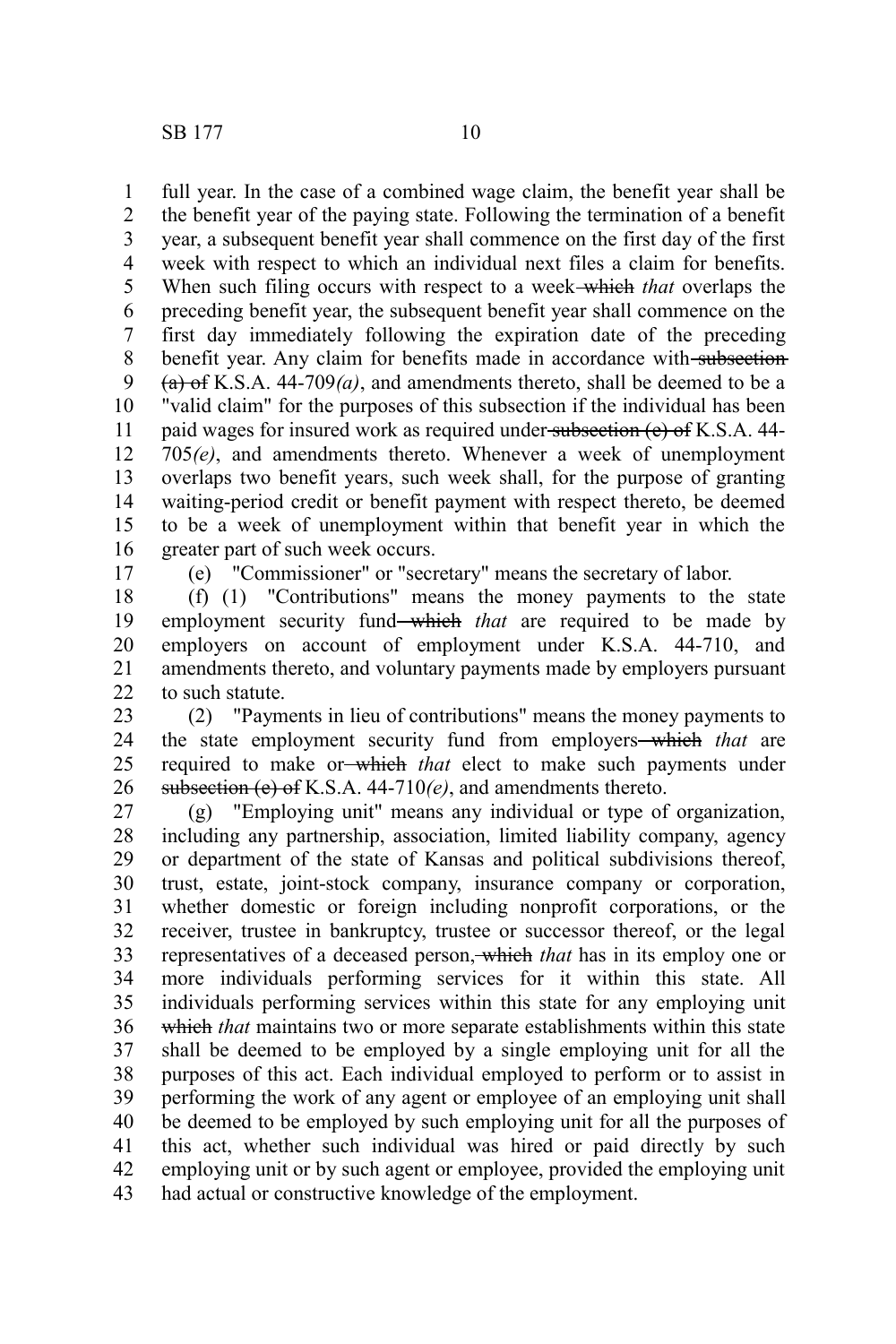full year. In the case of a combined wage claim, the benefit year shall be the benefit year of the paying state. Following the termination of a benefit year, a subsequent benefit year shall commence on the first day of the first week with respect to which an individual next files a claim for benefits. When such filing occurs with respect to a week which *that* overlaps the preceding benefit year, the subsequent benefit year shall commence on the first day immediately following the expiration date of the preceding benefit year. Any claim for benefits made in accordance with subsection  $(a)$  of K.S.A. 44-709 $(a)$ , and amendments thereto, shall be deemed to be a "valid claim" for the purposes of this subsection if the individual has been paid wages for insured work as required under subsection (e) of K.S.A. 44-705*(e)*, and amendments thereto. Whenever a week of unemployment overlaps two benefit years, such week shall, for the purpose of granting waiting-period credit or benefit payment with respect thereto, be deemed to be a week of unemployment within that benefit year in which the greater part of such week occurs. 1 2 3 4 5 6 7 8 9 10 11 12 13 14 15 16

17

(e) "Commissioner" or "secretary" means the secretary of labor.

(f) (1) "Contributions" means the money payments to the state employment security fund—which *that* are required to be made by employers on account of employment under K.S.A. 44-710, and amendments thereto, and voluntary payments made by employers pursuant to such statute. 18 19 20 21  $22$ 

(2) "Payments in lieu of contributions" means the money payments to the state employment security fund from employers which *that* are required to make or which *that* elect to make such payments under subsection (e) of K.S.A. 44-710*(e)*, and amendments thereto. 23 24 25 26

(g) "Employing unit" means any individual or type of organization, including any partnership, association, limited liability company, agency or department of the state of Kansas and political subdivisions thereof, trust, estate, joint-stock company, insurance company or corporation, whether domestic or foreign including nonprofit corporations, or the receiver, trustee in bankruptcy, trustee or successor thereof, or the legal representatives of a deceased person, which *that* has in its employ one or more individuals performing services for it within this state. All individuals performing services within this state for any employing unit which *that* maintains two or more separate establishments within this state shall be deemed to be employed by a single employing unit for all the purposes of this act. Each individual employed to perform or to assist in performing the work of any agent or employee of an employing unit shall be deemed to be employed by such employing unit for all the purposes of this act, whether such individual was hired or paid directly by such employing unit or by such agent or employee, provided the employing unit had actual or constructive knowledge of the employment. 27 28 29 30 31 32 33 34 35 36 37 38 39 40 41 42 43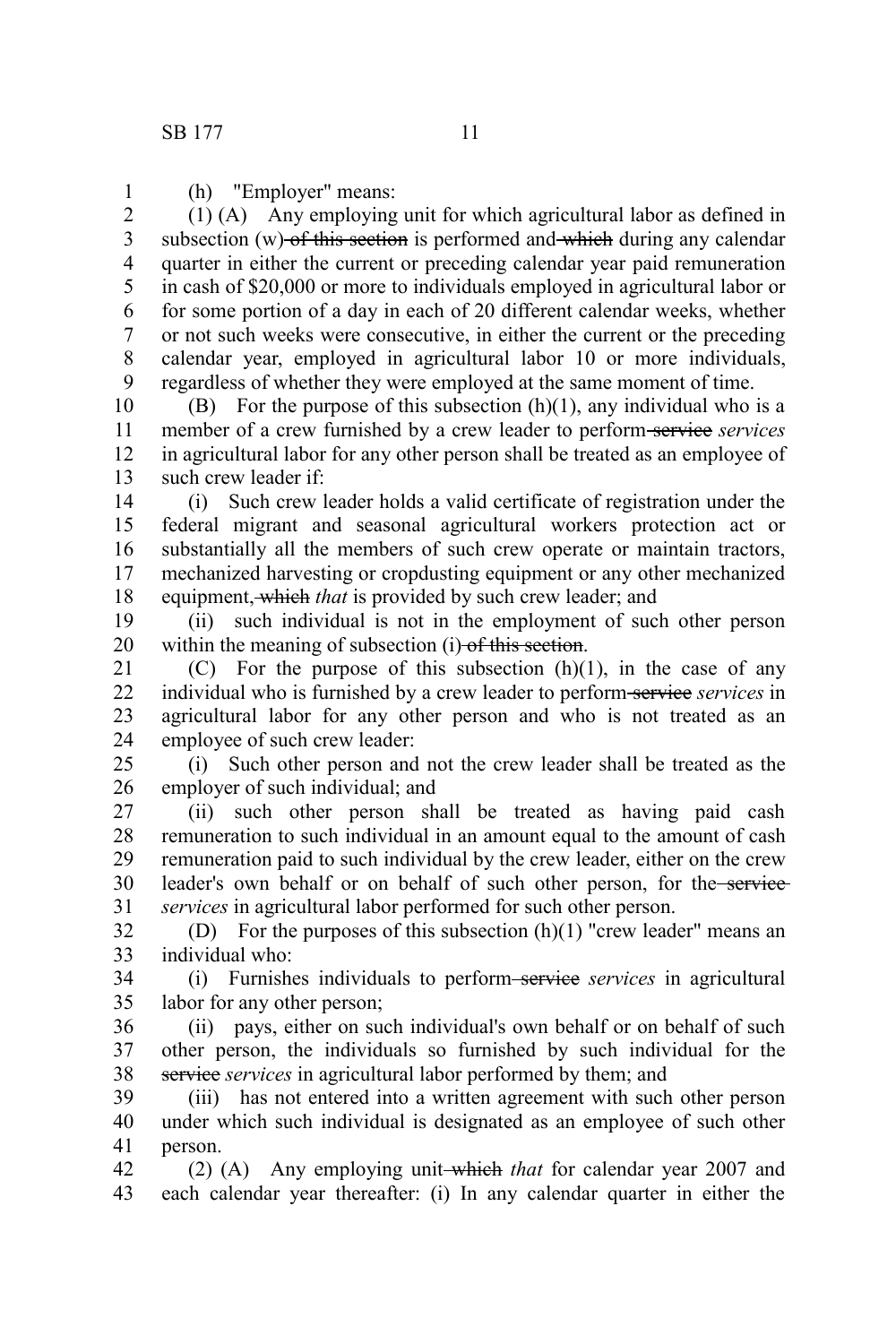(h) "Employer" means: 1

(1) (A) Any employing unit for which agricultural labor as defined in subsection  $(w)$ -of this section is performed and which during any calendar quarter in either the current or preceding calendar year paid remuneration in cash of \$20,000 or more to individuals employed in agricultural labor or for some portion of a day in each of 20 different calendar weeks, whether or not such weeks were consecutive, in either the current or the preceding calendar year, employed in agricultural labor 10 or more individuals, regardless of whether they were employed at the same moment of time. 2 3 4 5 6 7 8 9

(B) For the purpose of this subsection  $(h)(1)$ , any individual who is a member of a crew furnished by a crew leader to perform-service services in agricultural labor for any other person shall be treated as an employee of such crew leader if: 10 11 12 13

(i) Such crew leader holds a valid certificate of registration under the federal migrant and seasonal agricultural workers protection act or substantially all the members of such crew operate or maintain tractors, mechanized harvesting or cropdusting equipment or any other mechanized equipment, which *that* is provided by such crew leader; and 14 15 16 17 18

(ii) such individual is not in the employment of such other person within the meaning of subsection (i) of this section. 19 20

(C) For the purpose of this subsection  $(h)(1)$ , in the case of any individual who is furnished by a crew leader to perform-service *services* in agricultural labor for any other person and who is not treated as an employee of such crew leader: 21 22 23 24

(i) Such other person and not the crew leader shall be treated as the employer of such individual; and 25 26

(ii) such other person shall be treated as having paid cash remuneration to such individual in an amount equal to the amount of cash remuneration paid to such individual by the crew leader, either on the crew leader's own behalf or on behalf of such other person, for the service *services* in agricultural labor performed for such other person. 27 28 29 30 31

(D) For the purposes of this subsection  $(h)(1)$  "crew leader" means an individual who: 32 33

(i) Furnishes individuals to perform service *services* in agricultural labor for any other person; 34 35

(ii) pays, either on such individual's own behalf or on behalf of such other person, the individuals so furnished by such individual for the service *services* in agricultural labor performed by them; and 36 37 38

(iii) has not entered into a written agreement with such other person under which such individual is designated as an employee of such other person. 39 40 41

(2) (A) Any employing unit which *that* for calendar year 2007 and each calendar year thereafter: (i) In any calendar quarter in either the 42 43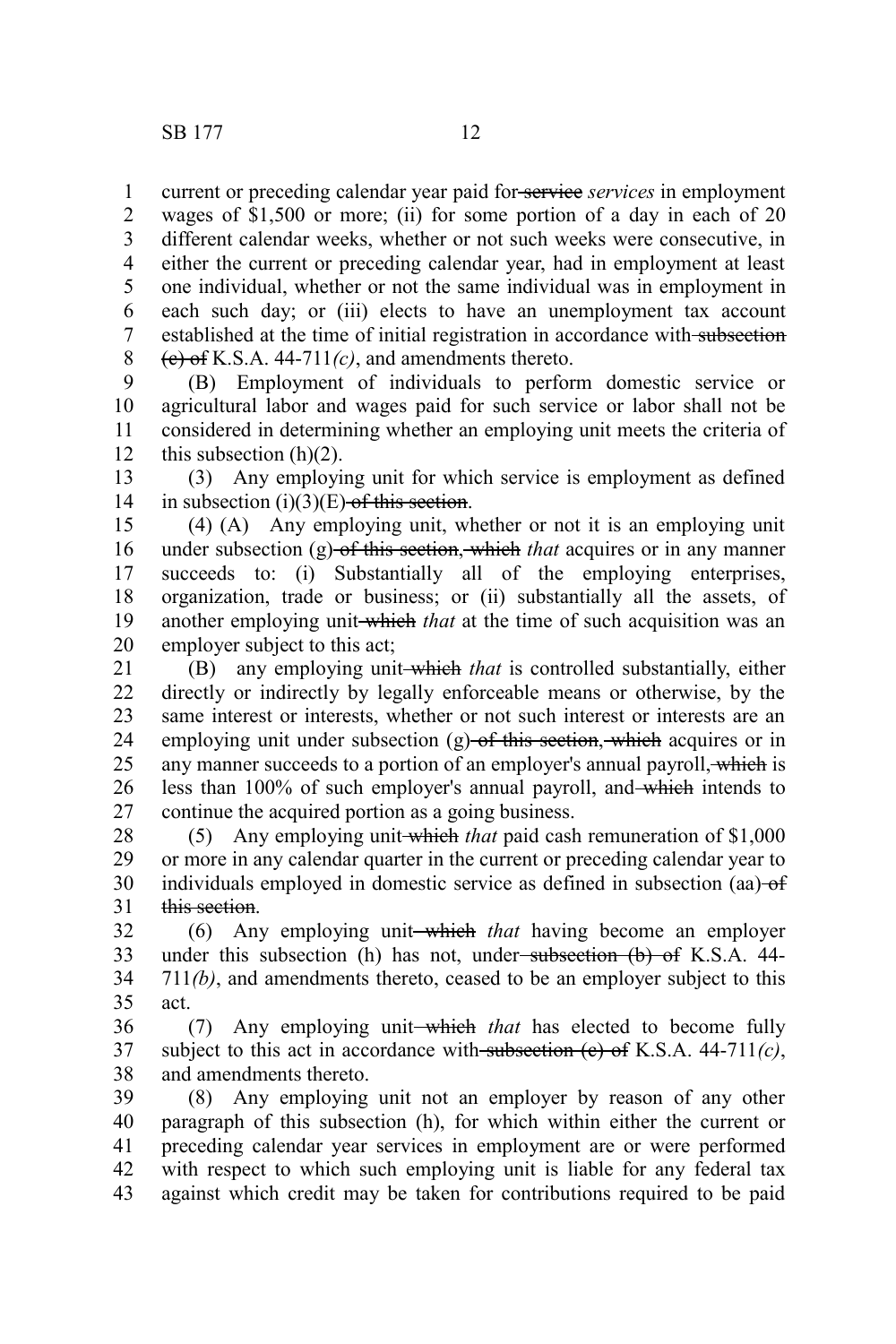current or preceding calendar year paid for service *services* in employment wages of \$1,500 or more; (ii) for some portion of a day in each of 20 different calendar weeks, whether or not such weeks were consecutive, in either the current or preceding calendar year, had in employment at least one individual, whether or not the same individual was in employment in each such day; or (iii) elects to have an unemployment tax account established at the time of initial registration in accordance with subsection  $(e)$  of K.S.A. 44-711 $(c)$ , and amendments thereto. 1 2 3 4 5 6 7 8

(B) Employment of individuals to perform domestic service or agricultural labor and wages paid for such service or labor shall not be considered in determining whether an employing unit meets the criteria of this subsection  $(h)(2)$ . 9 10 11 12

(3) Any employing unit for which service is employment as defined in subsection  $(i)(3)(E)$  of this section. 13 14

(4) (A) Any employing unit, whether or not it is an employing unit under subsection (g) of this section, which *that* acquires or in any manner succeeds to: (i) Substantially all of the employing enterprises, organization, trade or business; or (ii) substantially all the assets, of another employing unit-which *that* at the time of such acquisition was an employer subject to this act; 15 16 17 18 19 20

(B) any employing unit which *that* is controlled substantially, either directly or indirectly by legally enforceable means or otherwise, by the same interest or interests, whether or not such interest or interests are an employing unit under subsection  $(g)$  of this section, which acquires or in any manner succeeds to a portion of an employer's annual payroll, which is less than 100% of such employer's annual payroll, and which intends to continue the acquired portion as a going business. 21 22 23 24 25 26 27

(5) Any employing unit which *that* paid cash remuneration of \$1,000 or more in any calendar quarter in the current or preceding calendar year to individuals employed in domestic service as defined in subsection (aa) of this section. 28 29 30 31

(6) Any employing unit which *that* having become an employer under this subsection (h) has not, under<del>-subsection (b) of</del> K.S.A. 44-711*(b)*, and amendments thereto, ceased to be an employer subject to this act. 32 33 34 35

(7) Any employing unit—which *that* has elected to become fully subject to this act in accordance with subsection  $(e)$  of K.S.A. 44-711 $(c)$ , and amendments thereto. 36 37 38

(8) Any employing unit not an employer by reason of any other paragraph of this subsection (h), for which within either the current or preceding calendar year services in employment are or were performed with respect to which such employing unit is liable for any federal tax against which credit may be taken for contributions required to be paid 39 40 41 42 43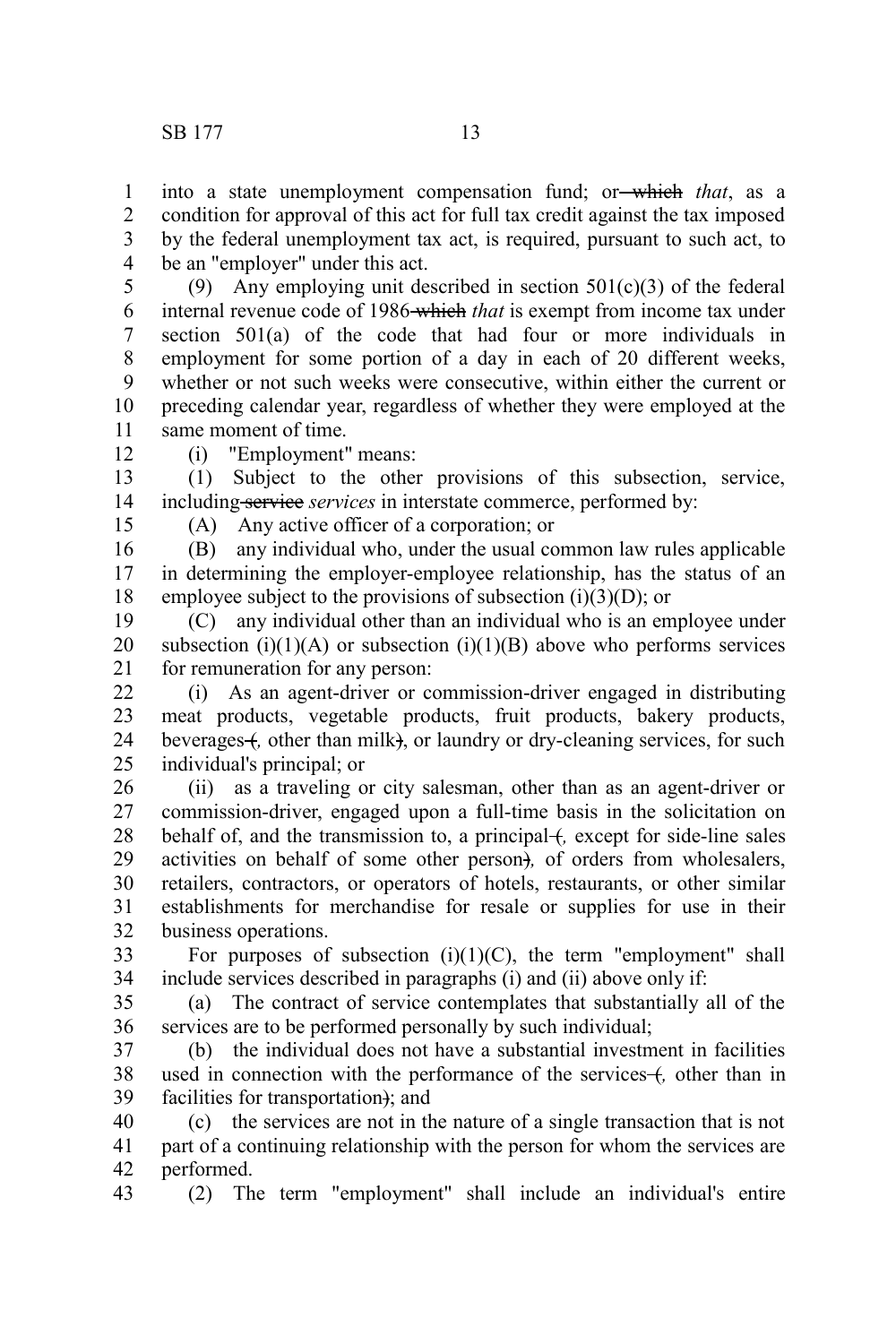into a state unemployment compensation fund; or which *that*, as a condition for approval of this act for full tax credit against the tax imposed by the federal unemployment tax act, is required, pursuant to such act, to be an "employer" under this act. 1 2 3 4

(9) Any employing unit described in section  $501(c)(3)$  of the federal internal revenue code of 1986 which *that* is exempt from income tax under section 501(a) of the code that had four or more individuals in employment for some portion of a day in each of 20 different weeks, whether or not such weeks were consecutive, within either the current or preceding calendar year, regardless of whether they were employed at the same moment of time. 5 6 7 8 9 10 11

12

(i) "Employment" means:

(1) Subject to the other provisions of this subsection, service, including service *services* in interstate commerce, performed by: 13 14

15

(A) Any active officer of a corporation; or

(B) any individual who, under the usual common law rules applicable in determining the employer-employee relationship, has the status of an employee subject to the provisions of subsection  $(i)(3)(D)$ ; or 16 17 18

(C) any individual other than an individual who is an employee under subsection  $(i)(1)(A)$  or subsection  $(i)(1)(B)$  above who performs services for remuneration for any person: 19 20 21

(i) As an agent-driver or commission-driver engaged in distributing meat products, vegetable products, fruit products, bakery products, beverages +, other than milk), or laundry or dry-cleaning services, for such individual's principal; or 22 23 24 25

(ii) as a traveling or city salesman, other than as an agent-driver or commission-driver, engaged upon a full-time basis in the solicitation on behalf of, and the transmission to, a principal +, except for side-line sales activities on behalf of some other person)*,* of orders from wholesalers, retailers, contractors, or operators of hotels, restaurants, or other similar establishments for merchandise for resale or supplies for use in their business operations. 26 27 28 29 30 31 32

For purposes of subsection  $(i)(1)(C)$ , the term "employment" shall include services described in paragraphs (i) and (ii) above only if: 33 34

(a) The contract of service contemplates that substantially all of the services are to be performed personally by such individual; 35 36

(b) the individual does not have a substantial investment in facilities used in connection with the performance of the services formulation in facilities for transportation); and 37 38 39

(c) the services are not in the nature of a single transaction that is not part of a continuing relationship with the person for whom the services are performed. 40 41 42

(2) The term "employment" shall include an individual's entire 43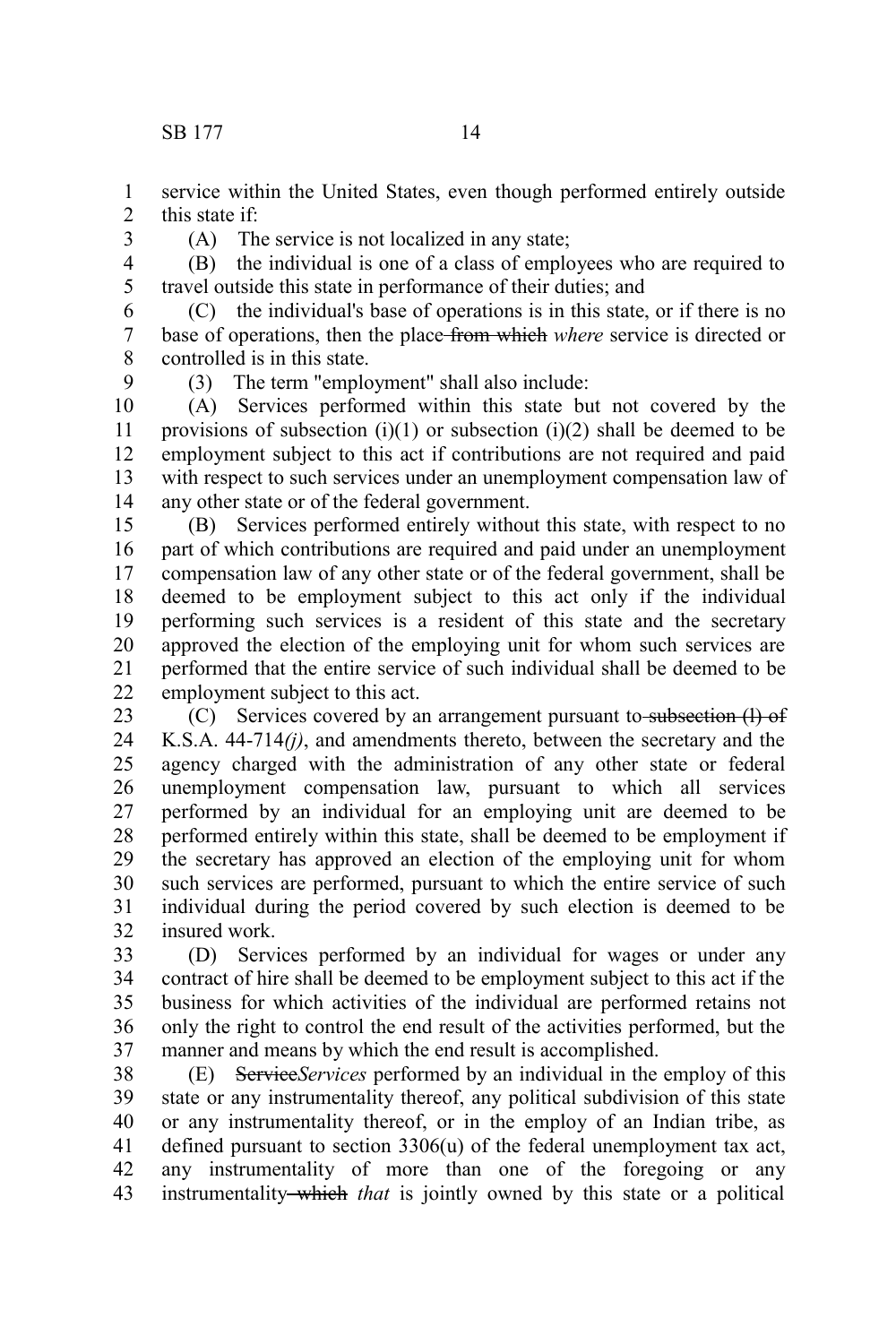service within the United States, even though performed entirely outside this state if: 1 2

3

(A) The service is not localized in any state;

(B) the individual is one of a class of employees who are required to travel outside this state in performance of their duties; and 4 5

(C) the individual's base of operations is in this state, or if there is no base of operations, then the place from which *where* service is directed or controlled is in this state. 6 7 8

9

(3) The term "employment" shall also include:

(A) Services performed within this state but not covered by the provisions of subsection (i)(1) or subsection (i)(2) shall be deemed to be employment subject to this act if contributions are not required and paid with respect to such services under an unemployment compensation law of any other state or of the federal government. 10 11 12 13 14

(B) Services performed entirely without this state, with respect to no part of which contributions are required and paid under an unemployment compensation law of any other state or of the federal government, shall be deemed to be employment subject to this act only if the individual performing such services is a resident of this state and the secretary approved the election of the employing unit for whom such services are performed that the entire service of such individual shall be deemed to be employment subject to this act. 15 16 17 18 19 20 21 22

(C) Services covered by an arrangement pursuant to subsection (I) of K.S.A. 44-714*(j)*, and amendments thereto, between the secretary and the agency charged with the administration of any other state or federal unemployment compensation law, pursuant to which all services performed by an individual for an employing unit are deemed to be performed entirely within this state, shall be deemed to be employment if the secretary has approved an election of the employing unit for whom such services are performed, pursuant to which the entire service of such individual during the period covered by such election is deemed to be insured work. 23 24 25 26 27 28 29 30 31 32

(D) Services performed by an individual for wages or under any contract of hire shall be deemed to be employment subject to this act if the business for which activities of the individual are performed retains not only the right to control the end result of the activities performed, but the manner and means by which the end result is accomplished. 33 34 35 36 37

(E) Service*Services* performed by an individual in the employ of this state or any instrumentality thereof, any political subdivision of this state or any instrumentality thereof, or in the employ of an Indian tribe, as defined pursuant to section 3306(u) of the federal unemployment tax act, any instrumentality of more than one of the foregoing or any instrumentality which *that* is jointly owned by this state or a political 38 39 40 41 42 43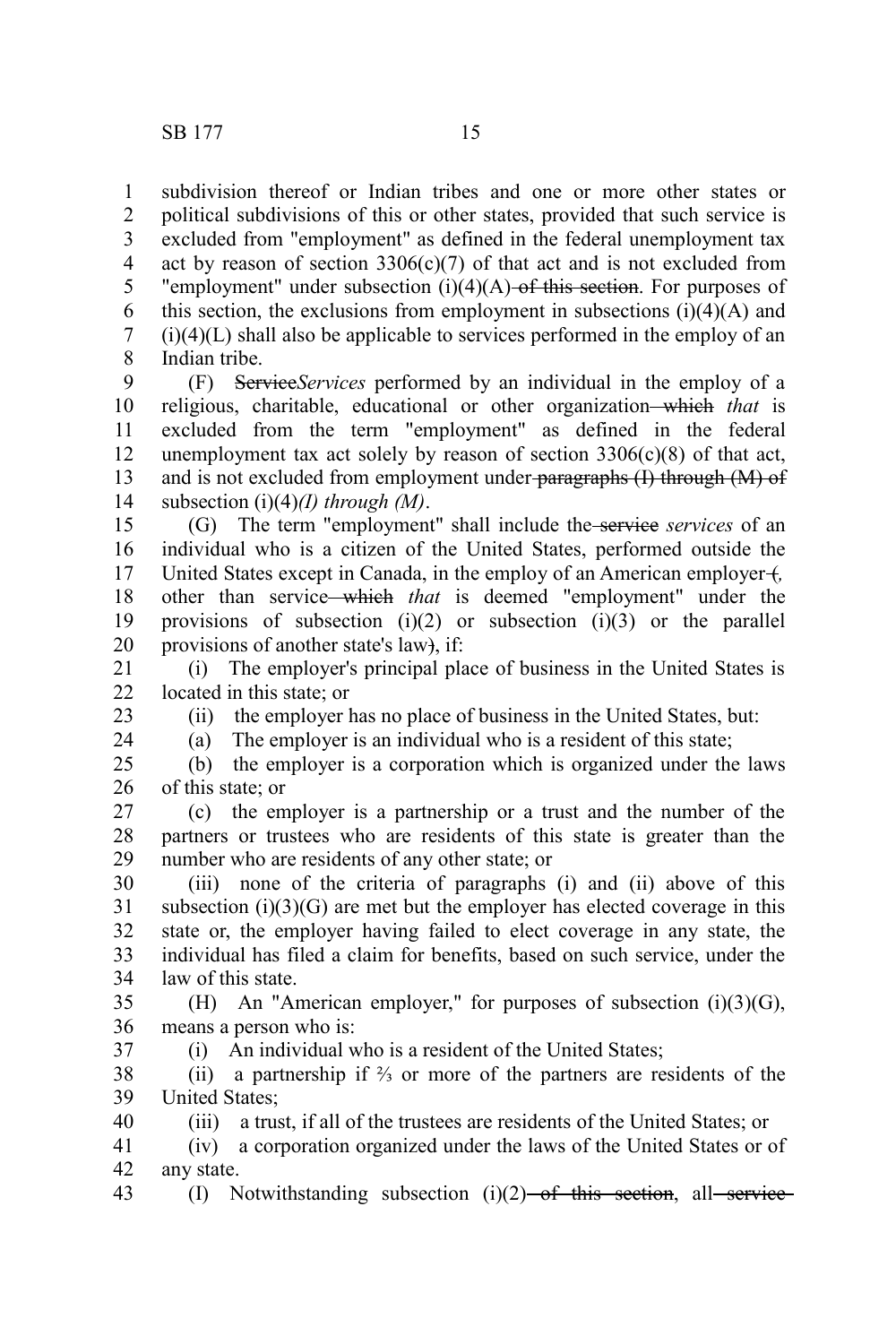subdivision thereof or Indian tribes and one or more other states or political subdivisions of this or other states, provided that such service is excluded from "employment" as defined in the federal unemployment tax act by reason of section  $3306(c)(7)$  of that act and is not excluded from "employment" under subsection  $(i)(4)(A)$  of this section. For purposes of this section, the exclusions from employment in subsections  $(i)(4)(A)$  and  $(i)(4)(L)$  shall also be applicable to services performed in the employ of an Indian tribe. 1 2 3 4 5 6 7 8

(F) Service*Services* performed by an individual in the employ of a religious, charitable, educational or other organization which *that* is excluded from the term "employment" as defined in the federal unemployment tax act solely by reason of section  $3306(c)(8)$  of that act, and is not excluded from employment under-paragraphs (I) through (M) of subsection (i)(4)*(I) through (M)*. 9 10 11 12 13 14

(G) The term "employment" shall include the service *services* of an individual who is a citizen of the United States, performed outside the United States except in Canada, in the employ of an American employer +, other than service which *that* is deemed "employment" under the provisions of subsection  $(i)(2)$  or subsection  $(i)(3)$  or the parallel provisions of another state's law), if: 15 16 17 18 19 20

(i) The employer's principal place of business in the United States is located in this state; or 21 22

23 24

37

(ii) the employer has no place of business in the United States, but:

(a) The employer is an individual who is a resident of this state;

(b) the employer is a corporation which is organized under the laws of this state; or 25 26

(c) the employer is a partnership or a trust and the number of the partners or trustees who are residents of this state is greater than the number who are residents of any other state; or 27 28 29

(iii) none of the criteria of paragraphs (i) and (ii) above of this subsection  $(i)(3)(G)$  are met but the employer has elected coverage in this state or, the employer having failed to elect coverage in any state, the individual has filed a claim for benefits, based on such service, under the law of this state. 30 31 32 33 34

(H) An "American employer," for purposes of subsection (i)(3)(G), means a person who is: 35 36

(i) An individual who is a resident of the United States;

(ii) a partnership if ⅔ or more of the partners are residents of the United States; 38 39

(iii) a trust, if all of the trustees are residents of the United States; or 40

(iv) a corporation organized under the laws of the United States or of any state. 41 42

(I) Notwithstanding subsection  $(i)(2)$  of this section, all service 43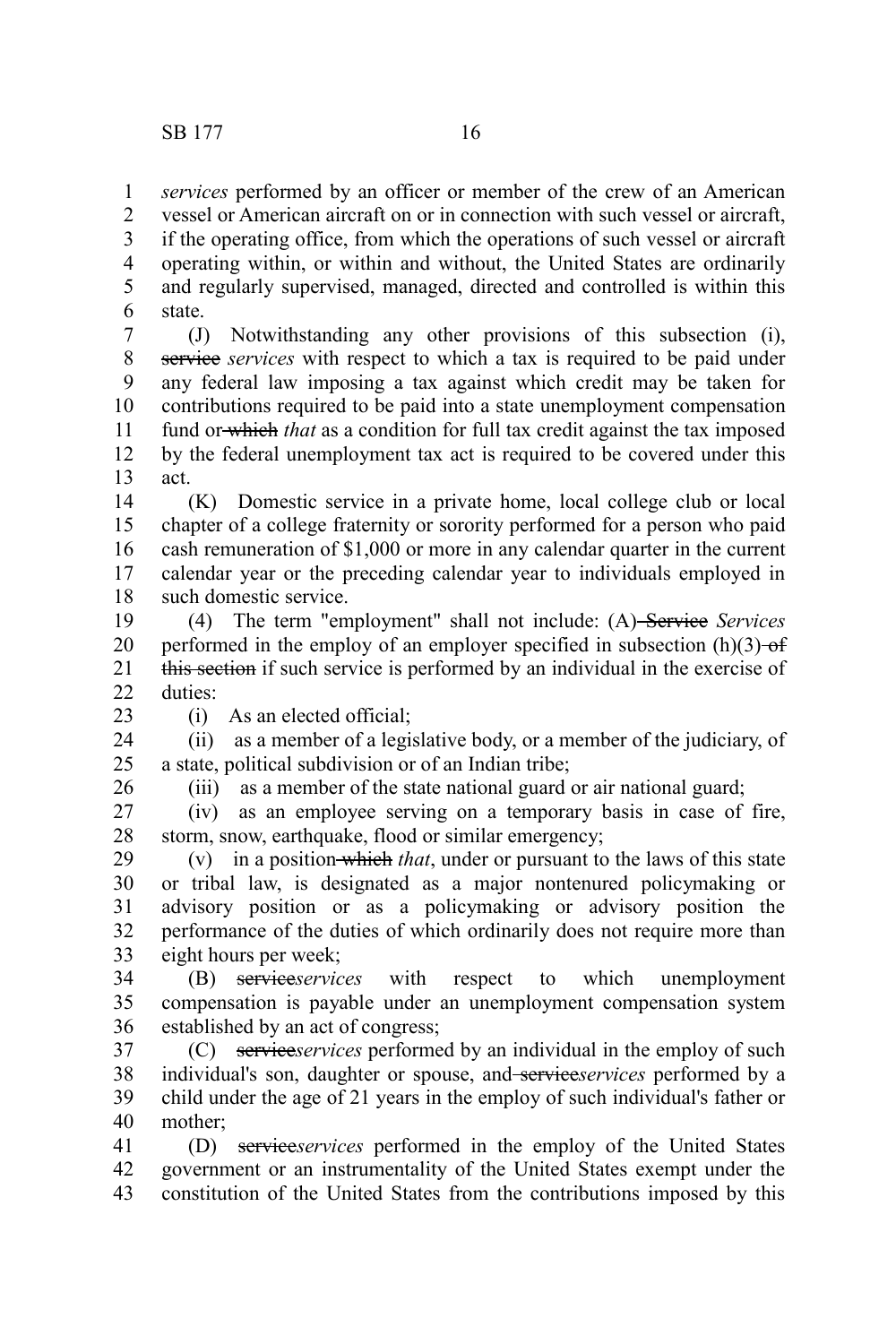*services* performed by an officer or member of the crew of an American 1

vessel or American aircraft on or in connection with such vessel or aircraft, if the operating office, from which the operations of such vessel or aircraft operating within, or within and without, the United States are ordinarily and regularly supervised, managed, directed and controlled is within this state. 2 3 4 5 6

(J) Notwithstanding any other provisions of this subsection (i), service *services* with respect to which a tax is required to be paid under any federal law imposing a tax against which credit may be taken for contributions required to be paid into a state unemployment compensation fund or which *that* as a condition for full tax credit against the tax imposed by the federal unemployment tax act is required to be covered under this act. 7 8 9 10 11 12 13

(K) Domestic service in a private home, local college club or local chapter of a college fraternity or sorority performed for a person who paid cash remuneration of \$1,000 or more in any calendar quarter in the current calendar year or the preceding calendar year to individuals employed in such domestic service. 14 15 16 17 18

(4) The term "employment" shall not include: (A) Service *Services* performed in the employ of an employer specified in subsection  $(h)(3)$  of this section if such service is performed by an individual in the exercise of duties: 19 20 21  $22$ 

23

(i) As an elected official;

(ii) as a member of a legislative body, or a member of the judiciary, of a state, political subdivision or of an Indian tribe; 24 25

26

(iii) as a member of the state national guard or air national guard;

(iv) as an employee serving on a temporary basis in case of fire, storm, snow, earthquake, flood or similar emergency; 27 28

(v) in a position which *that*, under or pursuant to the laws of this state or tribal law, is designated as a major nontenured policymaking or advisory position or as a policymaking or advisory position the performance of the duties of which ordinarily does not require more than eight hours per week; 29 30 31 32 33

(B) service*services* with respect to which unemployment compensation is payable under an unemployment compensation system established by an act of congress; 34 35 36

(C) service*services* performed by an individual in the employ of such individual's son, daughter or spouse, and service*services* performed by a child under the age of 21 years in the employ of such individual's father or mother; 37 38 39 40

(D) service*services* performed in the employ of the United States government or an instrumentality of the United States exempt under the constitution of the United States from the contributions imposed by this 41 42 43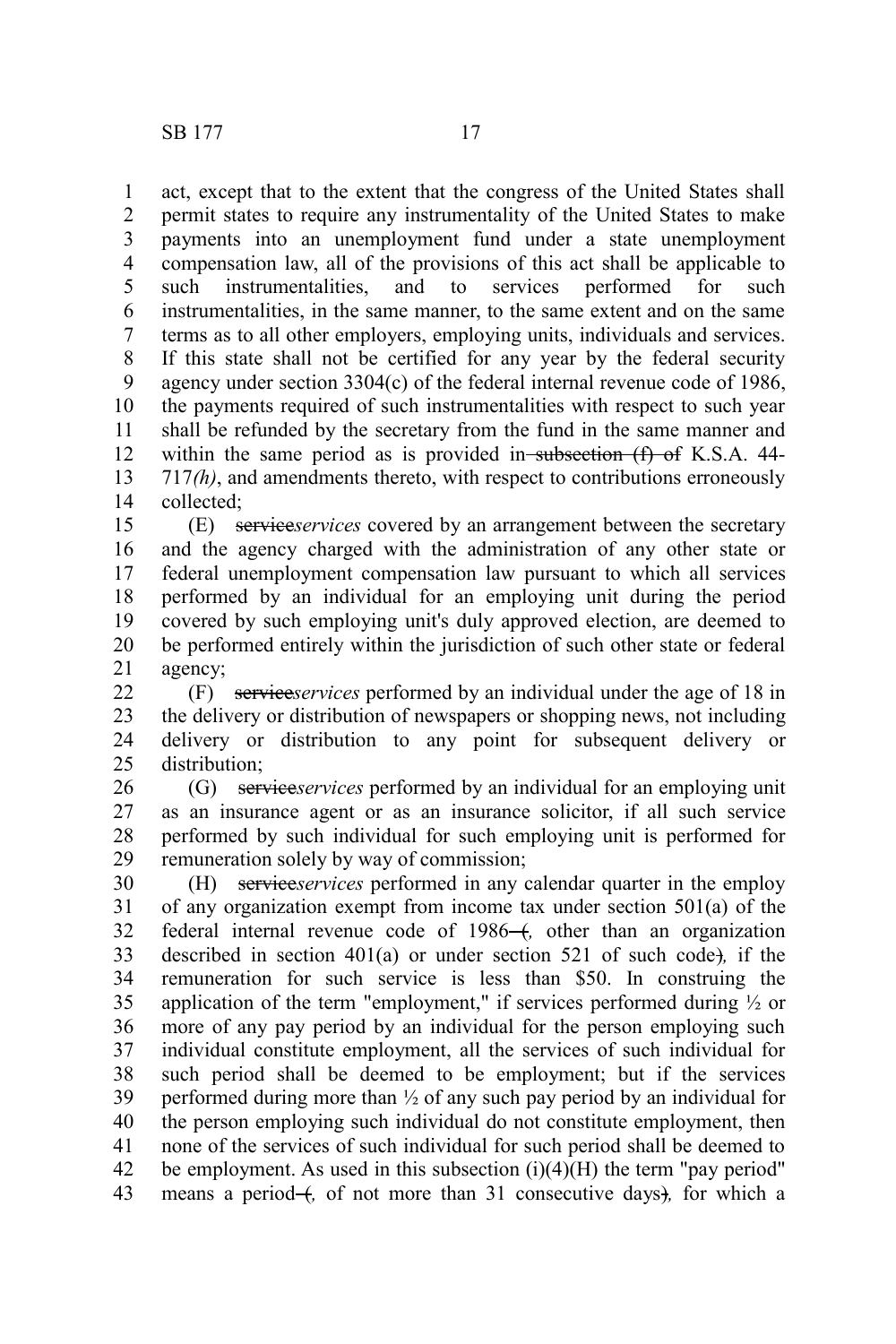act, except that to the extent that the congress of the United States shall permit states to require any instrumentality of the United States to make payments into an unemployment fund under a state unemployment compensation law, all of the provisions of this act shall be applicable to such instrumentalities, and to services performed for such instrumentalities, in the same manner, to the same extent and on the same terms as to all other employers, employing units, individuals and services. If this state shall not be certified for any year by the federal security agency under section 3304(c) of the federal internal revenue code of 1986, the payments required of such instrumentalities with respect to such year shall be refunded by the secretary from the fund in the same manner and within the same period as is provided in subsection (f) of K.S.A. 44-717*(h)*, and amendments thereto, with respect to contributions erroneously collected; 1 2 3 4 5 6 7 8 9 10 11 12 13 14

(E) service*services* covered by an arrangement between the secretary and the agency charged with the administration of any other state or federal unemployment compensation law pursuant to which all services performed by an individual for an employing unit during the period covered by such employing unit's duly approved election, are deemed to be performed entirely within the jurisdiction of such other state or federal agency; 15 16 17 18 19 20 21

(F) service*services* performed by an individual under the age of 18 in the delivery or distribution of newspapers or shopping news, not including delivery or distribution to any point for subsequent delivery or distribution;  $22$ 23 24 25

(G) service*services* performed by an individual for an employing unit as an insurance agent or as an insurance solicitor, if all such service performed by such individual for such employing unit is performed for remuneration solely by way of commission; 26 27 28 29

(H) service*services* performed in any calendar quarter in the employ of any organization exempt from income tax under section 501(a) of the federal internal revenue code of 1986<sup>-4</sup>, other than an organization described in section 401(a) or under section 521 of such code)*,* if the remuneration for such service is less than \$50. In construing the application of the term "employment," if services performed during  $\frac{1}{2}$  or more of any pay period by an individual for the person employing such individual constitute employment, all the services of such individual for such period shall be deemed to be employment; but if the services performed during more than ½ of any such pay period by an individual for the person employing such individual do not constitute employment, then none of the services of such individual for such period shall be deemed to be employment. As used in this subsection  $(i)(4)(H)$  the term "pay period" means a period  $+$ , of not more than 31 consecutive days), for which a 30 31 32 33 34 35 36 37 38 39 40 41 42 43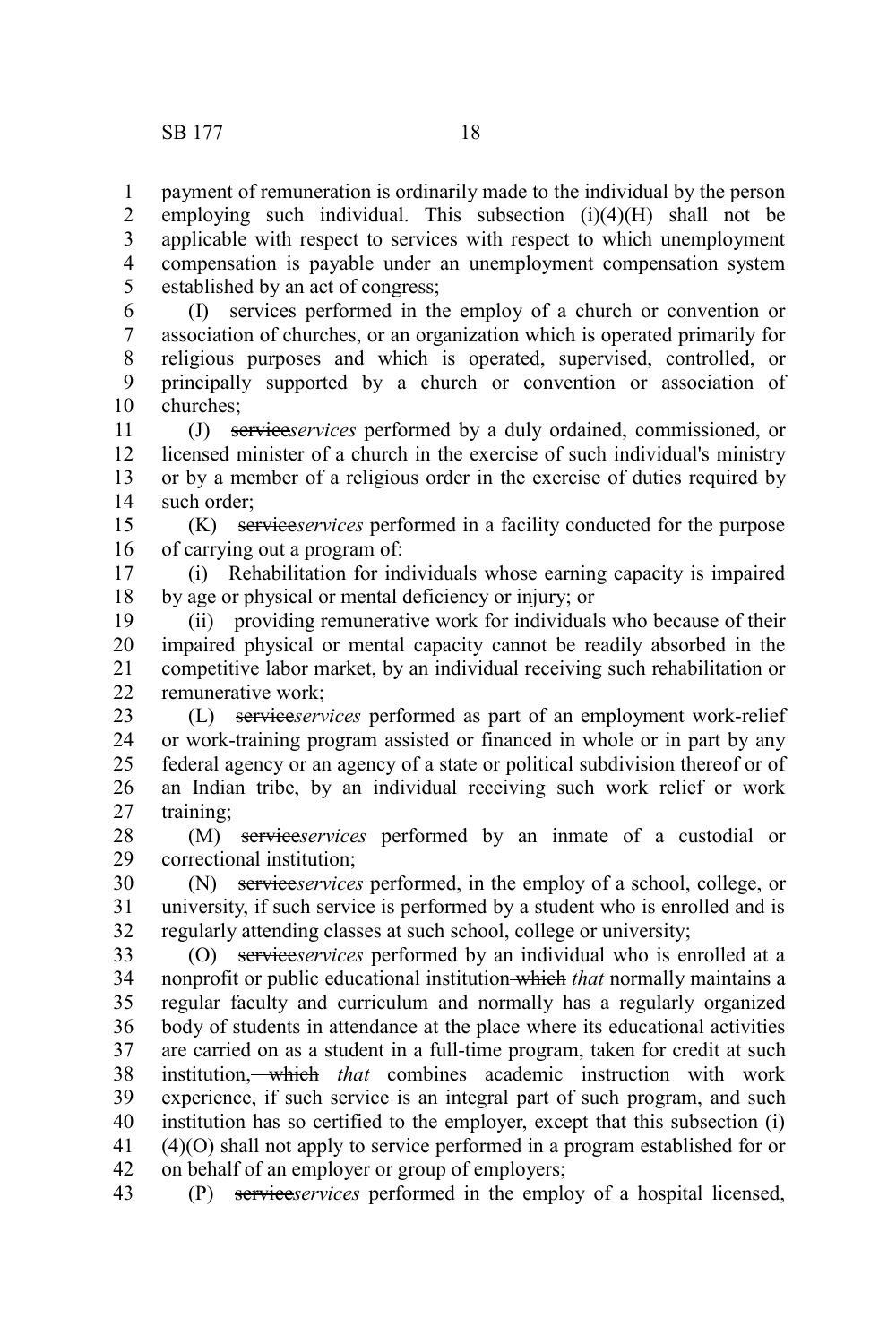payment of remuneration is ordinarily made to the individual by the person employing such individual. This subsection  $(i)(4)(H)$  shall not be applicable with respect to services with respect to which unemployment compensation is payable under an unemployment compensation system established by an act of congress; 1 2 3 4 5

(I) services performed in the employ of a church or convention or association of churches, or an organization which is operated primarily for religious purposes and which is operated, supervised, controlled, or principally supported by a church or convention or association of churches; 6 7 8 9 10

(J) service*services* performed by a duly ordained, commissioned, or licensed minister of a church in the exercise of such individual's ministry or by a member of a religious order in the exercise of duties required by such order: 11 12 13 14

(K) service*services* performed in a facility conducted for the purpose of carrying out a program of: 15 16

(i) Rehabilitation for individuals whose earning capacity is impaired by age or physical or mental deficiency or injury; or 17 18

(ii) providing remunerative work for individuals who because of their impaired physical or mental capacity cannot be readily absorbed in the competitive labor market, by an individual receiving such rehabilitation or remunerative work; 19 20 21 22

(L) service*services* performed as part of an employment work-relief or work-training program assisted or financed in whole or in part by any federal agency or an agency of a state or political subdivision thereof or of an Indian tribe, by an individual receiving such work relief or work training; 23 24 25 26 27

(M) service*services* performed by an inmate of a custodial or correctional institution; 28 29

(N) service*services* performed, in the employ of a school, college, or university, if such service is performed by a student who is enrolled and is regularly attending classes at such school, college or university; 30 31 32

(O) service*services* performed by an individual who is enrolled at a nonprofit or public educational institution which *that* normally maintains a regular faculty and curriculum and normally has a regularly organized body of students in attendance at the place where its educational activities are carried on as a student in a full-time program, taken for credit at such institution, which *that* combines academic instruction with work experience, if such service is an integral part of such program, and such institution has so certified to the employer, except that this subsection (i) (4)(O) shall not apply to service performed in a program established for or on behalf of an employer or group of employers; 33 34 35 36 37 38 39 40 41 42

(P) service*services* performed in the employ of a hospital licensed, 43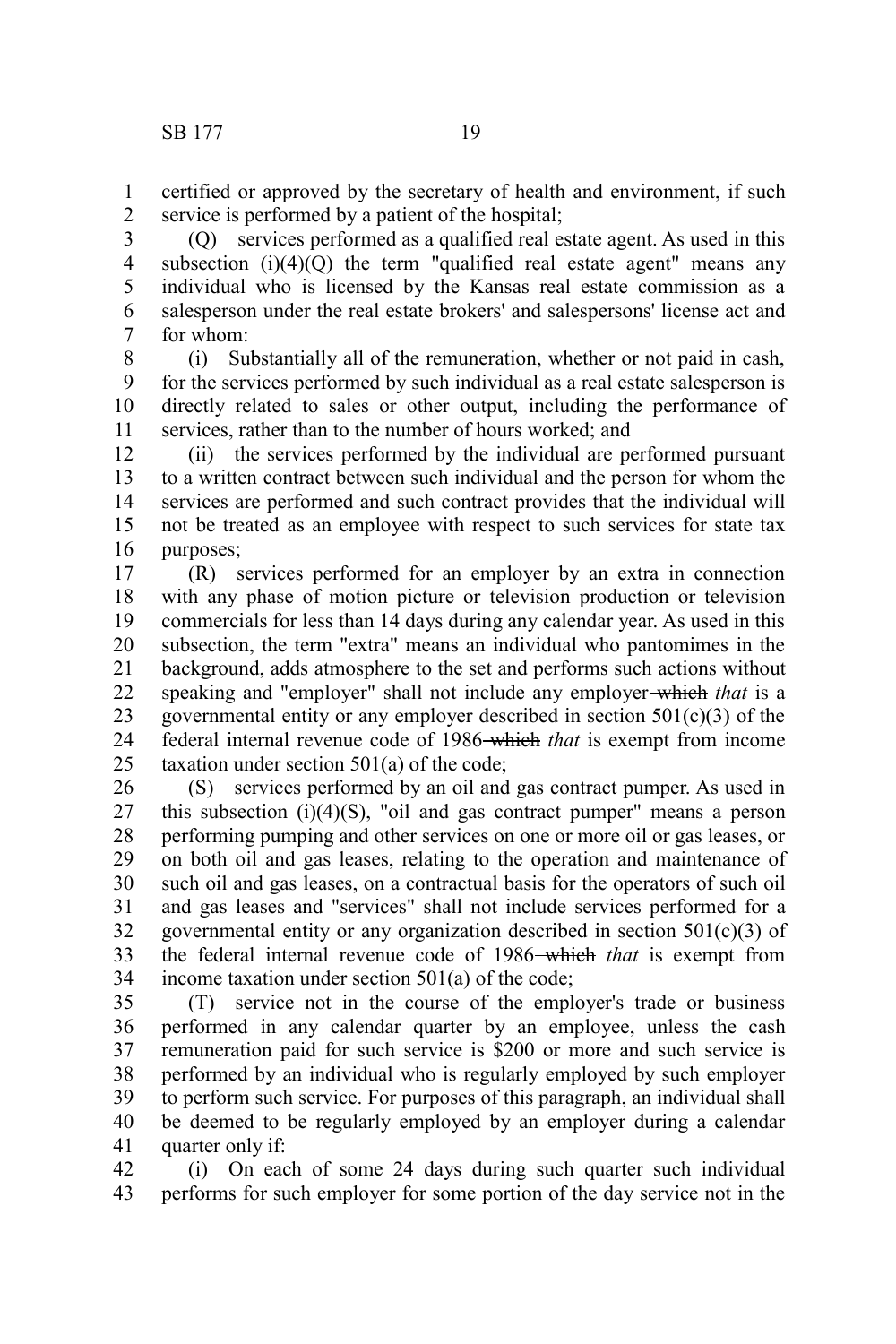certified or approved by the secretary of health and environment, if such service is performed by a patient of the hospital; 1 2

(Q) services performed as a qualified real estate agent. As used in this subsection  $(i)(4)(O)$  the term "qualified real estate agent" means any individual who is licensed by the Kansas real estate commission as a salesperson under the real estate brokers' and salespersons' license act and for whom: 3 4 5 6 7

(i) Substantially all of the remuneration, whether or not paid in cash, for the services performed by such individual as a real estate salesperson is directly related to sales or other output, including the performance of services, rather than to the number of hours worked; and 8 9 10 11

(ii) the services performed by the individual are performed pursuant to a written contract between such individual and the person for whom the services are performed and such contract provides that the individual will not be treated as an employee with respect to such services for state tax purposes; 12 13 14 15 16

(R) services performed for an employer by an extra in connection with any phase of motion picture or television production or television commercials for less than 14 days during any calendar year. As used in this subsection, the term "extra" means an individual who pantomimes in the background, adds atmosphere to the set and performs such actions without speaking and "employer" shall not include any employer which *that* is a governmental entity or any employer described in section  $501(c)(3)$  of the federal internal revenue code of 1986 which *that* is exempt from income taxation under section 501(a) of the code; 17 18 19 20 21 22 23 24 25

(S) services performed by an oil and gas contract pumper. As used in this subsection  $(i)(4)(S)$ , "oil and gas contract pumper" means a person performing pumping and other services on one or more oil or gas leases, or on both oil and gas leases, relating to the operation and maintenance of such oil and gas leases, on a contractual basis for the operators of such oil and gas leases and "services" shall not include services performed for a governmental entity or any organization described in section  $501(c)(3)$  of the federal internal revenue code of 1986 which *that* is exempt from income taxation under section 501(a) of the code; 26 27 28 29 30 31 32 33 34

(T) service not in the course of the employer's trade or business performed in any calendar quarter by an employee, unless the cash remuneration paid for such service is \$200 or more and such service is performed by an individual who is regularly employed by such employer to perform such service. For purposes of this paragraph, an individual shall be deemed to be regularly employed by an employer during a calendar quarter only if: 35 36 37 38 39 40 41

(i) On each of some 24 days during such quarter such individual performs for such employer for some portion of the day service not in the 42 43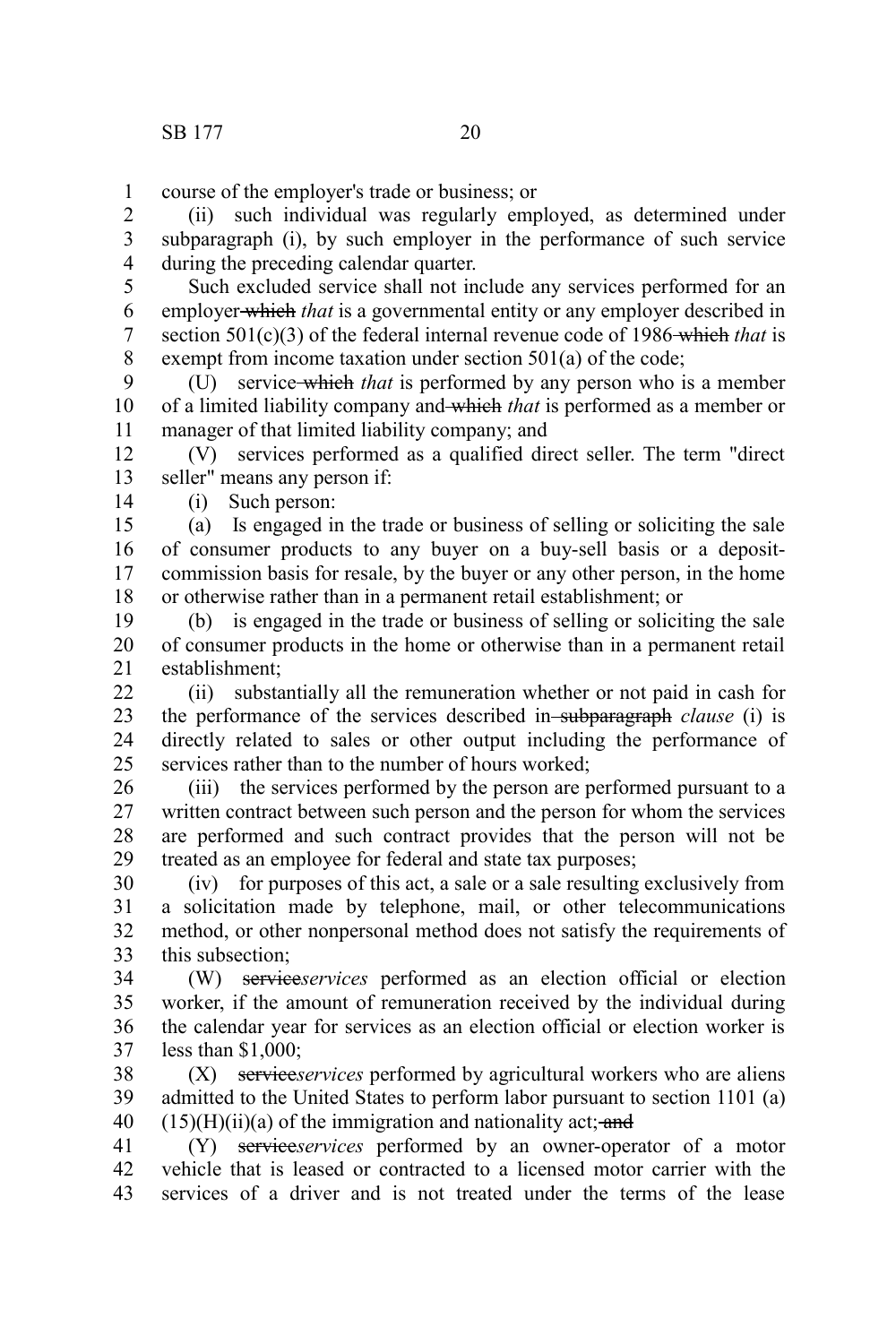course of the employer's trade or business; or 1

(ii) such individual was regularly employed, as determined under subparagraph (i), by such employer in the performance of such service during the preceding calendar quarter. 2 3 4

Such excluded service shall not include any services performed for an employer which *that* is a governmental entity or any employer described in section 501(c)(3) of the federal internal revenue code of 1986-which *that* is exempt from income taxation under section 501(a) of the code; 5 6 7 8

(U) service which *that* is performed by any person who is a member of a limited liability company and which *that* is performed as a member or manager of that limited liability company; and  $\mathbf{Q}$ 10 11

(V) services performed as a qualified direct seller. The term "direct seller" means any person if: 12 13

(i) Such person: 14

(a) Is engaged in the trade or business of selling or soliciting the sale of consumer products to any buyer on a buy-sell basis or a depositcommission basis for resale, by the buyer or any other person, in the home or otherwise rather than in a permanent retail establishment; or 15 16 17 18

(b) is engaged in the trade or business of selling or soliciting the sale of consumer products in the home or otherwise than in a permanent retail establishment; 19 20 21

(ii) substantially all the remuneration whether or not paid in cash for the performance of the services described in subparagraph *clause* (i) is directly related to sales or other output including the performance of services rather than to the number of hours worked;  $22$ 23 24 25

(iii) the services performed by the person are performed pursuant to a written contract between such person and the person for whom the services are performed and such contract provides that the person will not be treated as an employee for federal and state tax purposes; 26 27 28 29

(iv) for purposes of this act, a sale or a sale resulting exclusively from a solicitation made by telephone, mail, or other telecommunications method, or other nonpersonal method does not satisfy the requirements of this subsection; 30 31 32 33

(W) service*services* performed as an election official or election worker, if the amount of remuneration received by the individual during the calendar year for services as an election official or election worker is less than \$1,000; 34 35 36 37

(X) service*services* performed by agricultural workers who are aliens admitted to the United States to perform labor pursuant to section 1101 (a)  $(15)(H)(ii)(a)$  of the immigration and nationality act; and 38 39 40

(Y) service*services* performed by an owner-operator of a motor vehicle that is leased or contracted to a licensed motor carrier with the services of a driver and is not treated under the terms of the lease 41 42 43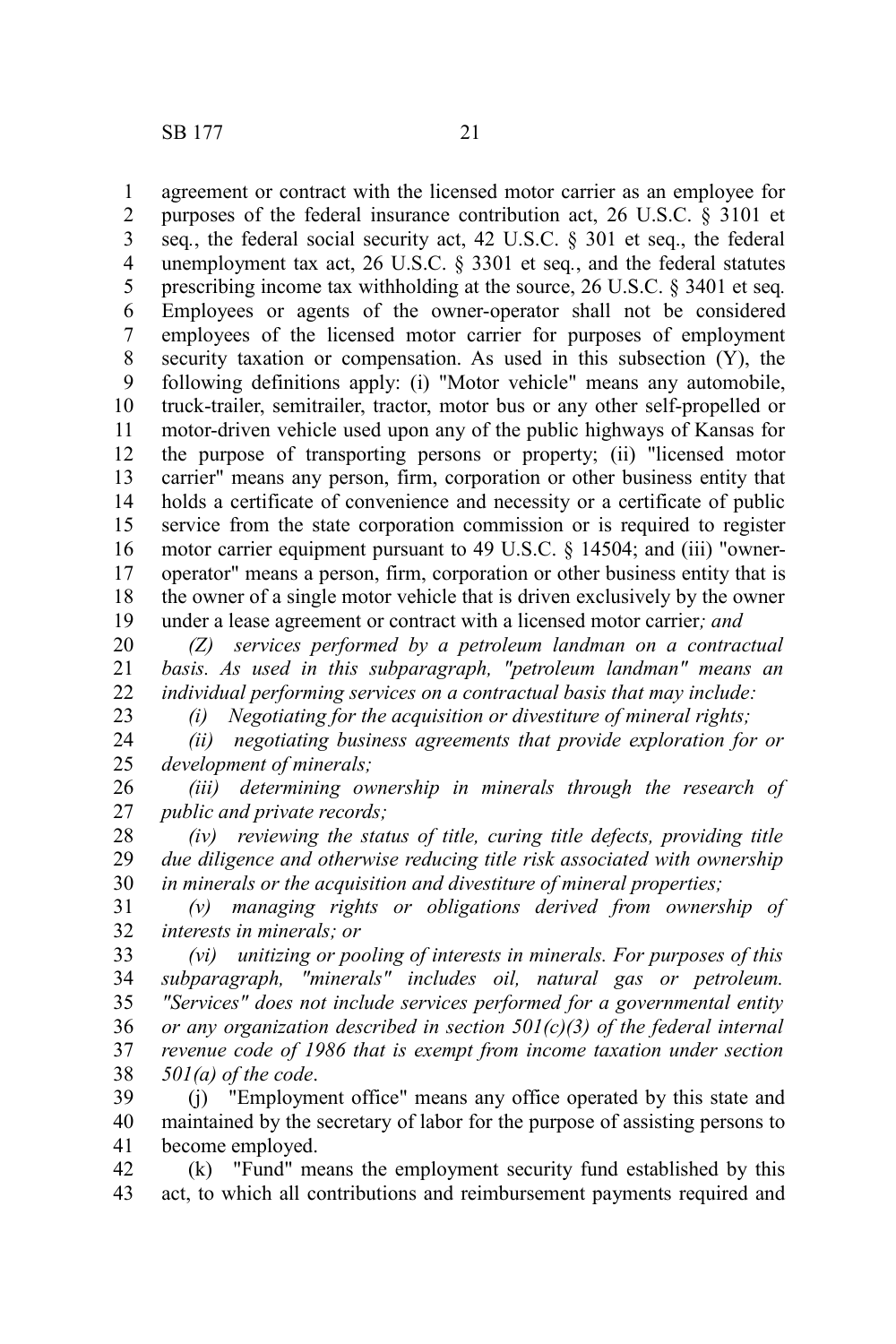23

agreement or contract with the licensed motor carrier as an employee for purposes of the federal insurance contribution act, 26 U.S.C. § 3101 et seq*.*, the federal social security act, 42 U.S.C. § 301 et seq., the federal unemployment tax act, 26 U.S.C. § 3301 et seq*.*, and the federal statutes prescribing income tax withholding at the source, 26 U.S.C. § 3401 et seq*.* Employees or agents of the owner-operator shall not be considered employees of the licensed motor carrier for purposes of employment security taxation or compensation. As used in this subsection (Y), the following definitions apply: (i) "Motor vehicle" means any automobile, truck-trailer, semitrailer, tractor, motor bus or any other self-propelled or motor-driven vehicle used upon any of the public highways of Kansas for the purpose of transporting persons or property; (ii) "licensed motor carrier" means any person, firm, corporation or other business entity that holds a certificate of convenience and necessity or a certificate of public service from the state corporation commission or is required to register motor carrier equipment pursuant to 49 U.S.C. § 14504; and (iii) "owneroperator" means a person, firm, corporation or other business entity that is the owner of a single motor vehicle that is driven exclusively by the owner under a lease agreement or contract with a licensed motor carrier*; and* 1 2 3 4 5 6 7 8 9 10 11 12 13 14 15 16 17 18 19

*(Z) services performed by a petroleum landman on a contractual basis. As used in this subparagraph, "petroleum landman" means an individual performing services on a contractual basis that may include:* 20 21 22

*(i) Negotiating for the acquisition or divestiture of mineral rights;*

*(ii) negotiating business agreements that provide exploration for or development of minerals;* 24 25

*(iii) determining ownership in minerals through the research of public and private records;* 26 27

*(iv) reviewing the status of title, curing title defects, providing title due diligence and otherwise reducing title risk associated with ownership in minerals or the acquisition and divestiture of mineral properties;* 28 29 30

*(v) managing rights or obligations derived from ownership of interests in minerals; or*  31 32

*(vi) unitizing or pooling of interests in minerals. For purposes of this subparagraph, "minerals" includes oil, natural gas or petroleum. "Services" does not include services performed for a governmental entity or any organization described in section 501(c)(3) of the federal internal revenue code of 1986 that is exempt from income taxation under section 501(a) of the code*. 33 34 35 36 37 38

(j) "Employment office" means any office operated by this state and maintained by the secretary of labor for the purpose of assisting persons to become employed. 39 40 41

(k) "Fund" means the employment security fund established by this act, to which all contributions and reimbursement payments required and 42 43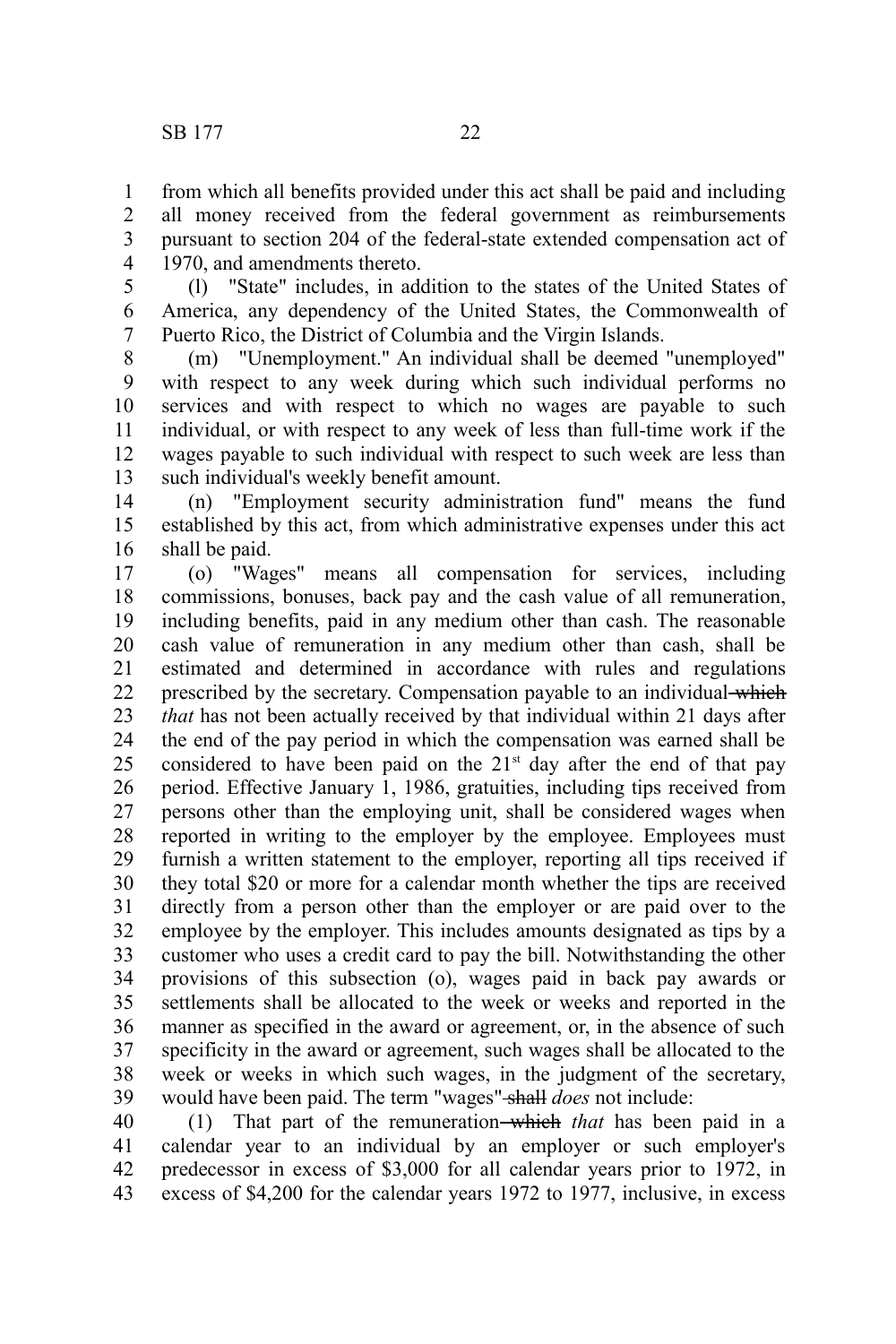from which all benefits provided under this act shall be paid and including all money received from the federal government as reimbursements pursuant to section 204 of the federal-state extended compensation act of 1970, and amendments thereto. 1 2 3 4

(l) "State" includes, in addition to the states of the United States of America, any dependency of the United States, the Commonwealth of Puerto Rico, the District of Columbia and the Virgin Islands. 5 6 7

(m) "Unemployment." An individual shall be deemed "unemployed" with respect to any week during which such individual performs no services and with respect to which no wages are payable to such individual, or with respect to any week of less than full-time work if the wages payable to such individual with respect to such week are less than such individual's weekly benefit amount. 8 9 10 11 12 13

(n) "Employment security administration fund" means the fund established by this act, from which administrative expenses under this act shall be paid. 14 15 16

(o) "Wages" means all compensation for services, including commissions, bonuses, back pay and the cash value of all remuneration, including benefits, paid in any medium other than cash. The reasonable cash value of remuneration in any medium other than cash, shall be estimated and determined in accordance with rules and regulations prescribed by the secretary. Compensation payable to an individual which *that* has not been actually received by that individual within 21 days after the end of the pay period in which the compensation was earned shall be considered to have been paid on the  $21<sup>st</sup>$  day after the end of that pay period. Effective January 1, 1986, gratuities, including tips received from persons other than the employing unit, shall be considered wages when reported in writing to the employer by the employee. Employees must furnish a written statement to the employer, reporting all tips received if they total \$20 or more for a calendar month whether the tips are received directly from a person other than the employer or are paid over to the employee by the employer. This includes amounts designated as tips by a customer who uses a credit card to pay the bill. Notwithstanding the other provisions of this subsection (o), wages paid in back pay awards or settlements shall be allocated to the week or weeks and reported in the manner as specified in the award or agreement, or, in the absence of such specificity in the award or agreement, such wages shall be allocated to the week or weeks in which such wages, in the judgment of the secretary, would have been paid. The term "wages" shall *does* not include: 17 18 19 20 21 22 23 24 25 26 27 28 29 30 31 32 33 34 35 36 37 38 39

(1) That part of the remuneration which *that* has been paid in a calendar year to an individual by an employer or such employer's predecessor in excess of \$3,000 for all calendar years prior to 1972, in excess of \$4,200 for the calendar years 1972 to 1977, inclusive, in excess 40 41 42 43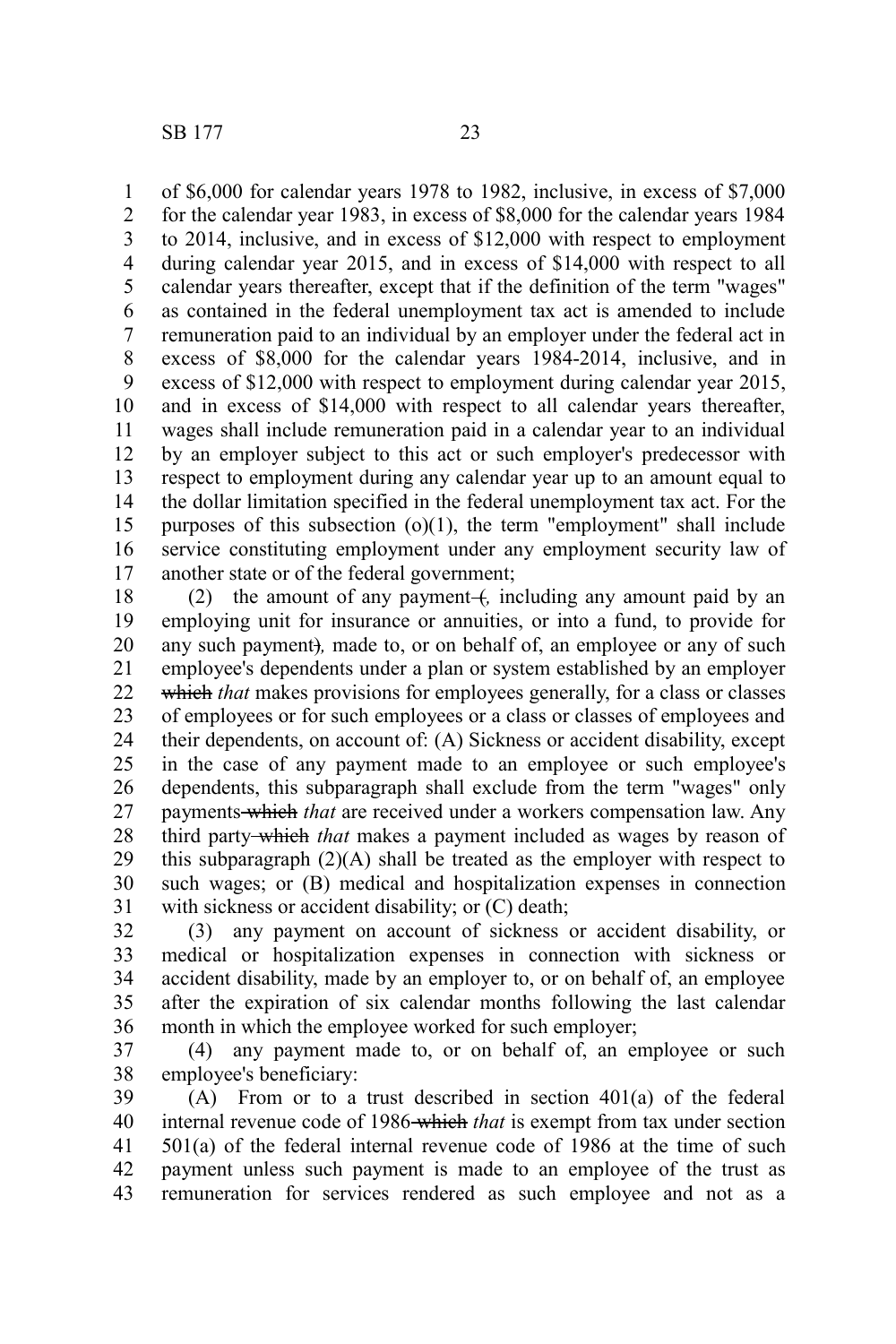of \$6,000 for calendar years 1978 to 1982, inclusive, in excess of \$7,000 for the calendar year 1983, in excess of \$8,000 for the calendar years 1984 to 2014, inclusive, and in excess of \$12,000 with respect to employment during calendar year 2015, and in excess of \$14,000 with respect to all calendar years thereafter, except that if the definition of the term "wages" as contained in the federal unemployment tax act is amended to include remuneration paid to an individual by an employer under the federal act in excess of \$8,000 for the calendar years 1984-2014, inclusive, and in excess of \$12,000 with respect to employment during calendar year 2015, and in excess of \$14,000 with respect to all calendar years thereafter, wages shall include remuneration paid in a calendar year to an individual by an employer subject to this act or such employer's predecessor with respect to employment during any calendar year up to an amount equal to the dollar limitation specified in the federal unemployment tax act. For the purposes of this subsection  $(o)(1)$ , the term "employment" shall include service constituting employment under any employment security law of another state or of the federal government; 1 2 3 4 5 6 7 8 9 10 11 12 13 14 15 16 17

(2) the amount of any payment (*i*, including any amount paid by an employing unit for insurance or annuities, or into a fund, to provide for any such payment)*,* made to, or on behalf of, an employee or any of such employee's dependents under a plan or system established by an employer which *that* makes provisions for employees generally, for a class or classes of employees or for such employees or a class or classes of employees and their dependents, on account of: (A) Sickness or accident disability, except in the case of any payment made to an employee or such employee's dependents, this subparagraph shall exclude from the term "wages" only payments which *that* are received under a workers compensation law. Any third party which *that* makes a payment included as wages by reason of this subparagraph  $(2)(A)$  shall be treated as the employer with respect to such wages; or (B) medical and hospitalization expenses in connection with sickness or accident disability; or  $(C)$  death; 18 19 20 21 22 23 24 25 26 27 28 29 30 31

(3) any payment on account of sickness or accident disability, or medical or hospitalization expenses in connection with sickness or accident disability, made by an employer to, or on behalf of, an employee after the expiration of six calendar months following the last calendar month in which the employee worked for such employer; 32 33 34 35 36

(4) any payment made to, or on behalf of, an employee or such employee's beneficiary: 37 38

(A) From or to a trust described in section 401(a) of the federal internal revenue code of 1986 which *that* is exempt from tax under section 501(a) of the federal internal revenue code of 1986 at the time of such payment unless such payment is made to an employee of the trust as remuneration for services rendered as such employee and not as a 39 40 41 42 43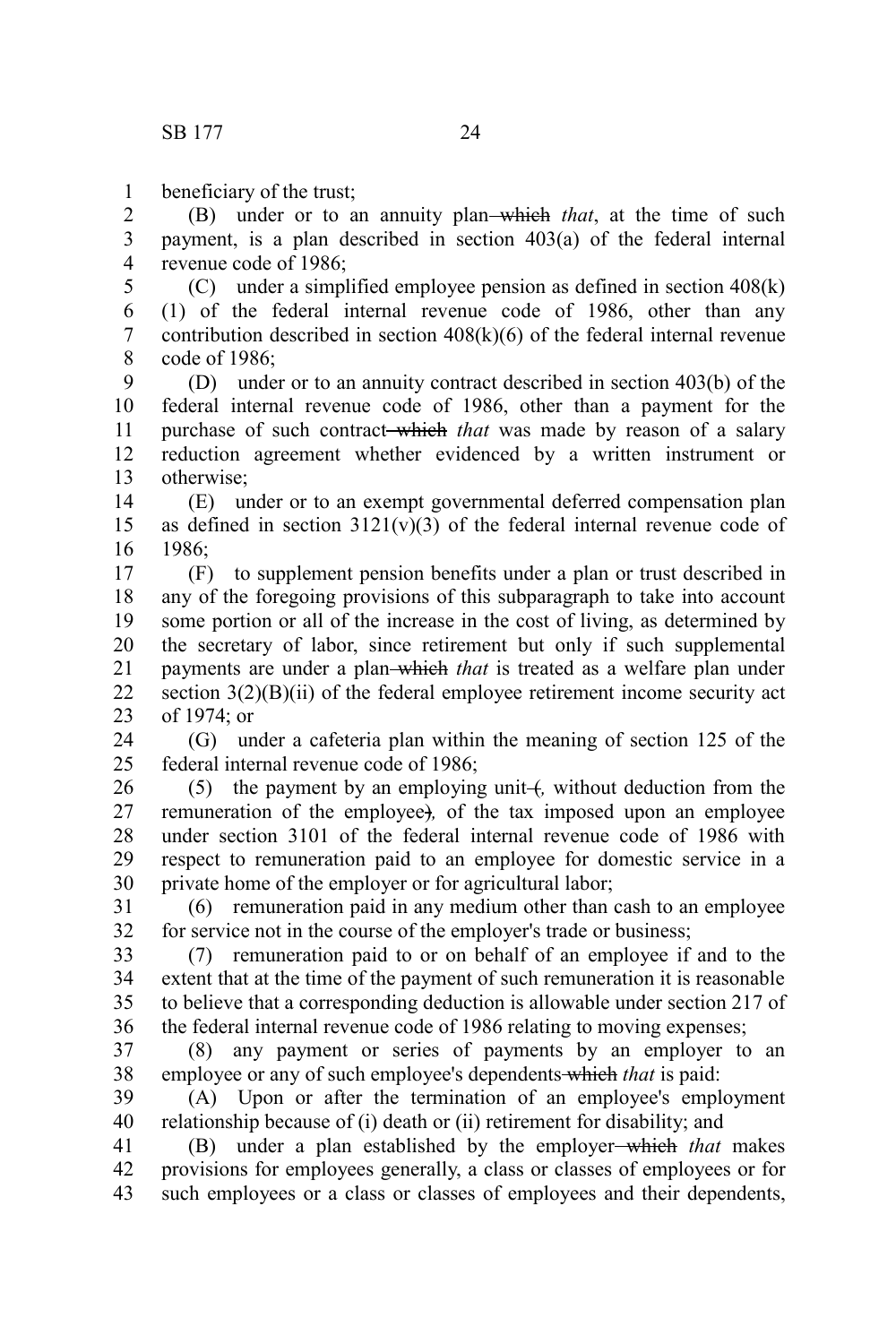beneficiary of the trust; 1

(B) under or to an annuity plan which *that*, at the time of such payment, is a plan described in section 403(a) of the federal internal revenue code of 1986; 2 3 4

(C) under a simplified employee pension as defined in section 408(k) (1) of the federal internal revenue code of 1986, other than any contribution described in section 408(k)(6) of the federal internal revenue code of 1986; 5 6 7 8

(D) under or to an annuity contract described in section 403(b) of the federal internal revenue code of 1986, other than a payment for the purchase of such contract which *that* was made by reason of a salary reduction agreement whether evidenced by a written instrument or otherwise; 9 10 11 12 13

(E) under or to an exempt governmental deferred compensation plan as defined in section  $3121(v)(3)$  of the federal internal revenue code of 1986; 14 15 16

(F) to supplement pension benefits under a plan or trust described in any of the foregoing provisions of this subparagraph to take into account some portion or all of the increase in the cost of living, as determined by the secretary of labor, since retirement but only if such supplemental payments are under a plan which *that* is treated as a welfare plan under section  $3(2)(B)(ii)$  of the federal employee retirement income security act of 1974; or 17 18 19 20 21 22 23

(G) under a cafeteria plan within the meaning of section 125 of the federal internal revenue code of 1986; 24  $25$ 

(5) the payment by an employing unit +, without deduction from the remuneration of the employee)*,* of the tax imposed upon an employee under section 3101 of the federal internal revenue code of 1986 with respect to remuneration paid to an employee for domestic service in a private home of the employer or for agricultural labor; 26 27 28 29 30

(6) remuneration paid in any medium other than cash to an employee for service not in the course of the employer's trade or business; 31 32

(7) remuneration paid to or on behalf of an employee if and to the extent that at the time of the payment of such remuneration it is reasonable to believe that a corresponding deduction is allowable under section 217 of the federal internal revenue code of 1986 relating to moving expenses; 33 34 35 36

(8) any payment or series of payments by an employer to an employee or any of such employee's dependents which *that* is paid: 37 38

(A) Upon or after the termination of an employee's employment relationship because of (i) death or (ii) retirement for disability; and 39 40

(B) under a plan established by the employer which *that* makes provisions for employees generally, a class or classes of employees or for such employees or a class or classes of employees and their dependents, 41 42 43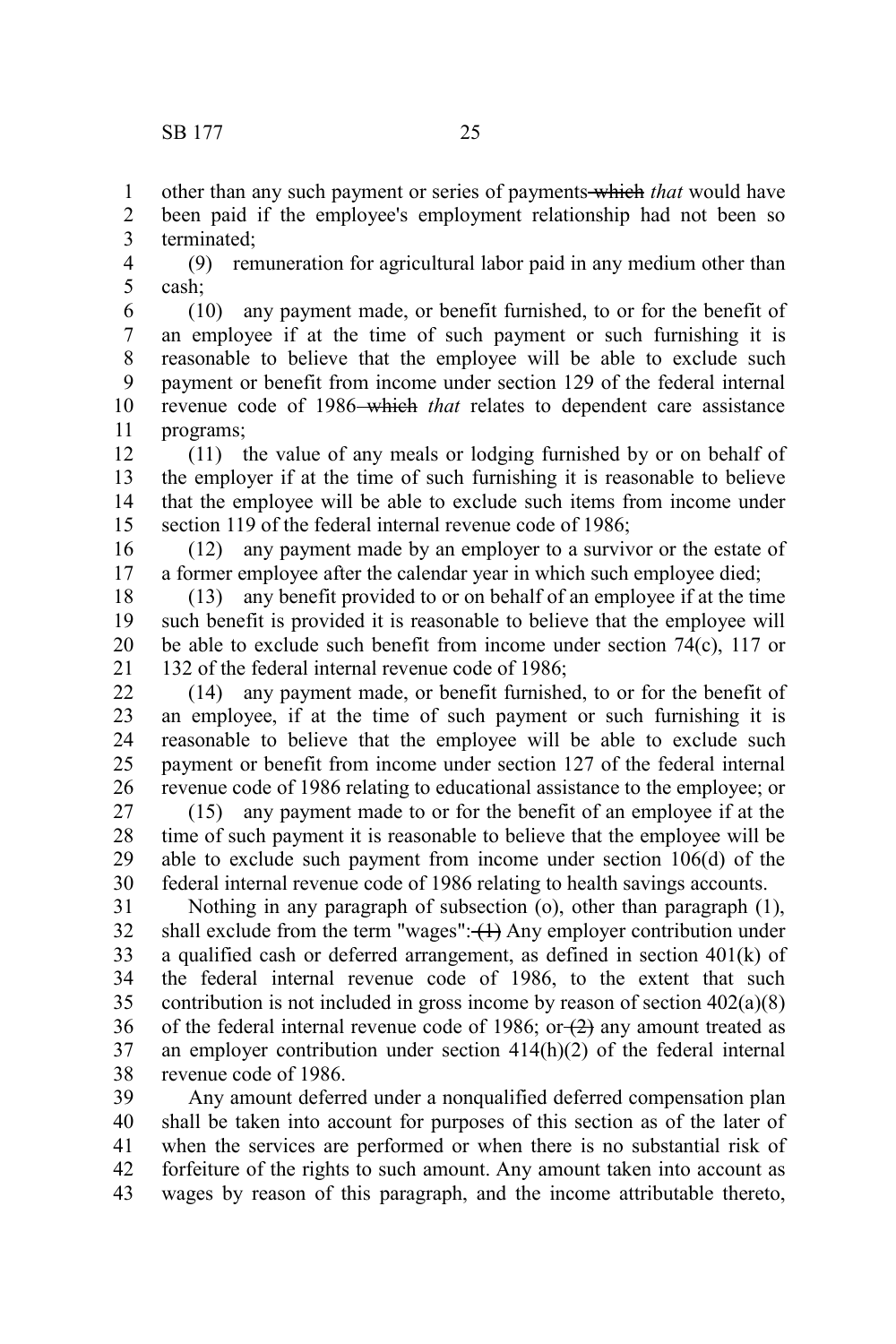other than any such payment or series of payments which *that* would have been paid if the employee's employment relationship had not been so terminated; 1 2 3

(9) remuneration for agricultural labor paid in any medium other than cash; 4 5

(10) any payment made, or benefit furnished, to or for the benefit of an employee if at the time of such payment or such furnishing it is reasonable to believe that the employee will be able to exclude such payment or benefit from income under section 129 of the federal internal revenue code of 1986–which *that* relates to dependent care assistance programs; 6 7 8 9 10 11

(11) the value of any meals or lodging furnished by or on behalf of the employer if at the time of such furnishing it is reasonable to believe that the employee will be able to exclude such items from income under section 119 of the federal internal revenue code of 1986; 12 13 14 15

(12) any payment made by an employer to a survivor or the estate of a former employee after the calendar year in which such employee died; 16 17

(13) any benefit provided to or on behalf of an employee if at the time such benefit is provided it is reasonable to believe that the employee will be able to exclude such benefit from income under section 74(c), 117 or 132 of the federal internal revenue code of 1986; 18 19 20 21

(14) any payment made, or benefit furnished, to or for the benefit of an employee, if at the time of such payment or such furnishing it is reasonable to believe that the employee will be able to exclude such payment or benefit from income under section 127 of the federal internal revenue code of 1986 relating to educational assistance to the employee; or 22 23 24 25 26

(15) any payment made to or for the benefit of an employee if at the time of such payment it is reasonable to believe that the employee will be able to exclude such payment from income under section 106(d) of the federal internal revenue code of 1986 relating to health savings accounts. 27 28 29 30

Nothing in any paragraph of subsection (o), other than paragraph (1), shall exclude from the term "wages": $\left\langle \uparrow \right\rangle$  Any employer contribution under a qualified cash or deferred arrangement, as defined in section 401(k) of the federal internal revenue code of 1986, to the extent that such contribution is not included in gross income by reason of section 402(a)(8) of the federal internal revenue code of 1986; or  $(2)$  any amount treated as an employer contribution under section 414(h)(2) of the federal internal revenue code of 1986. 31 32 33 34 35 36 37 38

Any amount deferred under a nonqualified deferred compensation plan shall be taken into account for purposes of this section as of the later of when the services are performed or when there is no substantial risk of forfeiture of the rights to such amount. Any amount taken into account as wages by reason of this paragraph, and the income attributable thereto, 39 40 41 42 43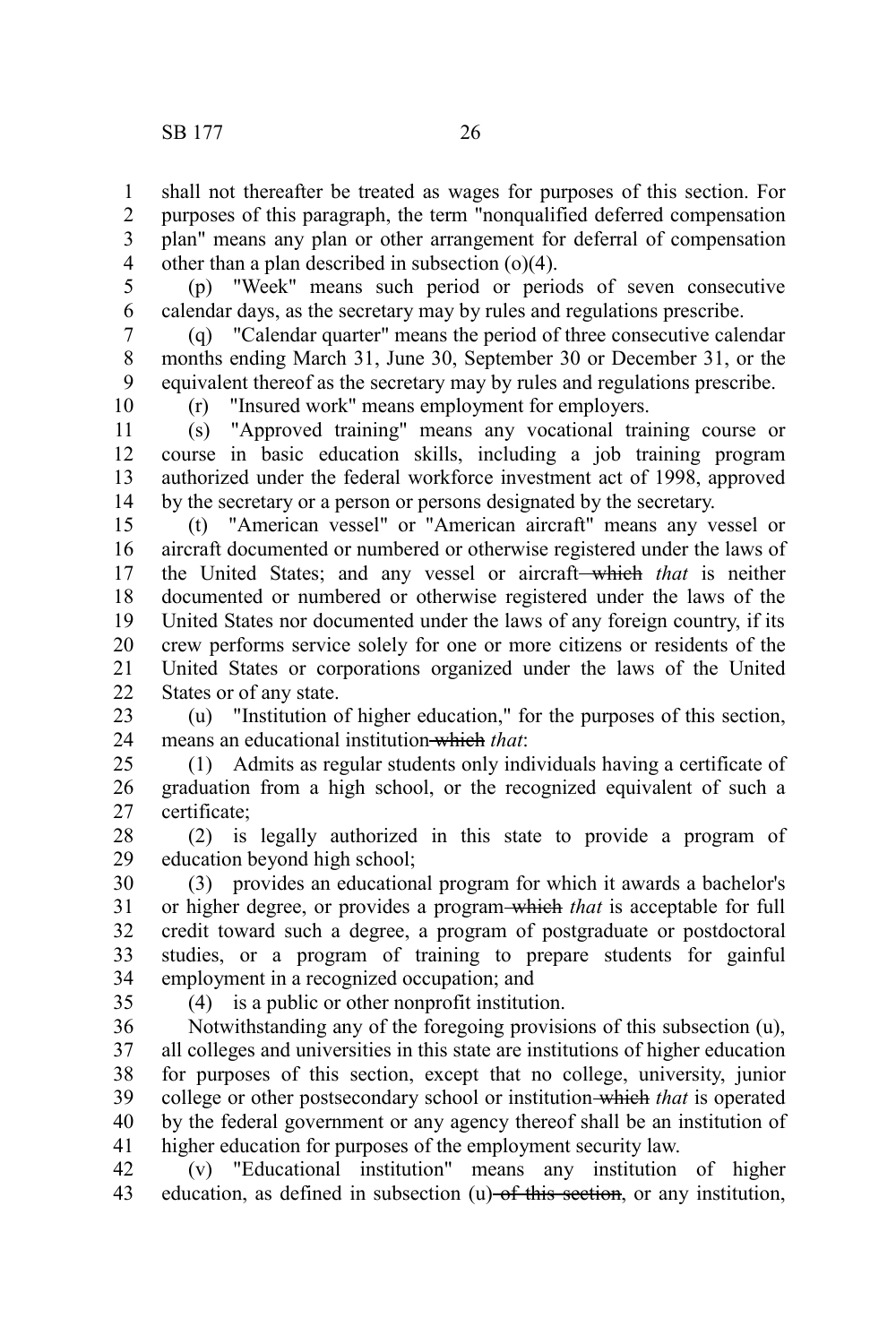shall not thereafter be treated as wages for purposes of this section. For purposes of this paragraph, the term "nonqualified deferred compensation plan" means any plan or other arrangement for deferral of compensation other than a plan described in subsection (o)(4). 1 2 3 4

5

(p) "Week" means such period or periods of seven consecutive calendar days, as the secretary may by rules and regulations prescribe. 6

(q) "Calendar quarter" means the period of three consecutive calendar months ending March 31, June 30, September 30 or December 31, or the equivalent thereof as the secretary may by rules and regulations prescribe. 7 8 9

10

(r) "Insured work" means employment for employers.

(s) "Approved training" means any vocational training course or course in basic education skills, including a job training program authorized under the federal workforce investment act of 1998, approved by the secretary or a person or persons designated by the secretary. 11 12 13 14

(t) "American vessel" or "American aircraft" means any vessel or aircraft documented or numbered or otherwise registered under the laws of the United States; and any vessel or aircraft which *that* is neither documented or numbered or otherwise registered under the laws of the United States nor documented under the laws of any foreign country, if its crew performs service solely for one or more citizens or residents of the United States or corporations organized under the laws of the United States or of any state. 15 16 17 18 19 20 21 22

(u) "Institution of higher education," for the purposes of this section, means an educational institution which *that*: 23 24

(1) Admits as regular students only individuals having a certificate of graduation from a high school, or the recognized equivalent of such a certificate; 25 26 27

(2) is legally authorized in this state to provide a program of education beyond high school; 28 29

(3) provides an educational program for which it awards a bachelor's or higher degree, or provides a program which *that* is acceptable for full credit toward such a degree, a program of postgraduate or postdoctoral studies, or a program of training to prepare students for gainful employment in a recognized occupation; and 30 31 32 33 34

35

(4) is a public or other nonprofit institution.

Notwithstanding any of the foregoing provisions of this subsection (u), all colleges and universities in this state are institutions of higher education for purposes of this section, except that no college, university, junior college or other postsecondary school or institution which *that* is operated by the federal government or any agency thereof shall be an institution of higher education for purposes of the employment security law. 36 37 38 39 40 41

(v) "Educational institution" means any institution of higher education, as defined in subsection  $(u)$  of this section, or any institution, 42 43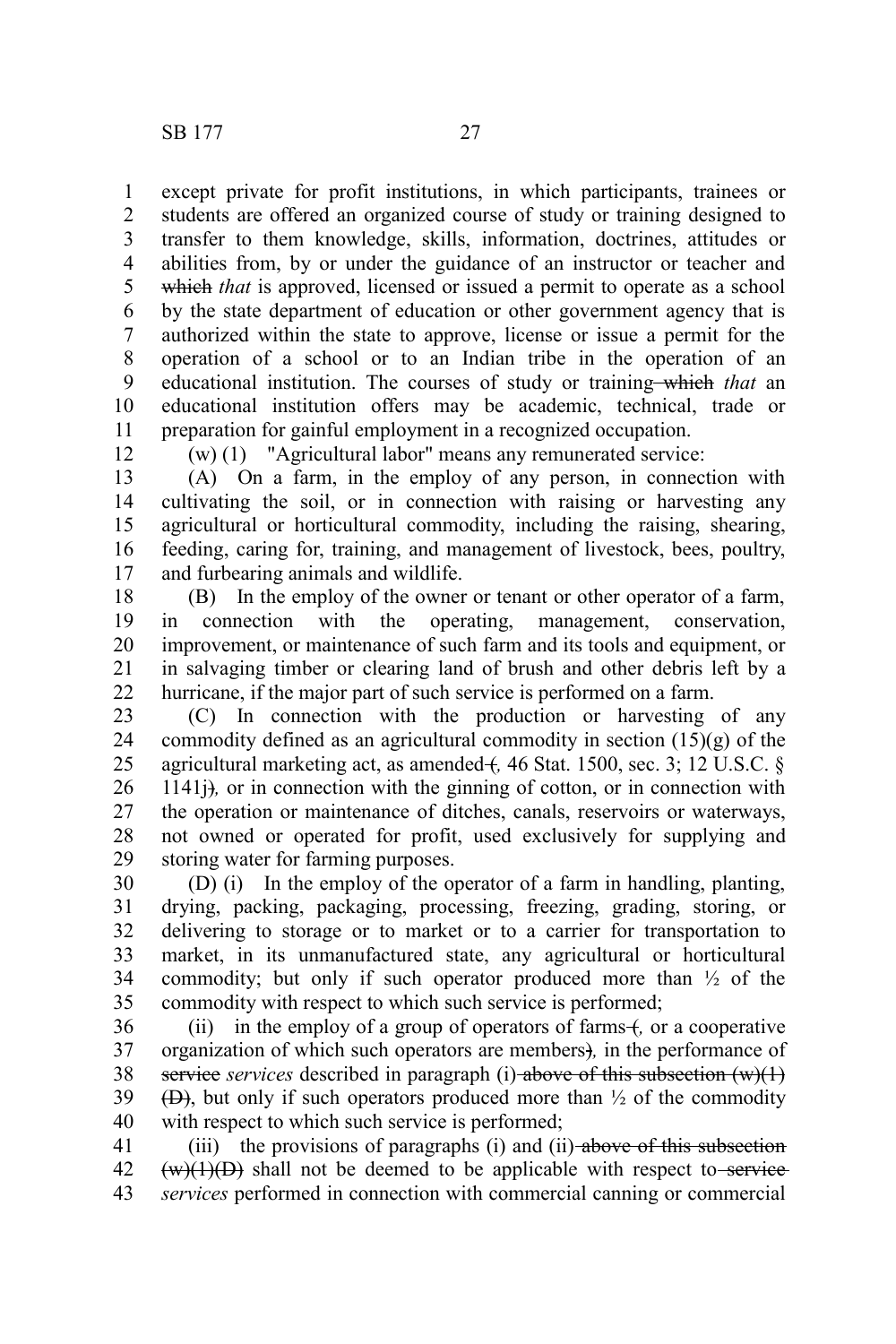except private for profit institutions, in which participants, trainees or students are offered an organized course of study or training designed to transfer to them knowledge, skills, information, doctrines, attitudes or abilities from, by or under the guidance of an instructor or teacher and which *that* is approved, licensed or issued a permit to operate as a school by the state department of education or other government agency that is authorized within the state to approve, license or issue a permit for the operation of a school or to an Indian tribe in the operation of an educational institution. The courses of study or training—which that an educational institution offers may be academic, technical, trade or preparation for gainful employment in a recognized occupation. 1 2 3 4 5 6 7 8 9 10 11

12

(w) (1) "Agricultural labor" means any remunerated service:

(A) On a farm, in the employ of any person, in connection with cultivating the soil, or in connection with raising or harvesting any agricultural or horticultural commodity, including the raising, shearing, feeding, caring for, training, and management of livestock, bees, poultry, and furbearing animals and wildlife. 13 14 15 16 17

(B) In the employ of the owner or tenant or other operator of a farm, in connection with the operating, management, conservation, improvement, or maintenance of such farm and its tools and equipment, or in salvaging timber or clearing land of brush and other debris left by a hurricane, if the major part of such service is performed on a farm. 18 19 20 21 22

(C) In connection with the production or harvesting of any commodity defined as an agricultural commodity in section (15)(g) of the agricultural marketing act, as amended + 46 Stat. 1500, sec. 3; 12 U.S.C. § 1141j)*,* or in connection with the ginning of cotton, or in connection with the operation or maintenance of ditches, canals, reservoirs or waterways, not owned or operated for profit, used exclusively for supplying and storing water for farming purposes. 23 24 25 26 27 28 29

(D) (i) In the employ of the operator of a farm in handling, planting, drying, packing, packaging, processing, freezing, grading, storing, or delivering to storage or to market or to a carrier for transportation to market, in its unmanufactured state, any agricultural or horticultural commodity; but only if such operator produced more than  $\frac{1}{2}$  of the commodity with respect to which such service is performed; 30 31 32 33 34 35

(ii) in the employ of a group of operators of farms +, or a cooperative organization of which such operators are members)*,* in the performance of service *services* described in paragraph (i)-above of this subsection (w)(1)  $(\Theta)$ , but only if such operators produced more than  $\frac{1}{2}$  of the commodity with respect to which such service is performed; 36 37 38 39 40

(iii) the provisions of paragraphs (i) and (ii)- $above$  of this subsection  $(w)(1)(D)$  shall not be deemed to be applicable with respect to service *services* performed in connection with commercial canning or commercial 41 42 43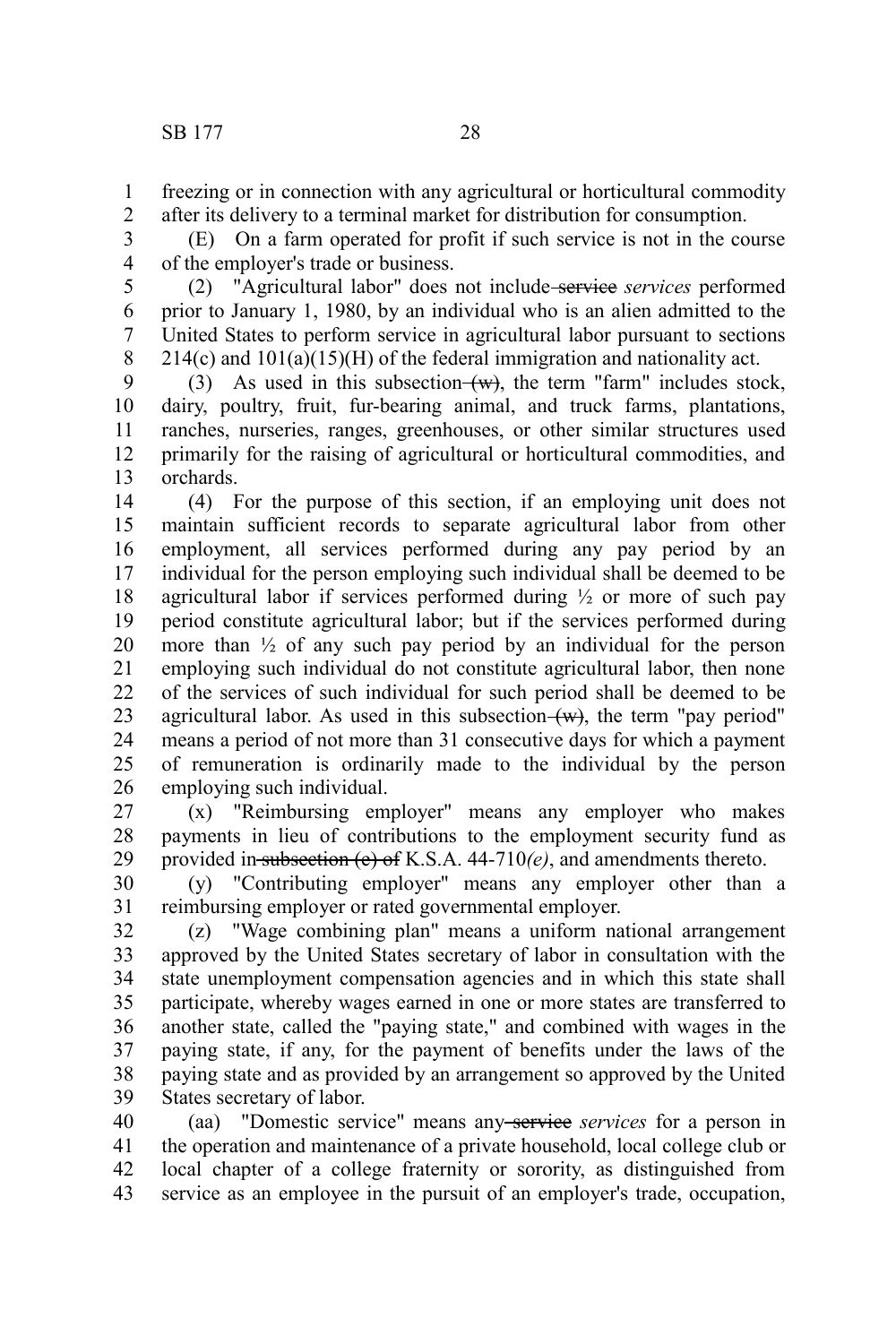freezing or in connection with any agricultural or horticultural commodity after its delivery to a terminal market for distribution for consumption. 1 2

(E) On a farm operated for profit if such service is not in the course of the employer's trade or business. 3 4

(2) "Agricultural labor" does not include service *services* performed prior to January 1, 1980, by an individual who is an alien admitted to the United States to perform service in agricultural labor pursuant to sections  $214(c)$  and  $101(a)(15)(H)$  of the federal immigration and nationality act. 5 6 7 8

(3) As used in this subsection  $(w)$ , the term "farm" includes stock, dairy, poultry, fruit, fur-bearing animal, and truck farms, plantations, ranches, nurseries, ranges, greenhouses, or other similar structures used primarily for the raising of agricultural or horticultural commodities, and orchards. 9 10 11 12 13

(4) For the purpose of this section, if an employing unit does not maintain sufficient records to separate agricultural labor from other employment, all services performed during any pay period by an individual for the person employing such individual shall be deemed to be agricultural labor if services performed during  $\frac{1}{2}$  or more of such pay period constitute agricultural labor; but if the services performed during more than ½ of any such pay period by an individual for the person employing such individual do not constitute agricultural labor, then none of the services of such individual for such period shall be deemed to be agricultural labor. As used in this subsection  $(w)$ , the term "pay period" means a period of not more than 31 consecutive days for which a payment of remuneration is ordinarily made to the individual by the person employing such individual. 14 15 16 17 18 19 20 21 22 23 24 25 26

(x) "Reimbursing employer" means any employer who makes payments in lieu of contributions to the employment security fund as provided in subsection (e) of K.S.A. 44-710*(e)*, and amendments thereto. 27 28 29

(y) "Contributing employer" means any employer other than a reimbursing employer or rated governmental employer. 30 31

(z) "Wage combining plan" means a uniform national arrangement approved by the United States secretary of labor in consultation with the state unemployment compensation agencies and in which this state shall participate, whereby wages earned in one or more states are transferred to another state, called the "paying state," and combined with wages in the paying state, if any, for the payment of benefits under the laws of the paying state and as provided by an arrangement so approved by the United States secretary of labor. 32 33 34 35 36 37 38 39

(aa) "Domestic service" means any service *services* for a person in the operation and maintenance of a private household, local college club or local chapter of a college fraternity or sorority, as distinguished from service as an employee in the pursuit of an employer's trade, occupation, 40 41 42 43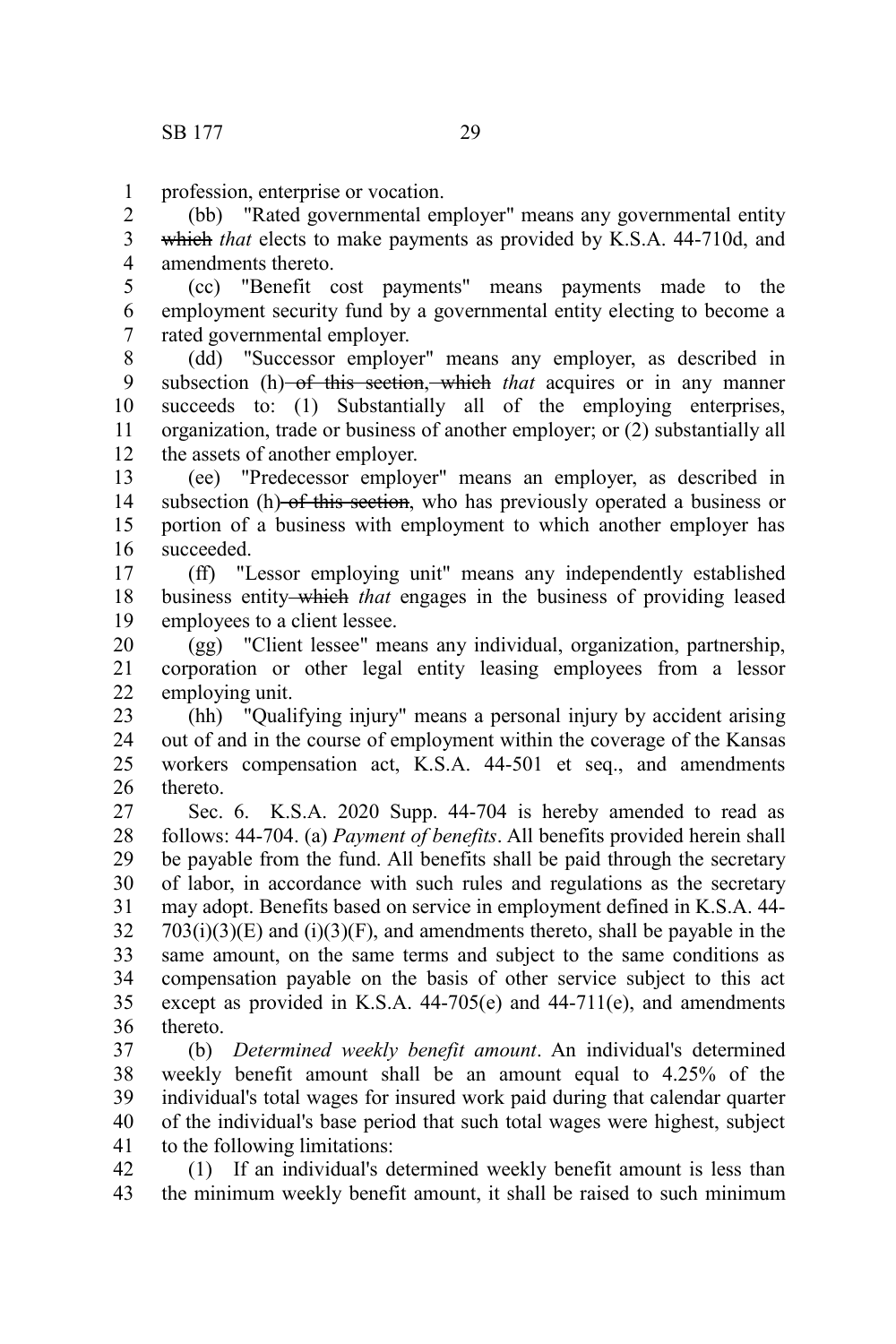1

profession, enterprise or vocation.

(bb) "Rated governmental employer" means any governmental entity which *that* elects to make payments as provided by K.S.A. 44-710d, and amendments thereto. 2 3 4

(cc) "Benefit cost payments" means payments made to the employment security fund by a governmental entity electing to become a rated governmental employer. 5 6 7

(dd) "Successor employer" means any employer, as described in subsection (h) of this section, which *that* acquires or in any manner succeeds to: (1) Substantially all of the employing enterprises, organization, trade or business of another employer; or (2) substantially all the assets of another employer. 8 9 10 11 12

(ee) "Predecessor employer" means an employer, as described in subsection (h) of this section, who has previously operated a business or portion of a business with employment to which another employer has succeeded. 13 14 15 16

(ff) "Lessor employing unit" means any independently established business entity which *that* engages in the business of providing leased employees to a client lessee. 17 18 19

(gg) "Client lessee" means any individual, organization, partnership, corporation or other legal entity leasing employees from a lessor employing unit. 20 21 22

(hh) "Qualifying injury" means a personal injury by accident arising out of and in the course of employment within the coverage of the Kansas workers compensation act, K.S.A. 44-501 et seq., and amendments thereto. 23 24 25 26

Sec. 6. K.S.A. 2020 Supp. 44-704 is hereby amended to read as follows: 44-704. (a) *Payment of benefits*. All benefits provided herein shall be payable from the fund. All benefits shall be paid through the secretary of labor, in accordance with such rules and regulations as the secretary may adopt. Benefits based on service in employment defined in K.S.A. 44-  $703(i)(3)(E)$  and  $(i)(3)(F)$ , and amendments thereto, shall be payable in the same amount, on the same terms and subject to the same conditions as compensation payable on the basis of other service subject to this act except as provided in K.S.A. 44-705(e) and 44-711(e), and amendments thereto. 27 28 29 30 31 32 33 34 35 36

(b) *Determined weekly benefit amount*. An individual's determined weekly benefit amount shall be an amount equal to 4.25% of the individual's total wages for insured work paid during that calendar quarter of the individual's base period that such total wages were highest, subject to the following limitations: 37 38 39 40 41

(1) If an individual's determined weekly benefit amount is less than the minimum weekly benefit amount, it shall be raised to such minimum 42 43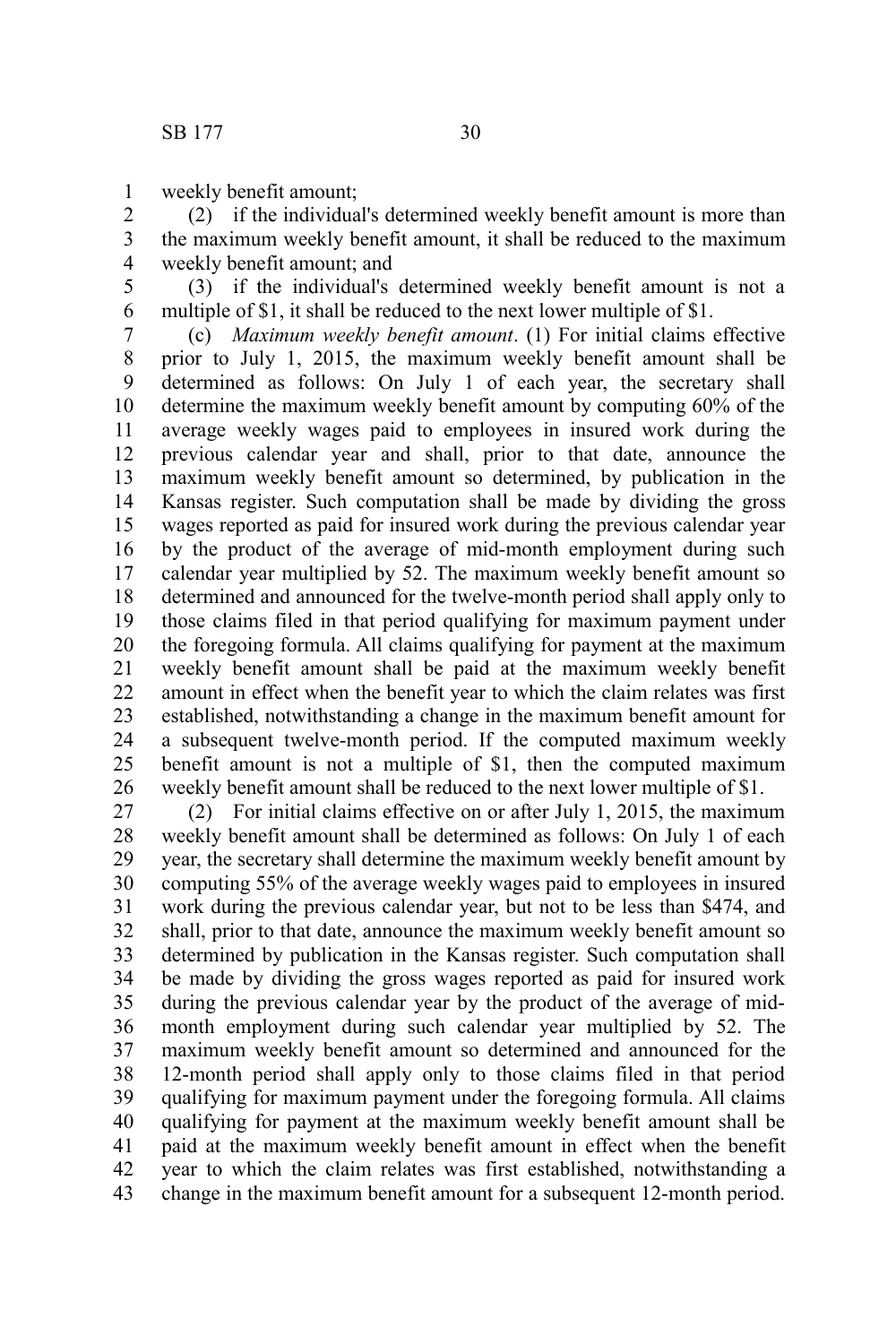weekly benefit amount; 1

(2) if the individual's determined weekly benefit amount is more than the maximum weekly benefit amount, it shall be reduced to the maximum weekly benefit amount; and 2 3 4

(3) if the individual's determined weekly benefit amount is not a multiple of \$1, it shall be reduced to the next lower multiple of \$1. 5 6

(c) *Maximum weekly benefit amount*. (1) For initial claims effective prior to July 1, 2015, the maximum weekly benefit amount shall be determined as follows: On July 1 of each year, the secretary shall determine the maximum weekly benefit amount by computing 60% of the average weekly wages paid to employees in insured work during the previous calendar year and shall, prior to that date, announce the maximum weekly benefit amount so determined, by publication in the Kansas register. Such computation shall be made by dividing the gross wages reported as paid for insured work during the previous calendar year by the product of the average of mid-month employment during such calendar year multiplied by 52. The maximum weekly benefit amount so determined and announced for the twelve-month period shall apply only to those claims filed in that period qualifying for maximum payment under the foregoing formula. All claims qualifying for payment at the maximum weekly benefit amount shall be paid at the maximum weekly benefit amount in effect when the benefit year to which the claim relates was first established, notwithstanding a change in the maximum benefit amount for a subsequent twelve-month period. If the computed maximum weekly benefit amount is not a multiple of \$1, then the computed maximum weekly benefit amount shall be reduced to the next lower multiple of \$1. 7 8 9 10 11 12 13 14 15 16 17 18 19 20 21 22 23 24 25 26

(2) For initial claims effective on or after July 1, 2015, the maximum weekly benefit amount shall be determined as follows: On July 1 of each year, the secretary shall determine the maximum weekly benefit amount by computing 55% of the average weekly wages paid to employees in insured work during the previous calendar year, but not to be less than \$474, and shall, prior to that date, announce the maximum weekly benefit amount so determined by publication in the Kansas register. Such computation shall be made by dividing the gross wages reported as paid for insured work during the previous calendar year by the product of the average of midmonth employment during such calendar year multiplied by 52. The maximum weekly benefit amount so determined and announced for the 12-month period shall apply only to those claims filed in that period qualifying for maximum payment under the foregoing formula. All claims qualifying for payment at the maximum weekly benefit amount shall be paid at the maximum weekly benefit amount in effect when the benefit year to which the claim relates was first established, notwithstanding a change in the maximum benefit amount for a subsequent 12-month period. 27 28 29 30 31 32 33 34 35 36 37 38 39 40 41 42 43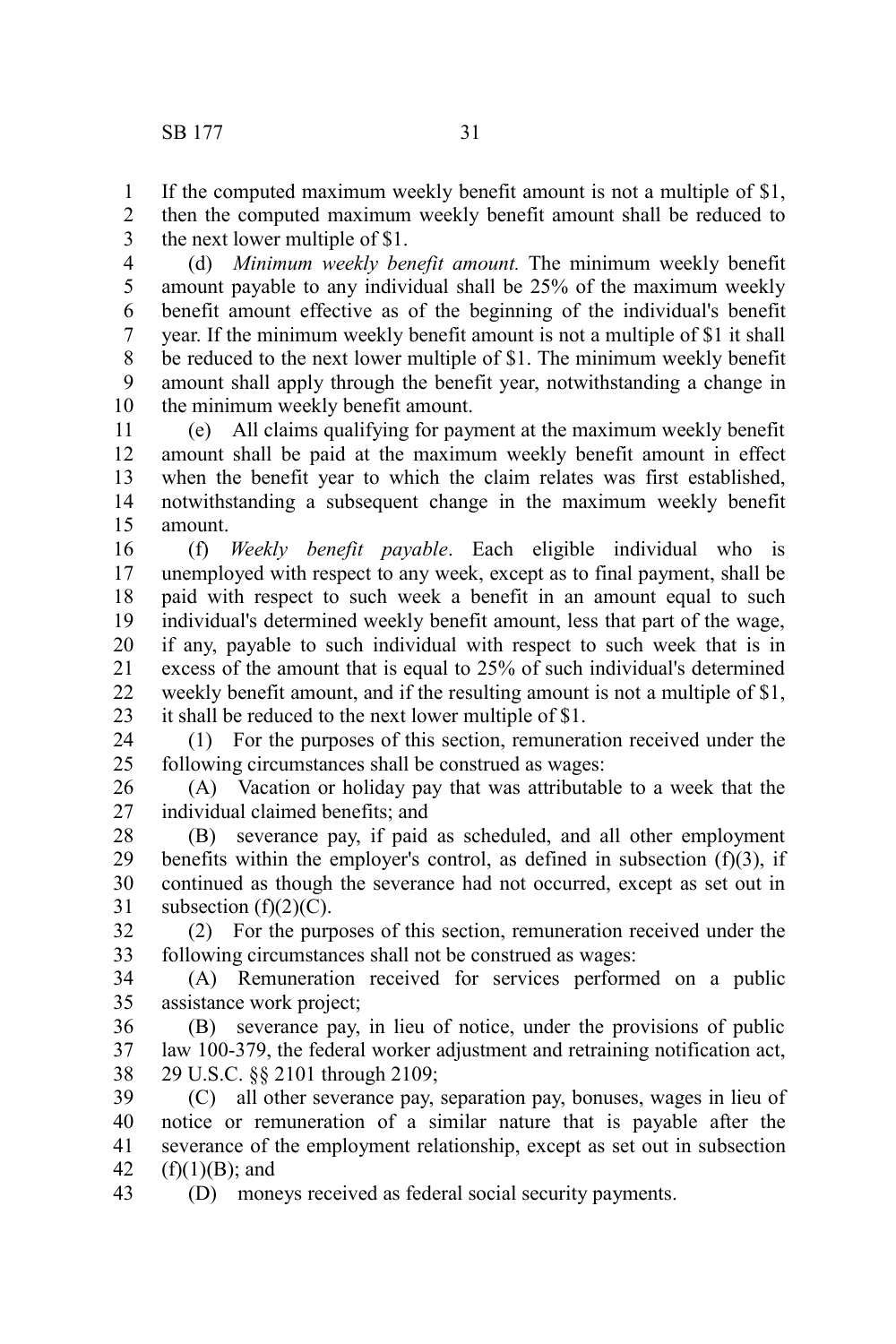If the computed maximum weekly benefit amount is not a multiple of \$1, 1

then the computed maximum weekly benefit amount shall be reduced to the next lower multiple of \$1. 2 3

(d) *Minimum weekly benefit amount.* The minimum weekly benefit amount payable to any individual shall be 25% of the maximum weekly benefit amount effective as of the beginning of the individual's benefit year. If the minimum weekly benefit amount is not a multiple of \$1 it shall be reduced to the next lower multiple of \$1. The minimum weekly benefit amount shall apply through the benefit year, notwithstanding a change in the minimum weekly benefit amount. 4 5 6 7 8 9 10

(e) All claims qualifying for payment at the maximum weekly benefit amount shall be paid at the maximum weekly benefit amount in effect when the benefit year to which the claim relates was first established, notwithstanding a subsequent change in the maximum weekly benefit amount. 11 12 13 14 15

(f) *Weekly benefit payable*. Each eligible individual who is unemployed with respect to any week, except as to final payment, shall be paid with respect to such week a benefit in an amount equal to such individual's determined weekly benefit amount, less that part of the wage, if any, payable to such individual with respect to such week that is in excess of the amount that is equal to 25% of such individual's determined weekly benefit amount, and if the resulting amount is not a multiple of \$1, it shall be reduced to the next lower multiple of \$1. 16 17 18 19 20 21 22 23

(1) For the purposes of this section, remuneration received under the following circumstances shall be construed as wages: 24 25

(A) Vacation or holiday pay that was attributable to a week that the individual claimed benefits; and 26 27

(B) severance pay, if paid as scheduled, and all other employment benefits within the employer's control, as defined in subsection  $(f)(3)$ , if continued as though the severance had not occurred, except as set out in subsection  $(f)(2)(C)$ . 28 29 30 31

(2) For the purposes of this section, remuneration received under the following circumstances shall not be construed as wages: 32 33

(A) Remuneration received for services performed on a public assistance work project; 34 35

(B) severance pay, in lieu of notice, under the provisions of public law 100-379, the federal worker adjustment and retraining notification act, 29 U.S.C. §§ 2101 through 2109; 36 37 38

(C) all other severance pay, separation pay, bonuses, wages in lieu of notice or remuneration of a similar nature that is payable after the severance of the employment relationship, except as set out in subsection  $(f)(1)(B)$ ; and 39 40 41 42

(D) moneys received as federal social security payments. 43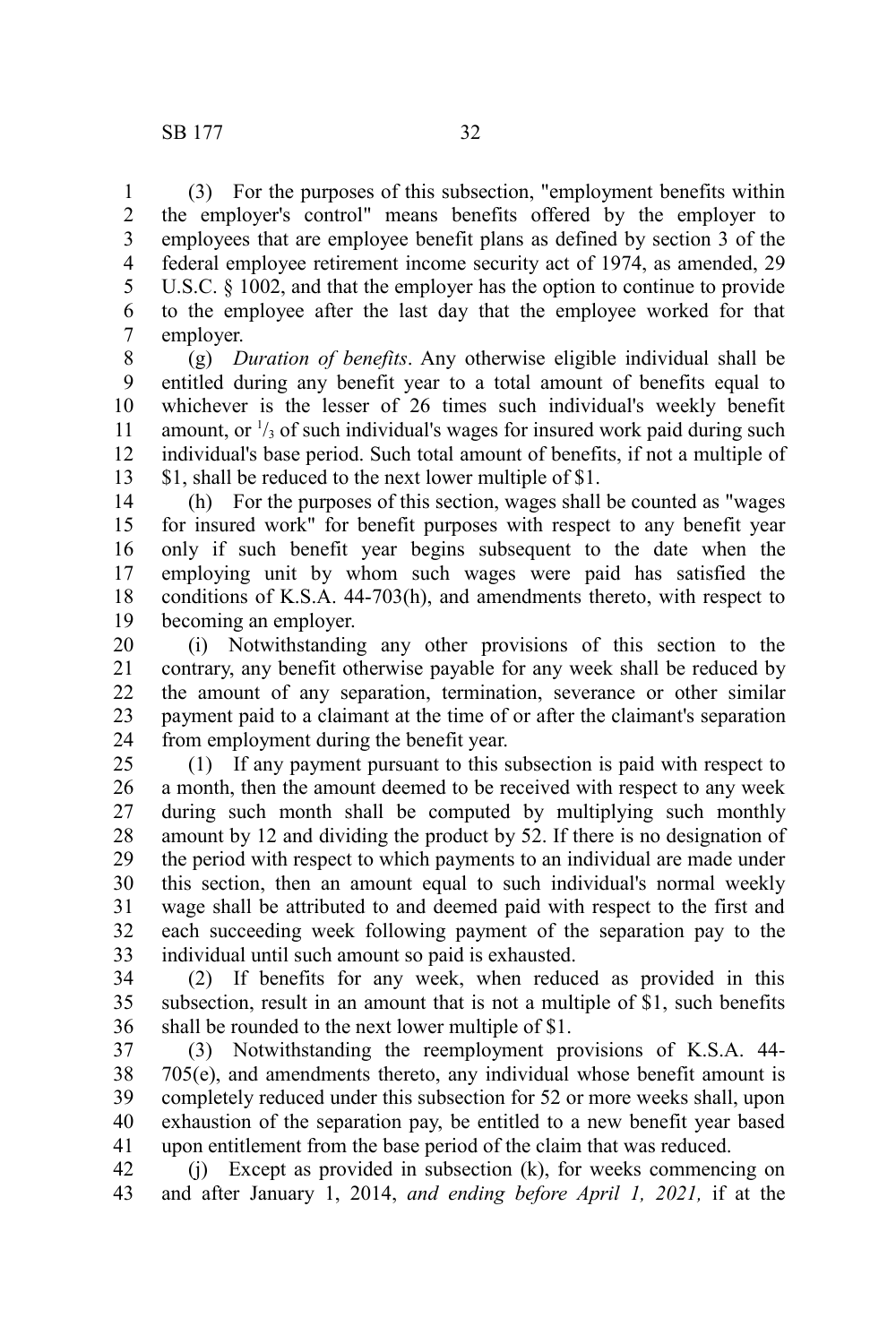(3) For the purposes of this subsection, "employment benefits within the employer's control" means benefits offered by the employer to employees that are employee benefit plans as defined by section 3 of the federal employee retirement income security act of 1974, as amended, 29 U.S.C. § 1002, and that the employer has the option to continue to provide to the employee after the last day that the employee worked for that employer. 1 2 3 4 5 6 7

(g) *Duration of benefits*. Any otherwise eligible individual shall be entitled during any benefit year to a total amount of benefits equal to whichever is the lesser of 26 times such individual's weekly benefit amount, or  $\frac{1}{3}$  of such individual's wages for insured work paid during such individual's base period. Such total amount of benefits, if not a multiple of \$1, shall be reduced to the next lower multiple of \$1. 8 9 10 11 12 13

(h) For the purposes of this section, wages shall be counted as "wages for insured work" for benefit purposes with respect to any benefit year only if such benefit year begins subsequent to the date when the employing unit by whom such wages were paid has satisfied the conditions of K.S.A. 44-703(h), and amendments thereto, with respect to becoming an employer. 14 15 16 17 18 19

(i) Notwithstanding any other provisions of this section to the contrary, any benefit otherwise payable for any week shall be reduced by the amount of any separation, termination, severance or other similar payment paid to a claimant at the time of or after the claimant's separation from employment during the benefit year. 20 21 22 23 24

(1) If any payment pursuant to this subsection is paid with respect to a month, then the amount deemed to be received with respect to any week during such month shall be computed by multiplying such monthly amount by 12 and dividing the product by 52. If there is no designation of the period with respect to which payments to an individual are made under this section, then an amount equal to such individual's normal weekly wage shall be attributed to and deemed paid with respect to the first and each succeeding week following payment of the separation pay to the individual until such amount so paid is exhausted. 25 26 27 28 29 30 31 32 33

(2) If benefits for any week, when reduced as provided in this subsection, result in an amount that is not a multiple of \$1, such benefits shall be rounded to the next lower multiple of \$1. 34 35 36

(3) Notwithstanding the reemployment provisions of K.S.A. 44- 705(e), and amendments thereto, any individual whose benefit amount is completely reduced under this subsection for 52 or more weeks shall, upon exhaustion of the separation pay, be entitled to a new benefit year based upon entitlement from the base period of the claim that was reduced. 37 38 39 40 41

(j) Except as provided in subsection (k), for weeks commencing on and after January 1, 2014, *and ending before April 1, 2021,* if at the 42 43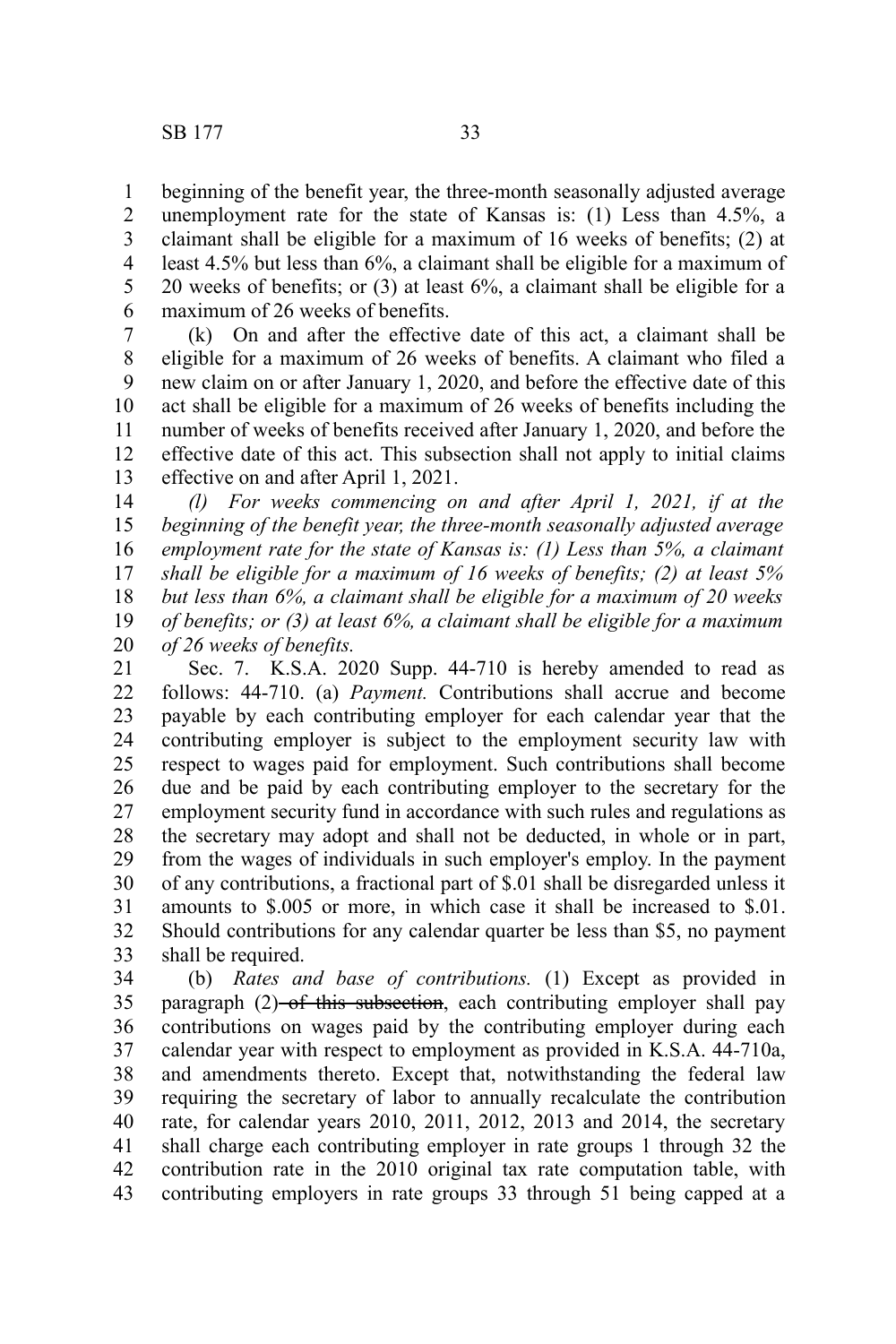beginning of the benefit year, the three-month seasonally adjusted average unemployment rate for the state of Kansas is: (1) Less than 4.5%, a claimant shall be eligible for a maximum of 16 weeks of benefits; (2) at least 4.5% but less than 6%, a claimant shall be eligible for a maximum of 20 weeks of benefits; or (3) at least 6%, a claimant shall be eligible for a maximum of 26 weeks of benefits.

(k) On and after the effective date of this act, a claimant shall be eligible for a maximum of 26 weeks of benefits. A claimant who filed a new claim on or after January 1, 2020, and before the effective date of this act shall be eligible for a maximum of 26 weeks of benefits including the number of weeks of benefits received after January 1, 2020, and before the effective date of this act. This subsection shall not apply to initial claims effective on and after April 1, 2021. 7 8 9 10 11 12 13

*(l) For weeks commencing on and after April 1, 2021, if at the beginning of the benefit year, the three-month seasonally adjusted average employment rate for the state of Kansas is: (1) Less than 5%, a claimant shall be eligible for a maximum of 16 weeks of benefits; (2) at least 5% but less than 6%, a claimant shall be eligible for a maximum of 20 weeks of benefits; or (3) at least 6%, a claimant shall be eligible for a maximum of 26 weeks of benefits.* 14 15 16 17 18 19 20

Sec. 7. K.S.A. 2020 Supp. 44-710 is hereby amended to read as follows: 44-710. (a) *Payment.* Contributions shall accrue and become payable by each contributing employer for each calendar year that the contributing employer is subject to the employment security law with respect to wages paid for employment. Such contributions shall become due and be paid by each contributing employer to the secretary for the employment security fund in accordance with such rules and regulations as the secretary may adopt and shall not be deducted, in whole or in part, from the wages of individuals in such employer's employ. In the payment of any contributions, a fractional part of \$.01 shall be disregarded unless it amounts to \$.005 or more, in which case it shall be increased to \$.01. Should contributions for any calendar quarter be less than \$5, no payment shall be required. 21 22 23 24 25 26 27 28 29 30 31 32 33

(b) *Rates and base of contributions.* (1) Except as provided in paragraph (2)-of this subsection, each contributing employer shall pay contributions on wages paid by the contributing employer during each calendar year with respect to employment as provided in K.S.A. 44-710a, and amendments thereto. Except that, notwithstanding the federal law requiring the secretary of labor to annually recalculate the contribution rate, for calendar years 2010, 2011, 2012, 2013 and 2014, the secretary shall charge each contributing employer in rate groups 1 through 32 the contribution rate in the 2010 original tax rate computation table, with contributing employers in rate groups 33 through 51 being capped at a 34 35 36 37 38 39 40 41 42 43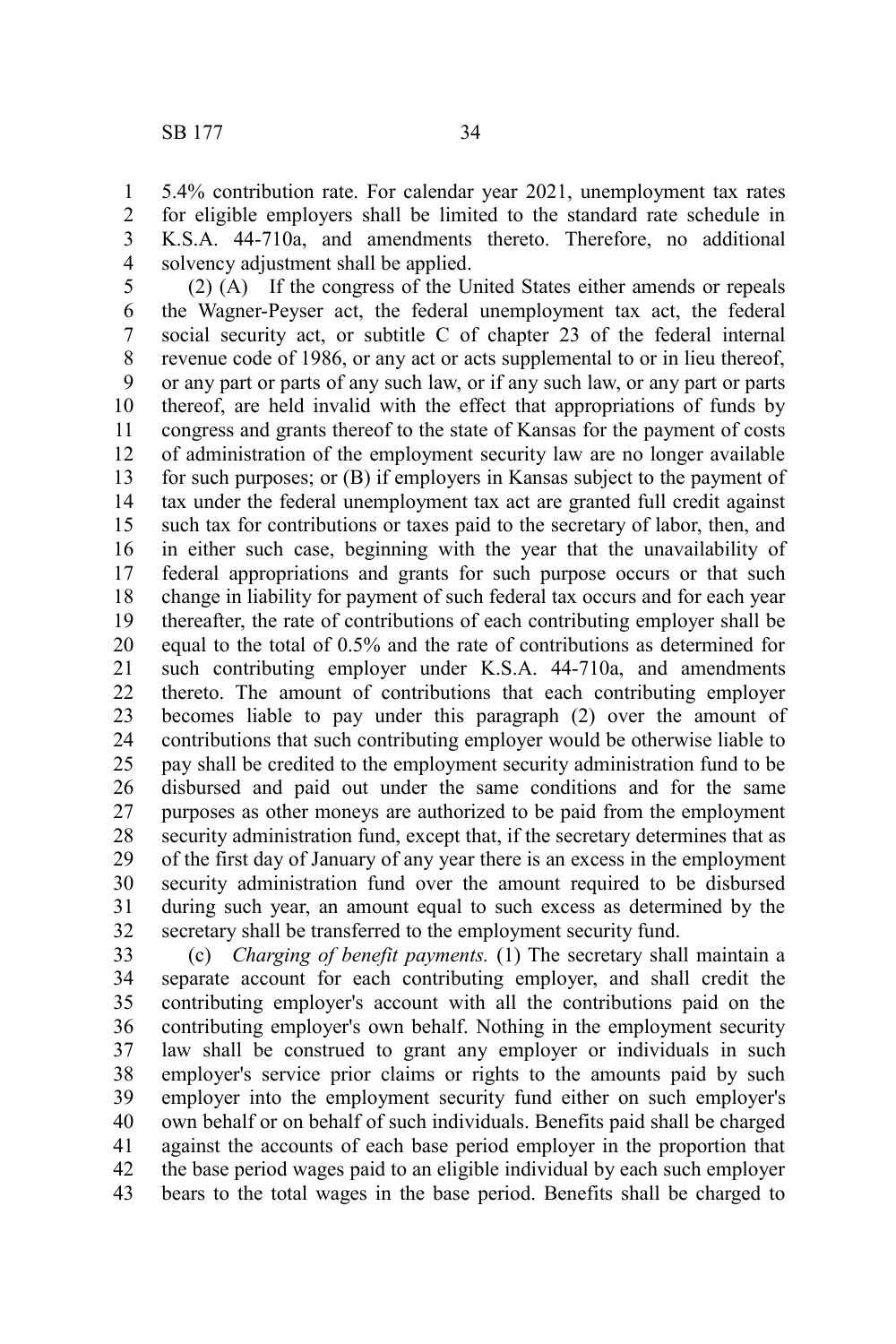5.4% contribution rate. For calendar year 2021, unemployment tax rates for eligible employers shall be limited to the standard rate schedule in K.S.A. 44-710a, and amendments thereto. Therefore, no additional solvency adjustment shall be applied. 1 2 3 4

(2) (A) If the congress of the United States either amends or repeals the Wagner-Peyser act, the federal unemployment tax act, the federal social security act, or subtitle C of chapter 23 of the federal internal revenue code of 1986, or any act or acts supplemental to or in lieu thereof, or any part or parts of any such law, or if any such law, or any part or parts thereof, are held invalid with the effect that appropriations of funds by congress and grants thereof to the state of Kansas for the payment of costs of administration of the employment security law are no longer available for such purposes; or (B) if employers in Kansas subject to the payment of tax under the federal unemployment tax act are granted full credit against such tax for contributions or taxes paid to the secretary of labor, then, and in either such case, beginning with the year that the unavailability of federal appropriations and grants for such purpose occurs or that such change in liability for payment of such federal tax occurs and for each year thereafter, the rate of contributions of each contributing employer shall be equal to the total of 0.5% and the rate of contributions as determined for such contributing employer under K.S.A. 44-710a, and amendments thereto. The amount of contributions that each contributing employer becomes liable to pay under this paragraph (2) over the amount of contributions that such contributing employer would be otherwise liable to pay shall be credited to the employment security administration fund to be disbursed and paid out under the same conditions and for the same purposes as other moneys are authorized to be paid from the employment security administration fund, except that, if the secretary determines that as of the first day of January of any year there is an excess in the employment security administration fund over the amount required to be disbursed during such year, an amount equal to such excess as determined by the secretary shall be transferred to the employment security fund. 5 6 7 8 9 10 11 12 13 14 15 16 17 18 19 20 21 22 23 24 25 26 27 28 29 30 31 32

(c) *Charging of benefit payments.* (1) The secretary shall maintain a separate account for each contributing employer, and shall credit the contributing employer's account with all the contributions paid on the contributing employer's own behalf. Nothing in the employment security law shall be construed to grant any employer or individuals in such employer's service prior claims or rights to the amounts paid by such employer into the employment security fund either on such employer's own behalf or on behalf of such individuals. Benefits paid shall be charged against the accounts of each base period employer in the proportion that the base period wages paid to an eligible individual by each such employer bears to the total wages in the base period. Benefits shall be charged to 33 34 35 36 37 38 39 40 41 42 43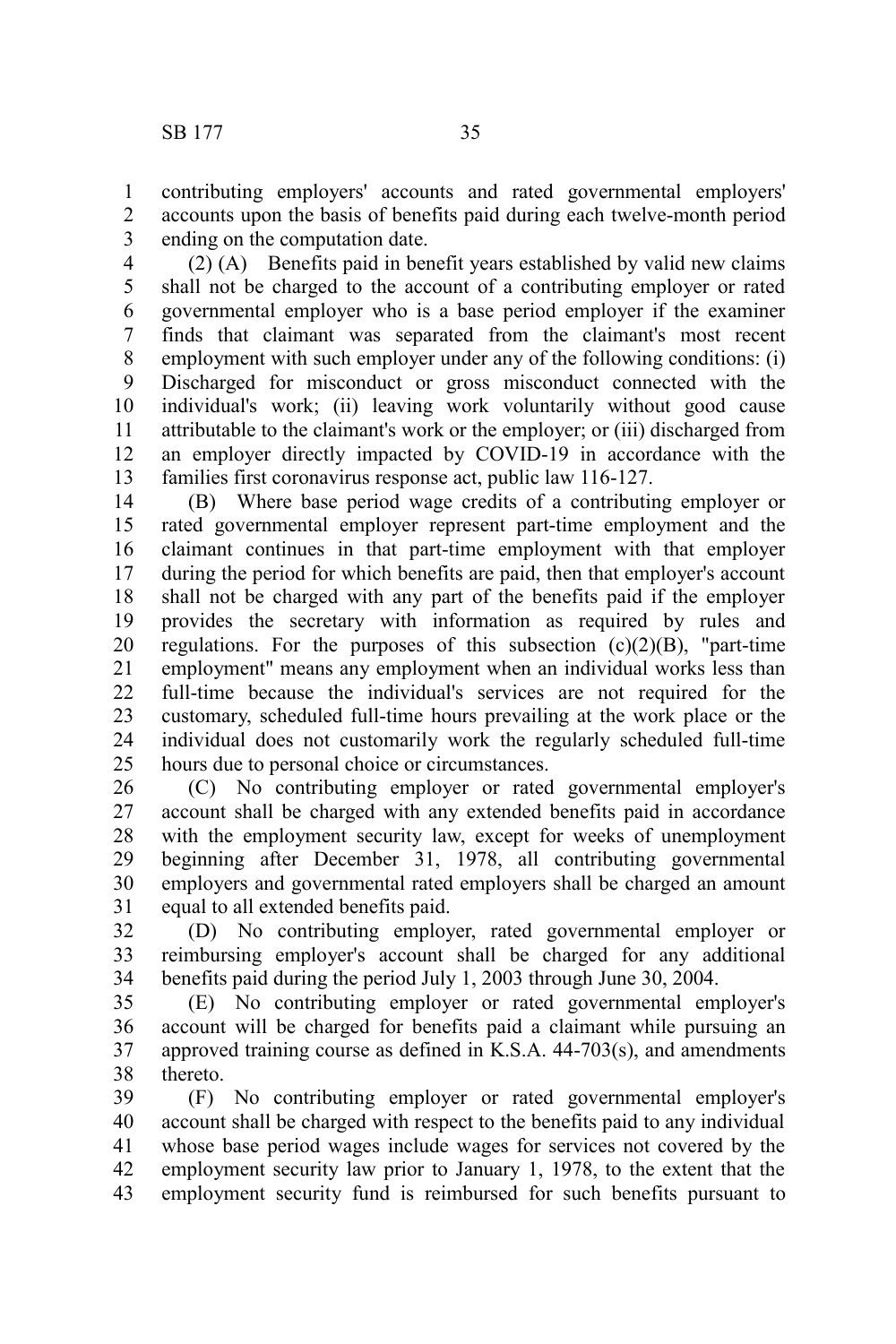contributing employers' accounts and rated governmental employers' accounts upon the basis of benefits paid during each twelve-month period ending on the computation date. 1 2 3

(2) (A) Benefits paid in benefit years established by valid new claims shall not be charged to the account of a contributing employer or rated governmental employer who is a base period employer if the examiner finds that claimant was separated from the claimant's most recent employment with such employer under any of the following conditions: (i) Discharged for misconduct or gross misconduct connected with the individual's work; (ii) leaving work voluntarily without good cause attributable to the claimant's work or the employer; or (iii) discharged from an employer directly impacted by COVID-19 in accordance with the families first coronavirus response act, public law 116-127. 4 5 6 7 8 9 10 11 12 13

(B) Where base period wage credits of a contributing employer or rated governmental employer represent part-time employment and the claimant continues in that part-time employment with that employer during the period for which benefits are paid, then that employer's account shall not be charged with any part of the benefits paid if the employer provides the secretary with information as required by rules and regulations. For the purposes of this subsection  $(c)(2)(B)$ , "part-time employment" means any employment when an individual works less than full-time because the individual's services are not required for the customary, scheduled full-time hours prevailing at the work place or the individual does not customarily work the regularly scheduled full-time hours due to personal choice or circumstances. 14 15 16 17 18 19 20 21 22 23 24 25

(C) No contributing employer or rated governmental employer's account shall be charged with any extended benefits paid in accordance with the employment security law, except for weeks of unemployment beginning after December 31, 1978, all contributing governmental employers and governmental rated employers shall be charged an amount equal to all extended benefits paid. 26 27 28 29 30 31

(D) No contributing employer, rated governmental employer or reimbursing employer's account shall be charged for any additional benefits paid during the period July 1, 2003 through June 30, 2004. 32 33 34

(E) No contributing employer or rated governmental employer's account will be charged for benefits paid a claimant while pursuing an approved training course as defined in K.S.A. 44-703(s), and amendments thereto. 35 36 37 38

(F) No contributing employer or rated governmental employer's account shall be charged with respect to the benefits paid to any individual whose base period wages include wages for services not covered by the employment security law prior to January 1, 1978, to the extent that the employment security fund is reimbursed for such benefits pursuant to 39 40 41 42 43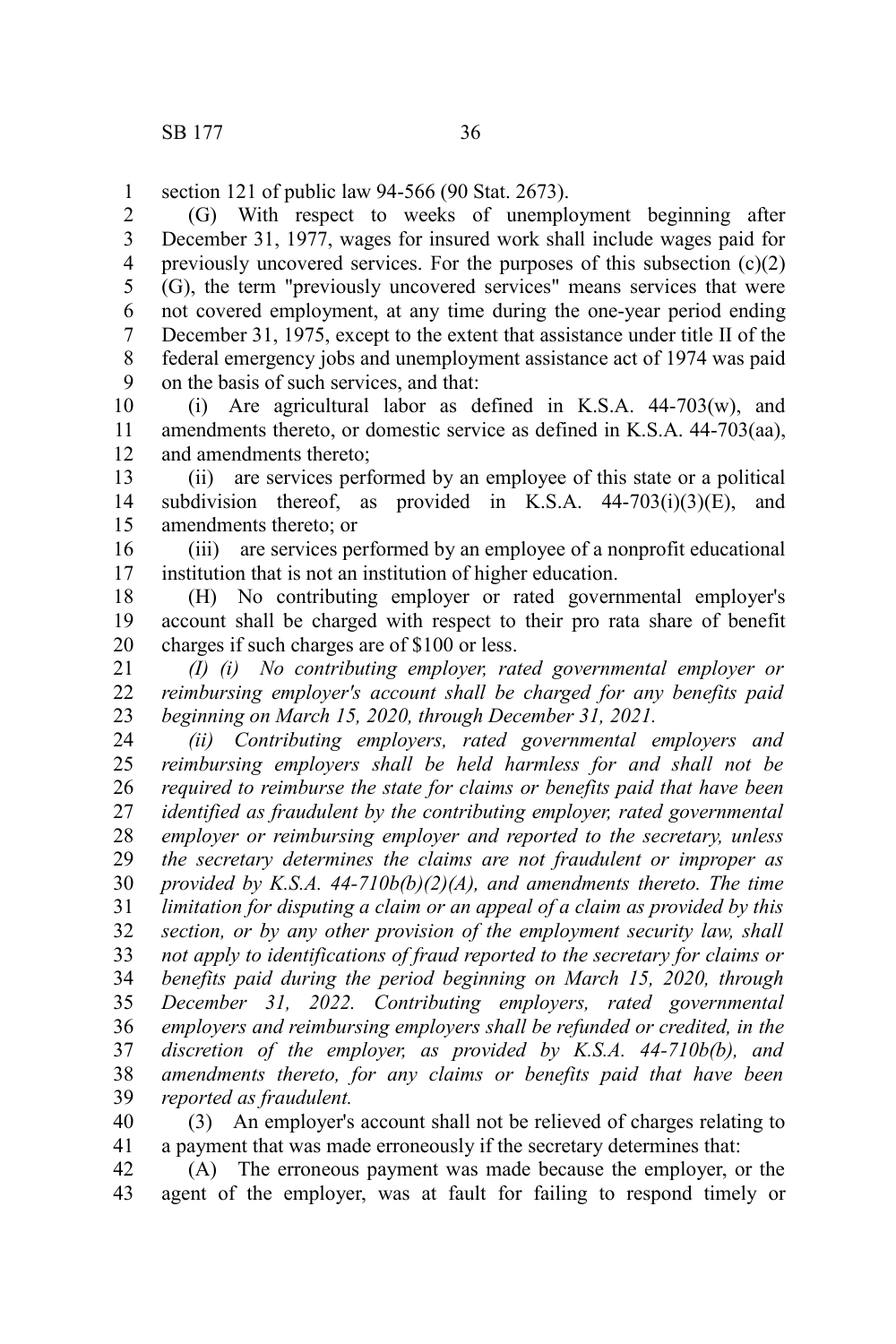section 121 of public law 94-566 (90 Stat. 2673). 1

(G) With respect to weeks of unemployment beginning after December 31, 1977, wages for insured work shall include wages paid for previously uncovered services. For the purposes of this subsection  $(c)(2)$ (G), the term "previously uncovered services" means services that were not covered employment, at any time during the one-year period ending December 31, 1975, except to the extent that assistance under title II of the federal emergency jobs and unemployment assistance act of 1974 was paid on the basis of such services, and that: 2 3 4 5 6 7 8 9

(i) Are agricultural labor as defined in K.S.A. 44-703(w), and amendments thereto, or domestic service as defined in K.S.A. 44-703(aa), and amendments thereto; 10 11 12

(ii) are services performed by an employee of this state or a political subdivision thereof, as provided in K.S.A.  $44-703(i)(3)(E)$ , and amendments thereto; or 13 14 15

(iii) are services performed by an employee of a nonprofit educational institution that is not an institution of higher education. 16 17

(H) No contributing employer or rated governmental employer's account shall be charged with respect to their pro rata share of benefit charges if such charges are of \$100 or less. 18 19 20

*(I) (i) No contributing employer, rated governmental employer or reimbursing employer's account shall be charged for any benefits paid beginning on March 15, 2020, through December 31, 2021.* 21 22 23

*(ii) Contributing employers, rated governmental employers and reimbursing employers shall be held harmless for and shall not be required to reimburse the state for claims or benefits paid that have been identified as fraudulent by the contributing employer, rated governmental employer or reimbursing employer and reported to the secretary, unless the secretary determines the claims are not fraudulent or improper as provided by K.S.A. 44-710b(b)(2)(A), and amendments thereto. The time limitation for disputing a claim or an appeal of a claim as provided by this section, or by any other provision of the employment security law, shall not apply to identifications of fraud reported to the secretary for claims or benefits paid during the period beginning on March 15, 2020, through December 31, 2022. Contributing employers, rated governmental employers and reimbursing employers shall be refunded or credited, in the discretion of the employer, as provided by K.S.A. 44-710b(b), and amendments thereto, for any claims or benefits paid that have been reported as fraudulent.* 24 25 26 27 28 29 30 31 32 33 34 35 36 37 38 39

(3) An employer's account shall not be relieved of charges relating to a payment that was made erroneously if the secretary determines that: 40 41

(A) The erroneous payment was made because the employer, or the agent of the employer, was at fault for failing to respond timely or 42 43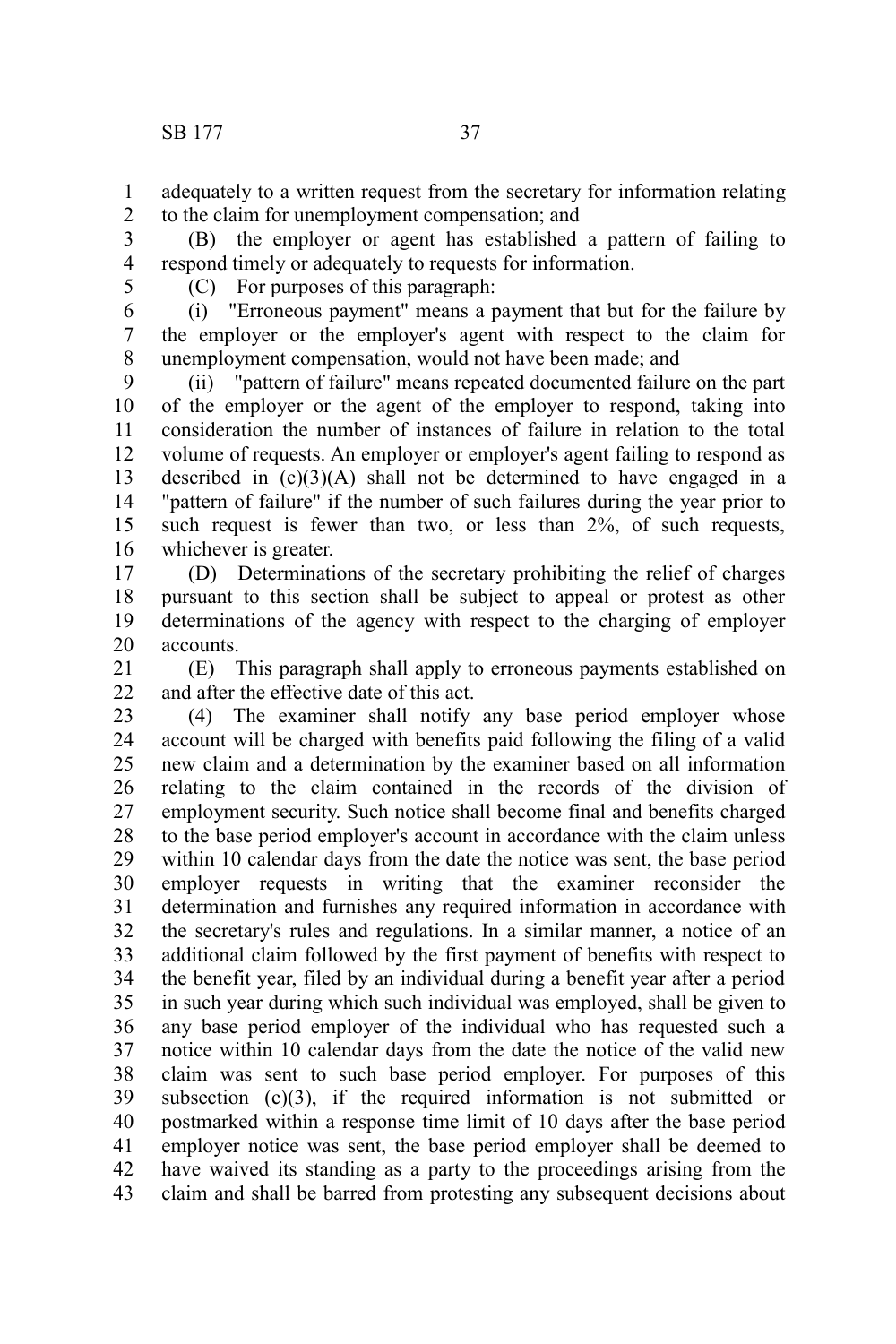adequately to a written request from the secretary for information relating to the claim for unemployment compensation; and 1 2

(B) the employer or agent has established a pattern of failing to respond timely or adequately to requests for information. 3 4

5

(C) For purposes of this paragraph:

(i) "Erroneous payment" means a payment that but for the failure by the employer or the employer's agent with respect to the claim for unemployment compensation, would not have been made; and 6 7 8

(ii) "pattern of failure" means repeated documented failure on the part of the employer or the agent of the employer to respond, taking into consideration the number of instances of failure in relation to the total volume of requests. An employer or employer's agent failing to respond as described in  $(c)(3)(A)$  shall not be determined to have engaged in a "pattern of failure" if the number of such failures during the year prior to such request is fewer than two, or less than 2%, of such requests, whichever is greater. 9 10 11 12 13 14 15 16

(D) Determinations of the secretary prohibiting the relief of charges pursuant to this section shall be subject to appeal or protest as other determinations of the agency with respect to the charging of employer accounts. 17 18 19 20

(E) This paragraph shall apply to erroneous payments established on and after the effective date of this act. 21 22

(4) The examiner shall notify any base period employer whose account will be charged with benefits paid following the filing of a valid new claim and a determination by the examiner based on all information relating to the claim contained in the records of the division of employment security. Such notice shall become final and benefits charged to the base period employer's account in accordance with the claim unless within 10 calendar days from the date the notice was sent, the base period employer requests in writing that the examiner reconsider the determination and furnishes any required information in accordance with the secretary's rules and regulations. In a similar manner, a notice of an additional claim followed by the first payment of benefits with respect to the benefit year, filed by an individual during a benefit year after a period in such year during which such individual was employed, shall be given to any base period employer of the individual who has requested such a notice within 10 calendar days from the date the notice of the valid new claim was sent to such base period employer. For purposes of this subsection  $(c)(3)$ , if the required information is not submitted or postmarked within a response time limit of 10 days after the base period employer notice was sent, the base period employer shall be deemed to have waived its standing as a party to the proceedings arising from the claim and shall be barred from protesting any subsequent decisions about 23 24 25 26 27 28 29 30 31 32 33 34 35 36 37 38 39 40 41 42 43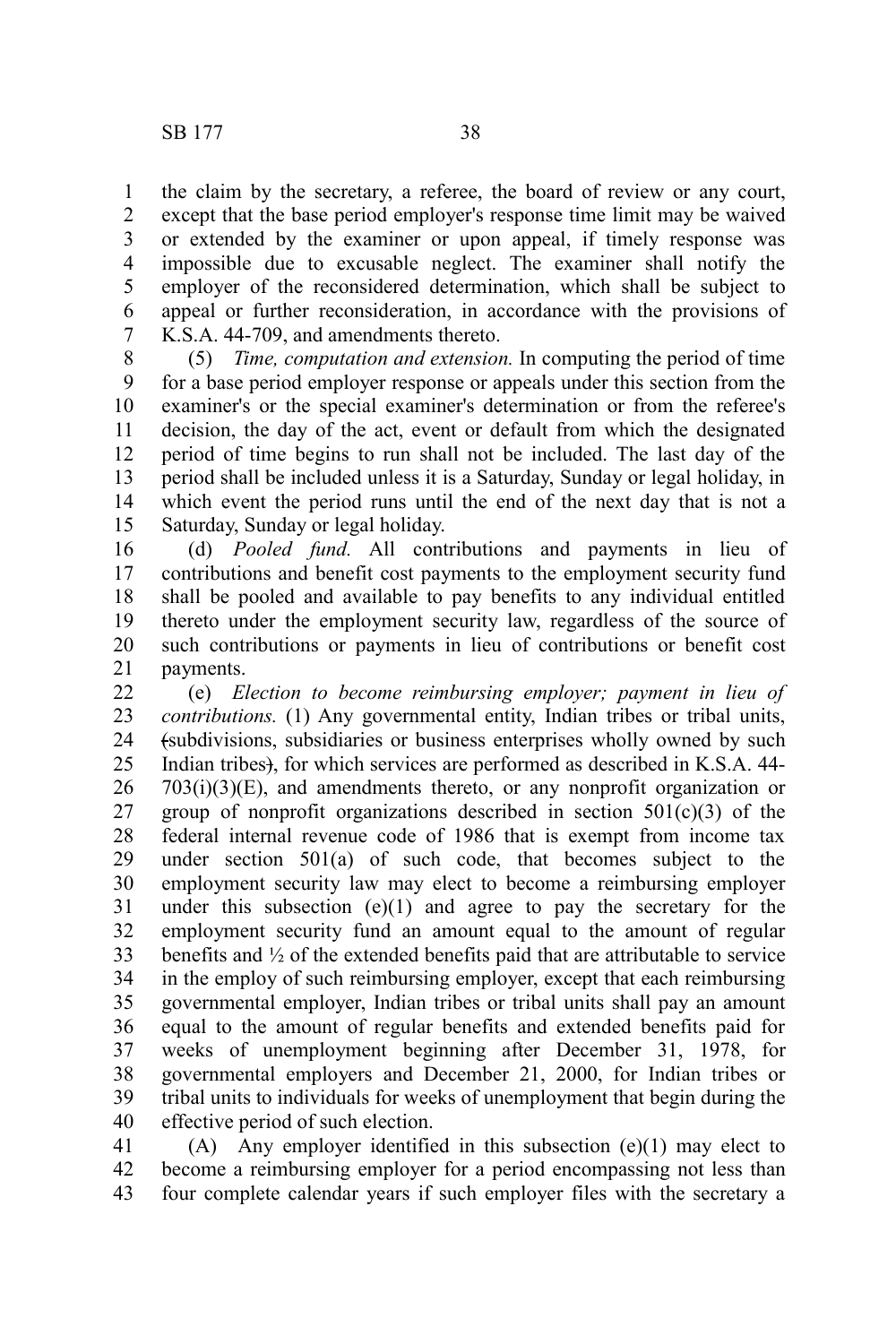the claim by the secretary, a referee, the board of review or any court, except that the base period employer's response time limit may be waived or extended by the examiner or upon appeal, if timely response was impossible due to excusable neglect. The examiner shall notify the employer of the reconsidered determination, which shall be subject to appeal or further reconsideration, in accordance with the provisions of K.S.A. 44-709, and amendments thereto. 1 2 3 4 5 6 7

(5) *Time, computation and extension.* In computing the period of time for a base period employer response or appeals under this section from the examiner's or the special examiner's determination or from the referee's decision, the day of the act, event or default from which the designated period of time begins to run shall not be included. The last day of the period shall be included unless it is a Saturday, Sunday or legal holiday, in which event the period runs until the end of the next day that is not a Saturday, Sunday or legal holiday. 8 9 10 11 12 13 14 15

(d) *Pooled fund.* All contributions and payments in lieu of contributions and benefit cost payments to the employment security fund shall be pooled and available to pay benefits to any individual entitled thereto under the employment security law, regardless of the source of such contributions or payments in lieu of contributions or benefit cost payments. 16 17 18 19 20 21

(e) *Election to become reimbursing employer; payment in lieu of contributions.* (1) Any governmental entity, Indian tribes or tribal units, (subdivisions, subsidiaries or business enterprises wholly owned by such Indian tribes), for which services are performed as described in K.S.A. 44- 703(i)(3)(E), and amendments thereto, or any nonprofit organization or group of nonprofit organizations described in section  $501(c)(3)$  of the federal internal revenue code of 1986 that is exempt from income tax under section 501(a) of such code, that becomes subject to the employment security law may elect to become a reimbursing employer under this subsection  $(e)(1)$  and agree to pay the secretary for the employment security fund an amount equal to the amount of regular benefits and ½ of the extended benefits paid that are attributable to service in the employ of such reimbursing employer, except that each reimbursing governmental employer, Indian tribes or tribal units shall pay an amount equal to the amount of regular benefits and extended benefits paid for weeks of unemployment beginning after December 31, 1978, for governmental employers and December 21, 2000, for Indian tribes or tribal units to individuals for weeks of unemployment that begin during the effective period of such election. 22 23 24 25 26 27 28 29 30 31 32 33 34 35 36 37 38 39 40

(A) Any employer identified in this subsection (e)(1) may elect to become a reimbursing employer for a period encompassing not less than four complete calendar years if such employer files with the secretary a 41 42 43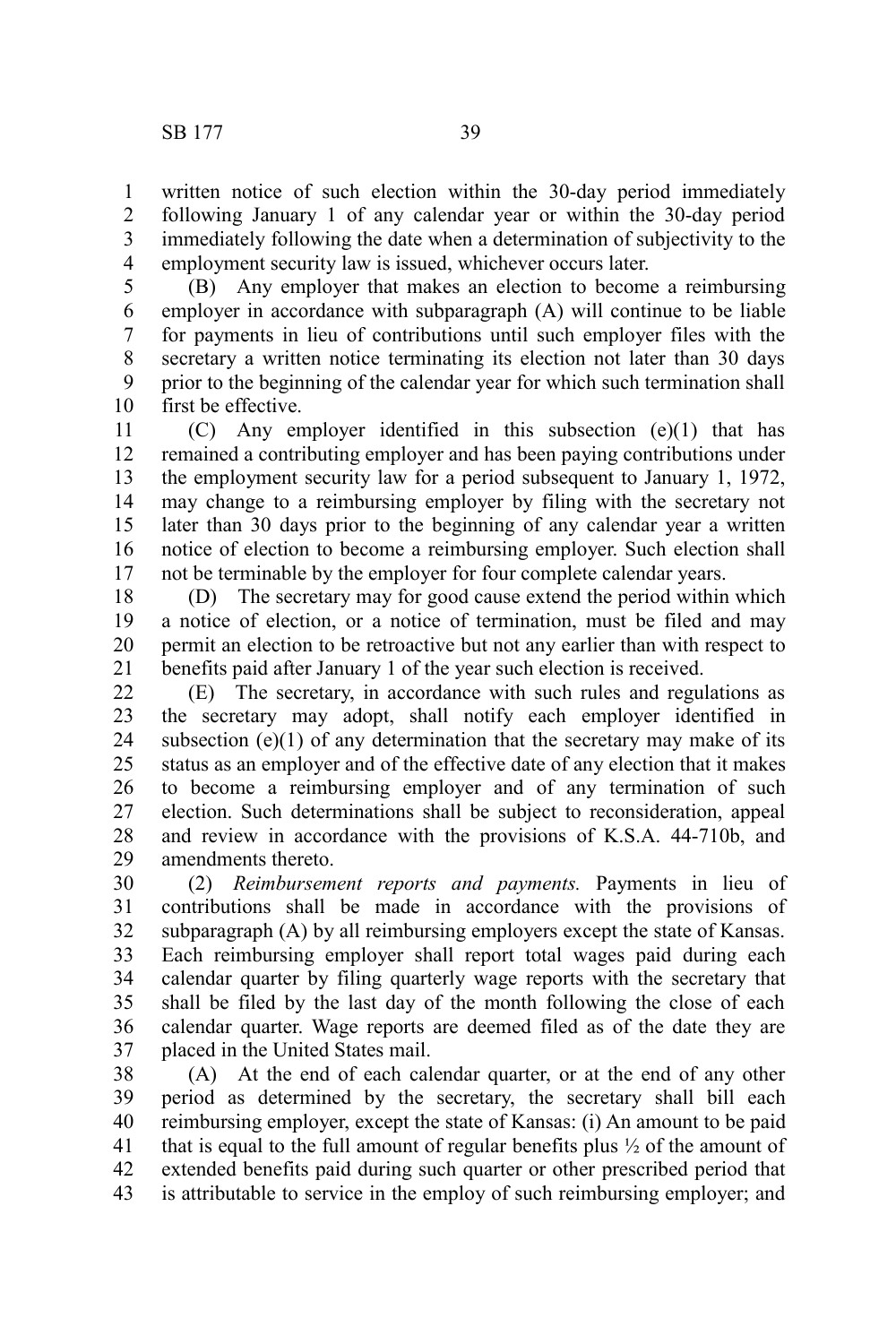written notice of such election within the 30-day period immediately following January 1 of any calendar year or within the 30-day period immediately following the date when a determination of subjectivity to the employment security law is issued, whichever occurs later. 1 2 3 4

(B) Any employer that makes an election to become a reimbursing employer in accordance with subparagraph (A) will continue to be liable for payments in lieu of contributions until such employer files with the secretary a written notice terminating its election not later than 30 days prior to the beginning of the calendar year for which such termination shall first be effective. 5 6 7 8 9 10

(C) Any employer identified in this subsection (e)(1) that has remained a contributing employer and has been paying contributions under the employment security law for a period subsequent to January 1, 1972, may change to a reimbursing employer by filing with the secretary not later than 30 days prior to the beginning of any calendar year a written notice of election to become a reimbursing employer. Such election shall not be terminable by the employer for four complete calendar years. 11 12 13 14 15 16 17

(D) The secretary may for good cause extend the period within which a notice of election, or a notice of termination, must be filed and may permit an election to be retroactive but not any earlier than with respect to benefits paid after January 1 of the year such election is received. 18 19 20 21

(E) The secretary, in accordance with such rules and regulations as the secretary may adopt, shall notify each employer identified in subsection  $(e)(1)$  of any determination that the secretary may make of its status as an employer and of the effective date of any election that it makes to become a reimbursing employer and of any termination of such election. Such determinations shall be subject to reconsideration, appeal and review in accordance with the provisions of K.S.A. 44-710b, and amendments thereto. 22 23 24 25 26 27 28 29

(2) *Reimbursement reports and payments.* Payments in lieu of contributions shall be made in accordance with the provisions of subparagraph (A) by all reimbursing employers except the state of Kansas. Each reimbursing employer shall report total wages paid during each calendar quarter by filing quarterly wage reports with the secretary that shall be filed by the last day of the month following the close of each calendar quarter. Wage reports are deemed filed as of the date they are placed in the United States mail. 30 31 32 33 34 35 36 37

(A) At the end of each calendar quarter, or at the end of any other period as determined by the secretary, the secretary shall bill each reimbursing employer, except the state of Kansas: (i) An amount to be paid that is equal to the full amount of regular benefits plus ½ of the amount of extended benefits paid during such quarter or other prescribed period that is attributable to service in the employ of such reimbursing employer; and 38 39 40 41 42 43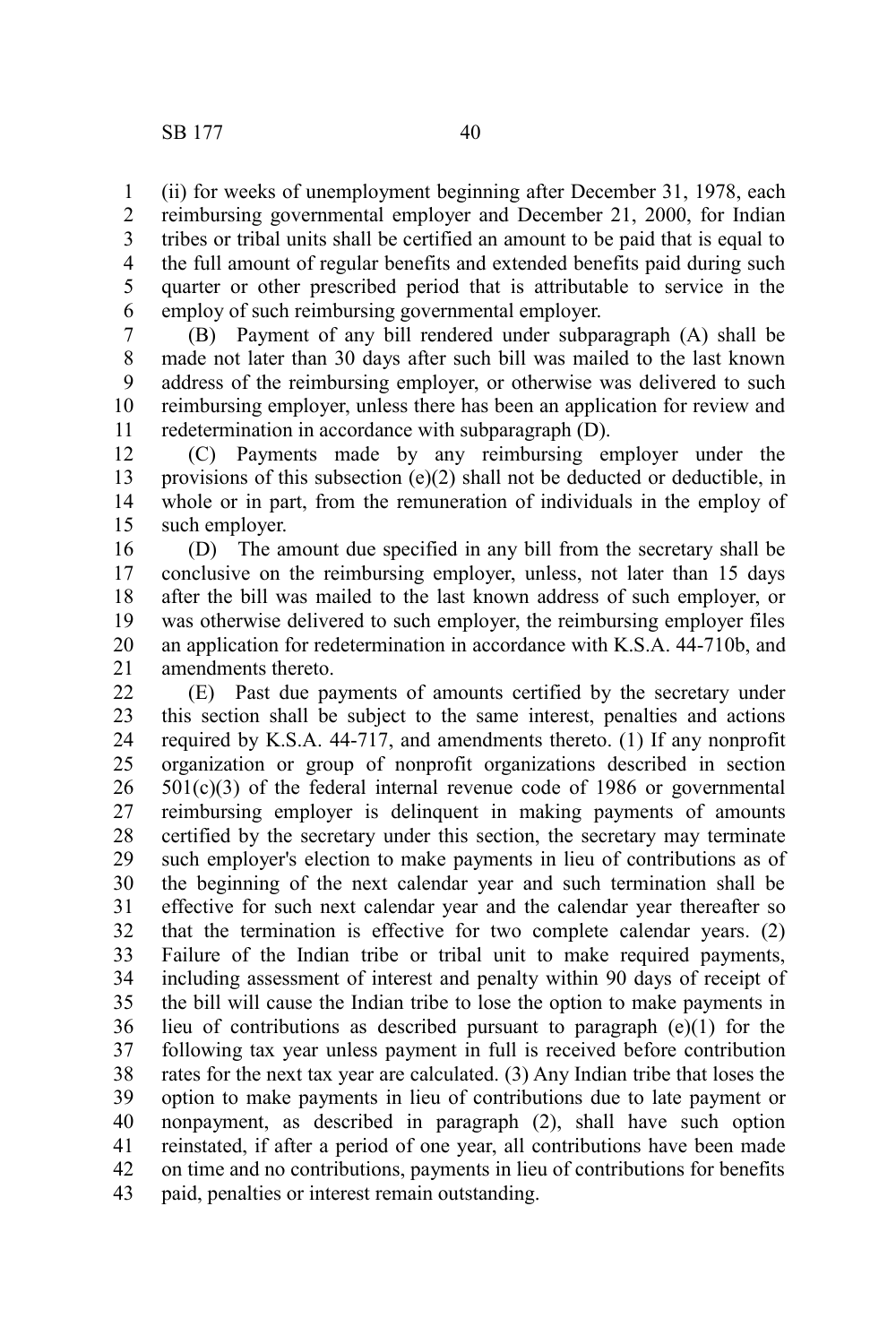(ii) for weeks of unemployment beginning after December 31, 1978, each reimbursing governmental employer and December 21, 2000, for Indian tribes or tribal units shall be certified an amount to be paid that is equal to the full amount of regular benefits and extended benefits paid during such quarter or other prescribed period that is attributable to service in the employ of such reimbursing governmental employer. 1 2 3 4 5 6

(B) Payment of any bill rendered under subparagraph (A) shall be made not later than 30 days after such bill was mailed to the last known address of the reimbursing employer, or otherwise was delivered to such reimbursing employer, unless there has been an application for review and redetermination in accordance with subparagraph (D). 7 8 9 10 11

(C) Payments made by any reimbursing employer under the provisions of this subsection (e)(2) shall not be deducted or deductible, in whole or in part, from the remuneration of individuals in the employ of such employer. 12 13 14 15

(D) The amount due specified in any bill from the secretary shall be conclusive on the reimbursing employer, unless, not later than 15 days after the bill was mailed to the last known address of such employer, or was otherwise delivered to such employer, the reimbursing employer files an application for redetermination in accordance with K.S.A. 44-710b, and amendments thereto. 16 17 18 19 20 21

(E) Past due payments of amounts certified by the secretary under this section shall be subject to the same interest, penalties and actions required by K.S.A. 44-717, and amendments thereto. (1) If any nonprofit organization or group of nonprofit organizations described in section 501(c)(3) of the federal internal revenue code of 1986 or governmental reimbursing employer is delinquent in making payments of amounts certified by the secretary under this section, the secretary may terminate such employer's election to make payments in lieu of contributions as of the beginning of the next calendar year and such termination shall be effective for such next calendar year and the calendar year thereafter so that the termination is effective for two complete calendar years. (2) Failure of the Indian tribe or tribal unit to make required payments, including assessment of interest and penalty within 90 days of receipt of the bill will cause the Indian tribe to lose the option to make payments in lieu of contributions as described pursuant to paragraph (e)(1) for the following tax year unless payment in full is received before contribution rates for the next tax year are calculated. (3) Any Indian tribe that loses the option to make payments in lieu of contributions due to late payment or nonpayment, as described in paragraph (2), shall have such option reinstated, if after a period of one year, all contributions have been made on time and no contributions, payments in lieu of contributions for benefits paid, penalties or interest remain outstanding. 22 23 24 25 26 27 28 29 30 31 32 33 34 35 36 37 38 39 40 41 42 43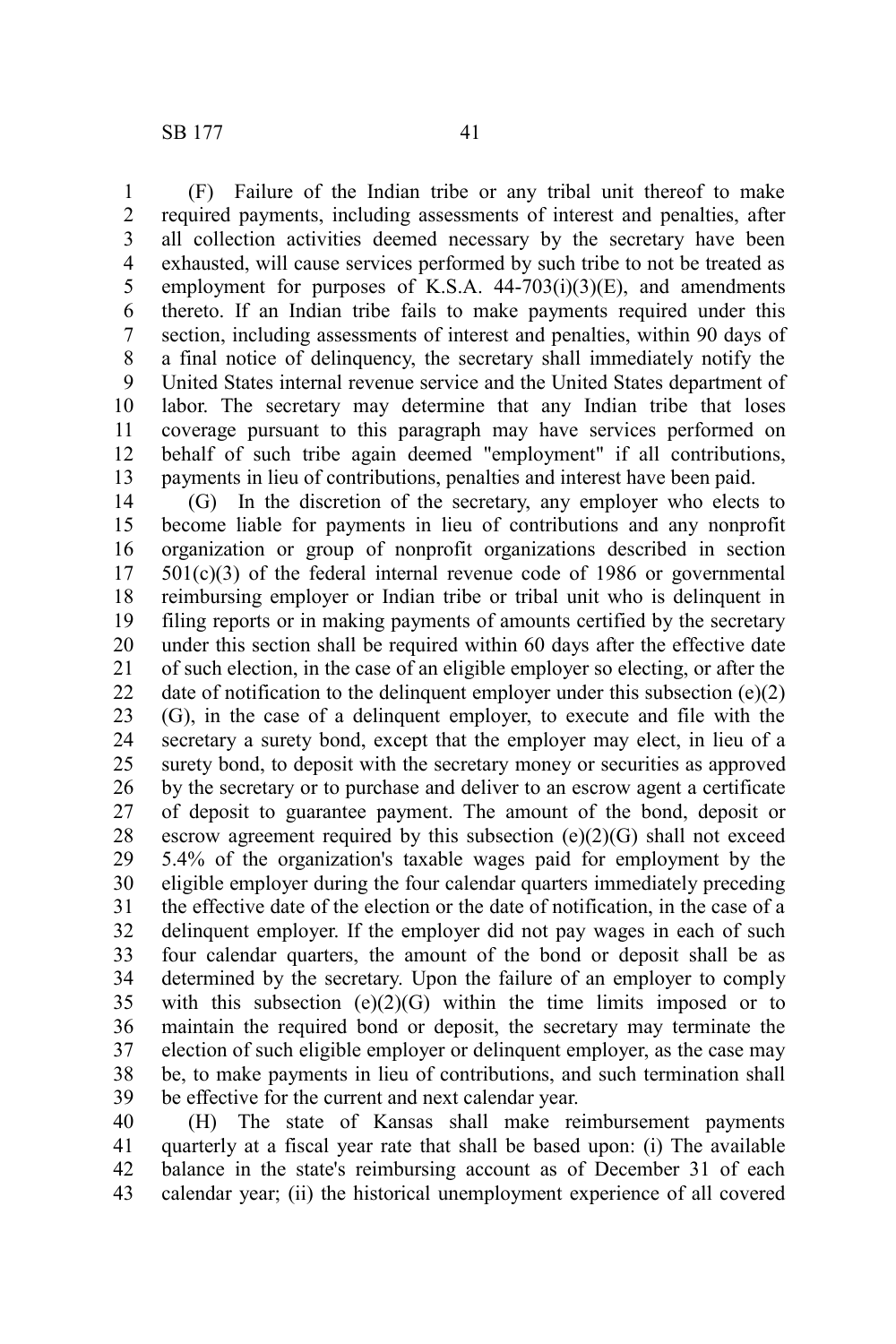(F) Failure of the Indian tribe or any tribal unit thereof to make required payments, including assessments of interest and penalties, after all collection activities deemed necessary by the secretary have been exhausted, will cause services performed by such tribe to not be treated as employment for purposes of K.S.A.  $44-703(i)(3)(E)$ , and amendments thereto. If an Indian tribe fails to make payments required under this section, including assessments of interest and penalties, within 90 days of a final notice of delinquency, the secretary shall immediately notify the United States internal revenue service and the United States department of labor. The secretary may determine that any Indian tribe that loses coverage pursuant to this paragraph may have services performed on behalf of such tribe again deemed "employment" if all contributions, payments in lieu of contributions, penalties and interest have been paid. 1 2 3 4 5 6 7 8 9 10 11 12 13

(G) In the discretion of the secretary, any employer who elects to become liable for payments in lieu of contributions and any nonprofit organization or group of nonprofit organizations described in section  $501(c)(3)$  of the federal internal revenue code of 1986 or governmental reimbursing employer or Indian tribe or tribal unit who is delinquent in filing reports or in making payments of amounts certified by the secretary under this section shall be required within 60 days after the effective date of such election, in the case of an eligible employer so electing, or after the date of notification to the delinquent employer under this subsection (e)(2) (G), in the case of a delinquent employer, to execute and file with the secretary a surety bond, except that the employer may elect, in lieu of a surety bond, to deposit with the secretary money or securities as approved by the secretary or to purchase and deliver to an escrow agent a certificate of deposit to guarantee payment. The amount of the bond, deposit or escrow agreement required by this subsection  $(e)(2)(G)$  shall not exceed 5.4% of the organization's taxable wages paid for employment by the eligible employer during the four calendar quarters immediately preceding the effective date of the election or the date of notification, in the case of a delinquent employer. If the employer did not pay wages in each of such four calendar quarters, the amount of the bond or deposit shall be as determined by the secretary. Upon the failure of an employer to comply with this subsection  $(e)(2)(G)$  within the time limits imposed or to maintain the required bond or deposit, the secretary may terminate the election of such eligible employer or delinquent employer, as the case may be, to make payments in lieu of contributions, and such termination shall be effective for the current and next calendar year. 14 15 16 17 18 19 20 21 22 23 24 25 26 27 28 29 30 31 32 33 34 35 36 37 38 39

(H) The state of Kansas shall make reimbursement payments quarterly at a fiscal year rate that shall be based upon: (i) The available balance in the state's reimbursing account as of December 31 of each calendar year; (ii) the historical unemployment experience of all covered 40 41 42 43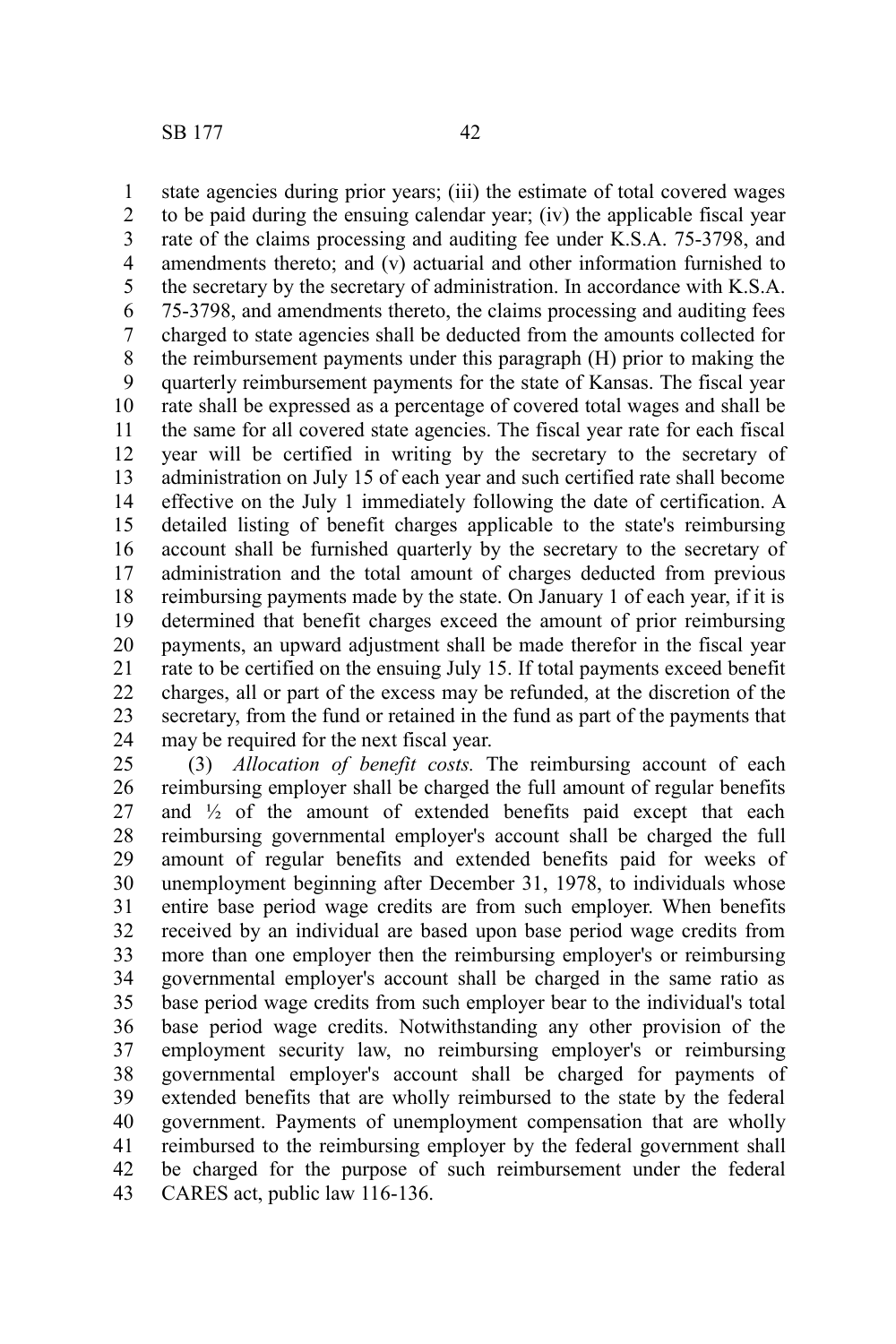state agencies during prior years; (iii) the estimate of total covered wages to be paid during the ensuing calendar year; (iv) the applicable fiscal year rate of the claims processing and auditing fee under K.S.A. 75-3798, and amendments thereto; and (v) actuarial and other information furnished to the secretary by the secretary of administration. In accordance with K.S.A. 75-3798, and amendments thereto, the claims processing and auditing fees charged to state agencies shall be deducted from the amounts collected for the reimbursement payments under this paragraph (H) prior to making the quarterly reimbursement payments for the state of Kansas. The fiscal year rate shall be expressed as a percentage of covered total wages and shall be the same for all covered state agencies. The fiscal year rate for each fiscal year will be certified in writing by the secretary to the secretary of administration on July 15 of each year and such certified rate shall become effective on the July 1 immediately following the date of certification. A detailed listing of benefit charges applicable to the state's reimbursing account shall be furnished quarterly by the secretary to the secretary of administration and the total amount of charges deducted from previous reimbursing payments made by the state. On January 1 of each year, if it is determined that benefit charges exceed the amount of prior reimbursing payments, an upward adjustment shall be made therefor in the fiscal year rate to be certified on the ensuing July 15. If total payments exceed benefit charges, all or part of the excess may be refunded, at the discretion of the secretary, from the fund or retained in the fund as part of the payments that may be required for the next fiscal year. 1 2 3 4 5 6 7 8 9 10 11 12 13 14 15 16 17 18 19 20 21 22 23 24

(3) *Allocation of benefit costs.* The reimbursing account of each reimbursing employer shall be charged the full amount of regular benefits and  $\frac{1}{2}$  of the amount of extended benefits paid except that each reimbursing governmental employer's account shall be charged the full amount of regular benefits and extended benefits paid for weeks of unemployment beginning after December 31, 1978, to individuals whose entire base period wage credits are from such employer. When benefits received by an individual are based upon base period wage credits from more than one employer then the reimbursing employer's or reimbursing governmental employer's account shall be charged in the same ratio as base period wage credits from such employer bear to the individual's total base period wage credits. Notwithstanding any other provision of the employment security law, no reimbursing employer's or reimbursing governmental employer's account shall be charged for payments of extended benefits that are wholly reimbursed to the state by the federal government. Payments of unemployment compensation that are wholly reimbursed to the reimbursing employer by the federal government shall be charged for the purpose of such reimbursement under the federal CARES act, public law 116-136. 25 26 27 28 29 30 31 32 33 34 35 36 37 38 39 40 41 42 43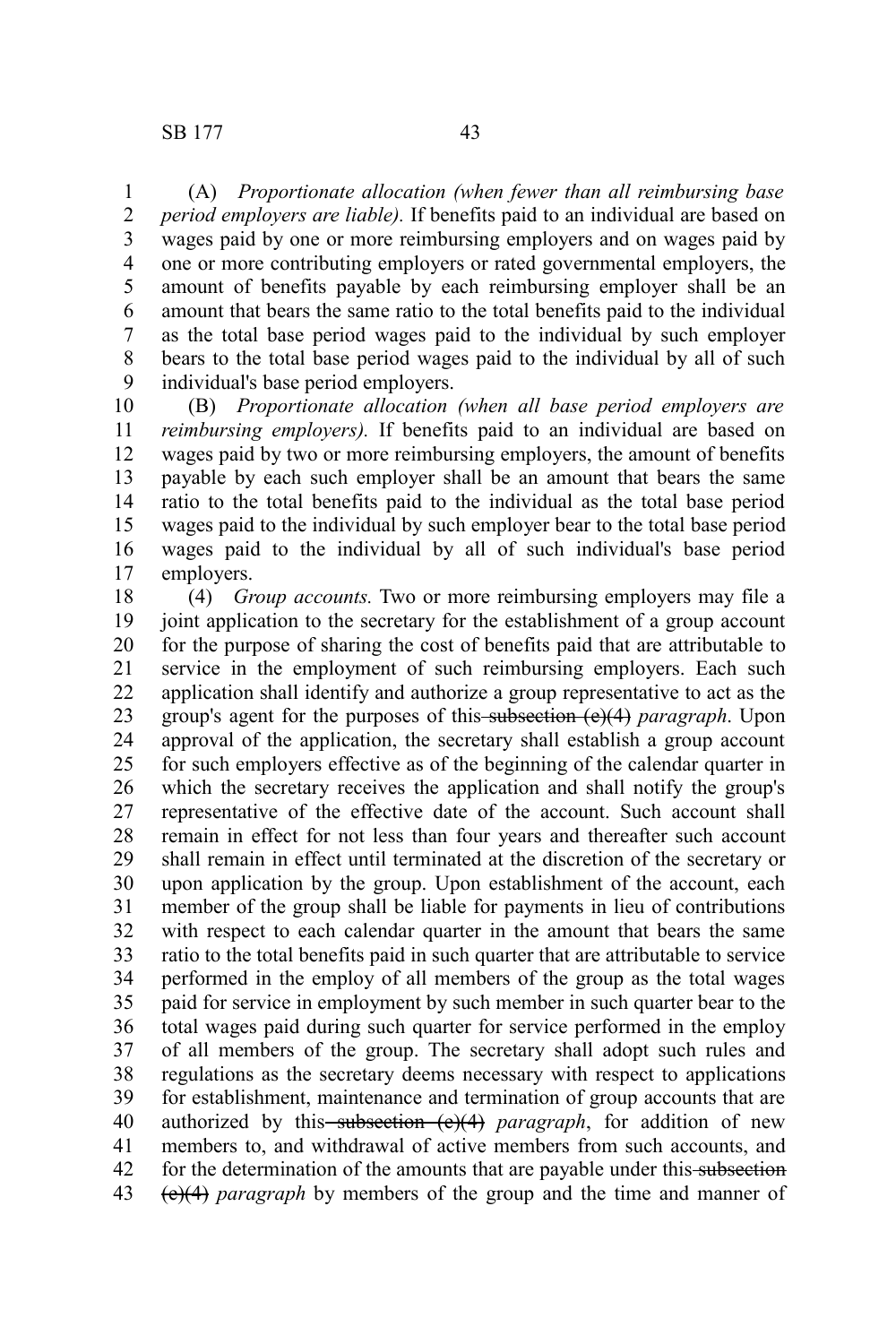(A) *Proportionate allocation (when fewer than all reimbursing base period employers are liable).* If benefits paid to an individual are based on wages paid by one or more reimbursing employers and on wages paid by one or more contributing employers or rated governmental employers, the amount of benefits payable by each reimbursing employer shall be an amount that bears the same ratio to the total benefits paid to the individual as the total base period wages paid to the individual by such employer bears to the total base period wages paid to the individual by all of such individual's base period employers. 1 2 3 4 5 6 7 8 9

(B) *Proportionate allocation (when all base period employers are reimbursing employers).* If benefits paid to an individual are based on wages paid by two or more reimbursing employers, the amount of benefits payable by each such employer shall be an amount that bears the same ratio to the total benefits paid to the individual as the total base period wages paid to the individual by such employer bear to the total base period wages paid to the individual by all of such individual's base period employers. 10 11 12 13 14 15 16 17

(4) *Group accounts.* Two or more reimbursing employers may file a joint application to the secretary for the establishment of a group account for the purpose of sharing the cost of benefits paid that are attributable to service in the employment of such reimbursing employers. Each such application shall identify and authorize a group representative to act as the group's agent for the purposes of this subsection (e)(4) *paragraph*. Upon approval of the application, the secretary shall establish a group account for such employers effective as of the beginning of the calendar quarter in which the secretary receives the application and shall notify the group's representative of the effective date of the account. Such account shall remain in effect for not less than four years and thereafter such account shall remain in effect until terminated at the discretion of the secretary or upon application by the group. Upon establishment of the account, each member of the group shall be liable for payments in lieu of contributions with respect to each calendar quarter in the amount that bears the same ratio to the total benefits paid in such quarter that are attributable to service performed in the employ of all members of the group as the total wages paid for service in employment by such member in such quarter bear to the total wages paid during such quarter for service performed in the employ of all members of the group. The secretary shall adopt such rules and regulations as the secretary deems necessary with respect to applications for establishment, maintenance and termination of group accounts that are authorized by this-subsection (e)(4) paragraph, for addition of new members to, and withdrawal of active members from such accounts, and for the determination of the amounts that are payable under this subsection (e)(4) *paragraph* by members of the group and the time and manner of 18 19 20 21 22 23 24 25 26 27 28 29 30 31 32 33 34 35 36 37 38 39 40 41 42 43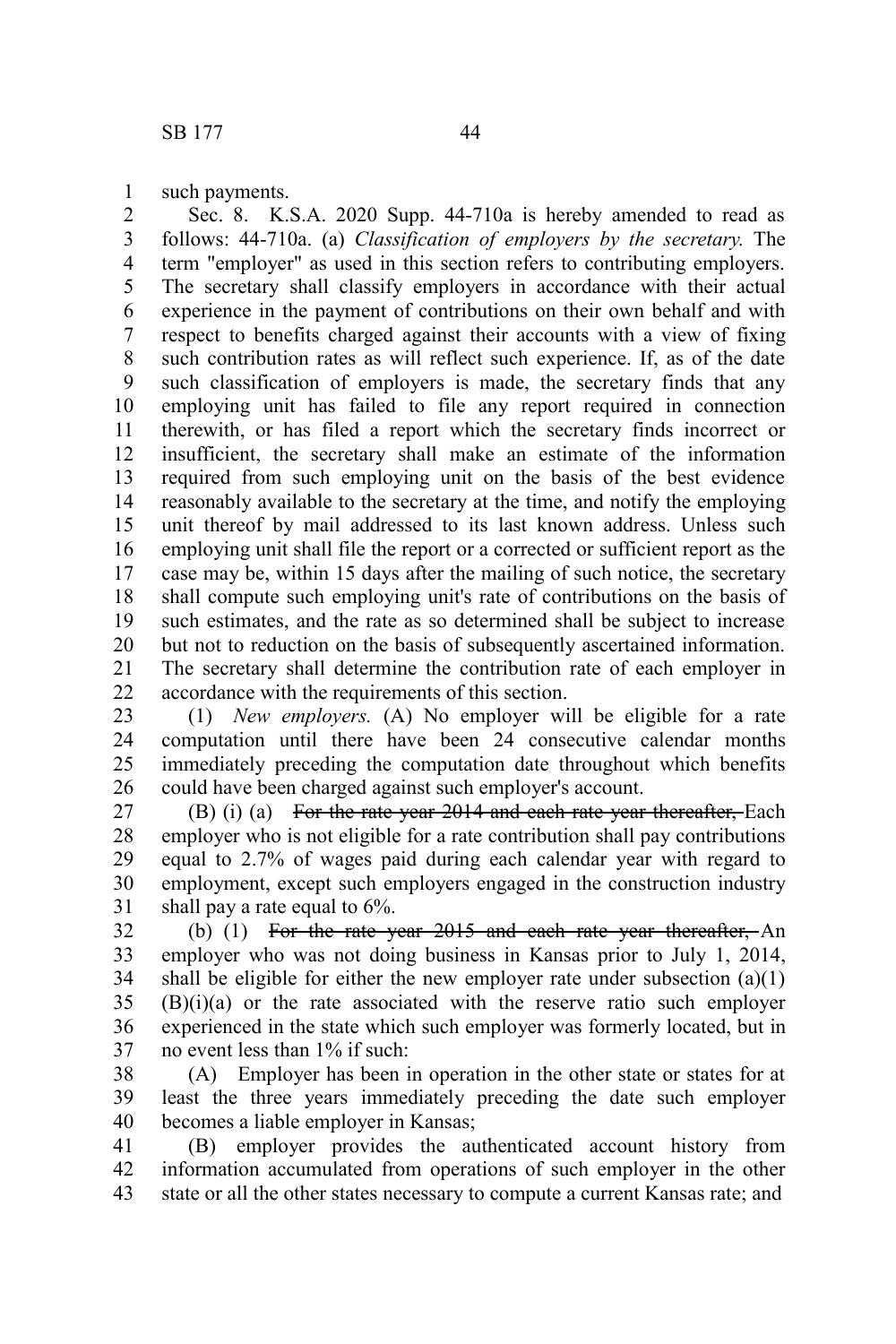such payments. 1

Sec. 8. K.S.A. 2020 Supp. 44-710a is hereby amended to read as follows: 44-710a. (a) *Classification of employers by the secretary.* The term "employer" as used in this section refers to contributing employers. The secretary shall classify employers in accordance with their actual experience in the payment of contributions on their own behalf and with respect to benefits charged against their accounts with a view of fixing such contribution rates as will reflect such experience. If, as of the date such classification of employers is made, the secretary finds that any employing unit has failed to file any report required in connection therewith, or has filed a report which the secretary finds incorrect or insufficient, the secretary shall make an estimate of the information required from such employing unit on the basis of the best evidence reasonably available to the secretary at the time, and notify the employing unit thereof by mail addressed to its last known address. Unless such employing unit shall file the report or a corrected or sufficient report as the case may be, within 15 days after the mailing of such notice, the secretary shall compute such employing unit's rate of contributions on the basis of such estimates, and the rate as so determined shall be subject to increase but not to reduction on the basis of subsequently ascertained information. The secretary shall determine the contribution rate of each employer in accordance with the requirements of this section. 2 3 4 5 6 7 8 9 10 11 12 13 14 15 16 17 18 19 20 21 22

(1) *New employers.* (A) No employer will be eligible for a rate computation until there have been 24 consecutive calendar months immediately preceding the computation date throughout which benefits could have been charged against such employer's account. 23 24 25 26

(B) (i) (a) For the rate year 2014 and each rate year thereafter, Each employer who is not eligible for a rate contribution shall pay contributions equal to 2.7% of wages paid during each calendar year with regard to employment, except such employers engaged in the construction industry shall pay a rate equal to 6%. 27 28 29 30 31

(b) (1) For the rate year 2015 and each rate year thereafter, An employer who was not doing business in Kansas prior to July 1, 2014, shall be eligible for either the new employer rate under subsection  $(a)(1)$ (B)(i)(a) or the rate associated with the reserve ratio such employer experienced in the state which such employer was formerly located, but in no event less than 1% if such: 32 33 34 35 36 37

(A) Employer has been in operation in the other state or states for at least the three years immediately preceding the date such employer becomes a liable employer in Kansas; 38 39 40

(B) employer provides the authenticated account history from information accumulated from operations of such employer in the other state or all the other states necessary to compute a current Kansas rate; and 41 42 43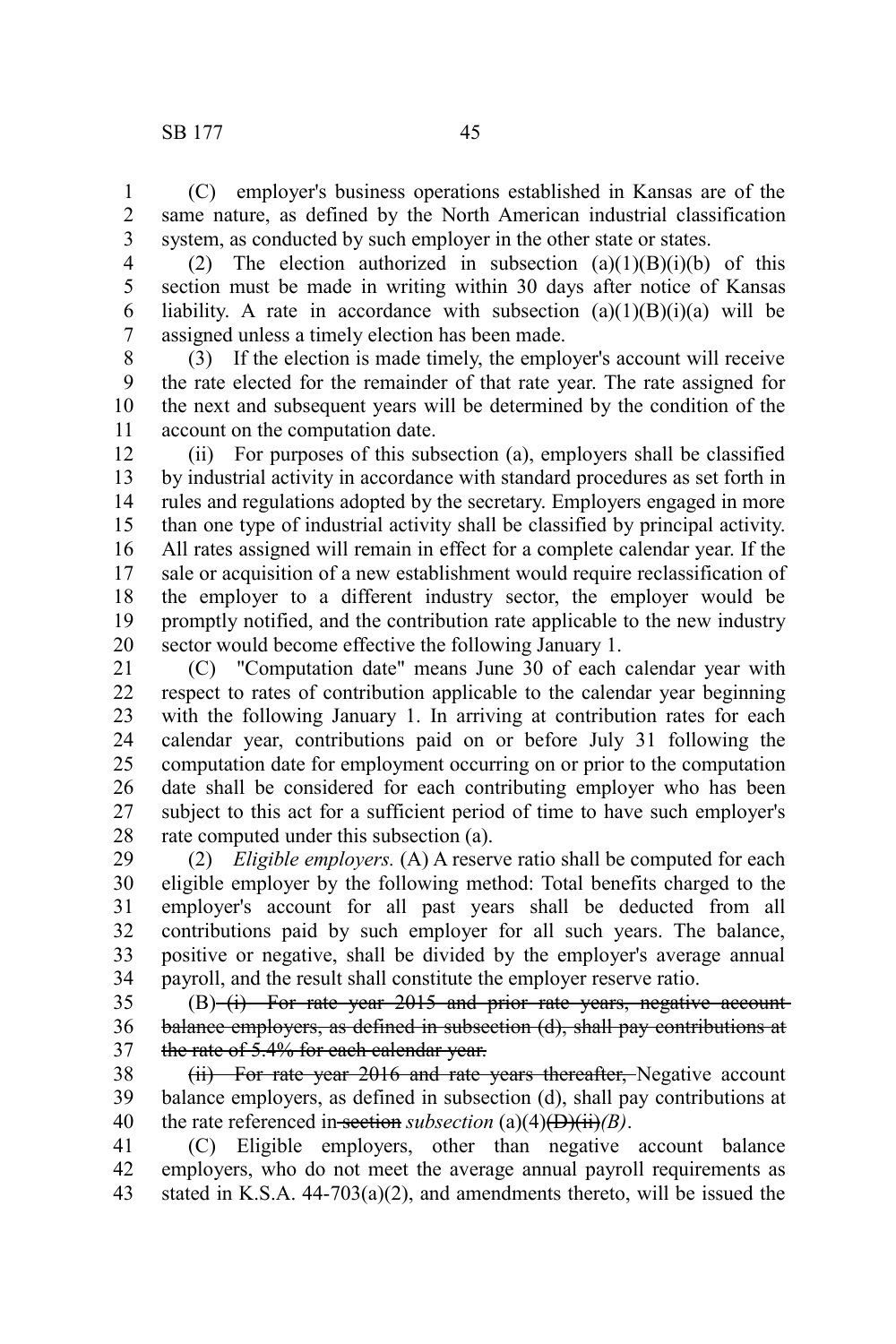(C) employer's business operations established in Kansas are of the same nature, as defined by the North American industrial classification system, as conducted by such employer in the other state or states. 1 2 3

(2) The election authorized in subsection  $(a)(1)(B)(i)(b)$  of this section must be made in writing within 30 days after notice of Kansas liability. A rate in accordance with subsection  $(a)(1)(B)(i)(a)$  will be assigned unless a timely election has been made. 4 5 6 7

(3) If the election is made timely, the employer's account will receive the rate elected for the remainder of that rate year. The rate assigned for the next and subsequent years will be determined by the condition of the account on the computation date. 8 9 10 11

(ii) For purposes of this subsection (a), employers shall be classified by industrial activity in accordance with standard procedures as set forth in rules and regulations adopted by the secretary. Employers engaged in more than one type of industrial activity shall be classified by principal activity. All rates assigned will remain in effect for a complete calendar year. If the sale or acquisition of a new establishment would require reclassification of the employer to a different industry sector, the employer would be promptly notified, and the contribution rate applicable to the new industry sector would become effective the following January 1. 12 13 14 15 16 17 18 19 20

(C) "Computation date" means June 30 of each calendar year with respect to rates of contribution applicable to the calendar year beginning with the following January 1. In arriving at contribution rates for each calendar year, contributions paid on or before July 31 following the computation date for employment occurring on or prior to the computation date shall be considered for each contributing employer who has been subject to this act for a sufficient period of time to have such employer's rate computed under this subsection (a). 21 22 23 24 25 26 27 28

(2) *Eligible employers.* (A) A reserve ratio shall be computed for each eligible employer by the following method: Total benefits charged to the employer's account for all past years shall be deducted from all contributions paid by such employer for all such years. The balance, positive or negative, shall be divided by the employer's average annual payroll, and the result shall constitute the employer reserve ratio. 29 30 31 32 33 34

(B) (i) For rate year 2015 and prior rate years, negative accountbalance employers, as defined in subsection (d), shall pay contributions at the rate of 5.4% for each calendar year. 35 36 37

(ii) For rate year 2016 and rate years thereafter, Negative account balance employers, as defined in subsection (d), shall pay contributions at the rate referenced in section *subsection* (a)(4)(D)(ii)*(B)*. 38 39 40

(C) Eligible employers, other than negative account balance employers, who do not meet the average annual payroll requirements as stated in K.S.A. 44-703(a)(2), and amendments thereto, will be issued the 41 42 43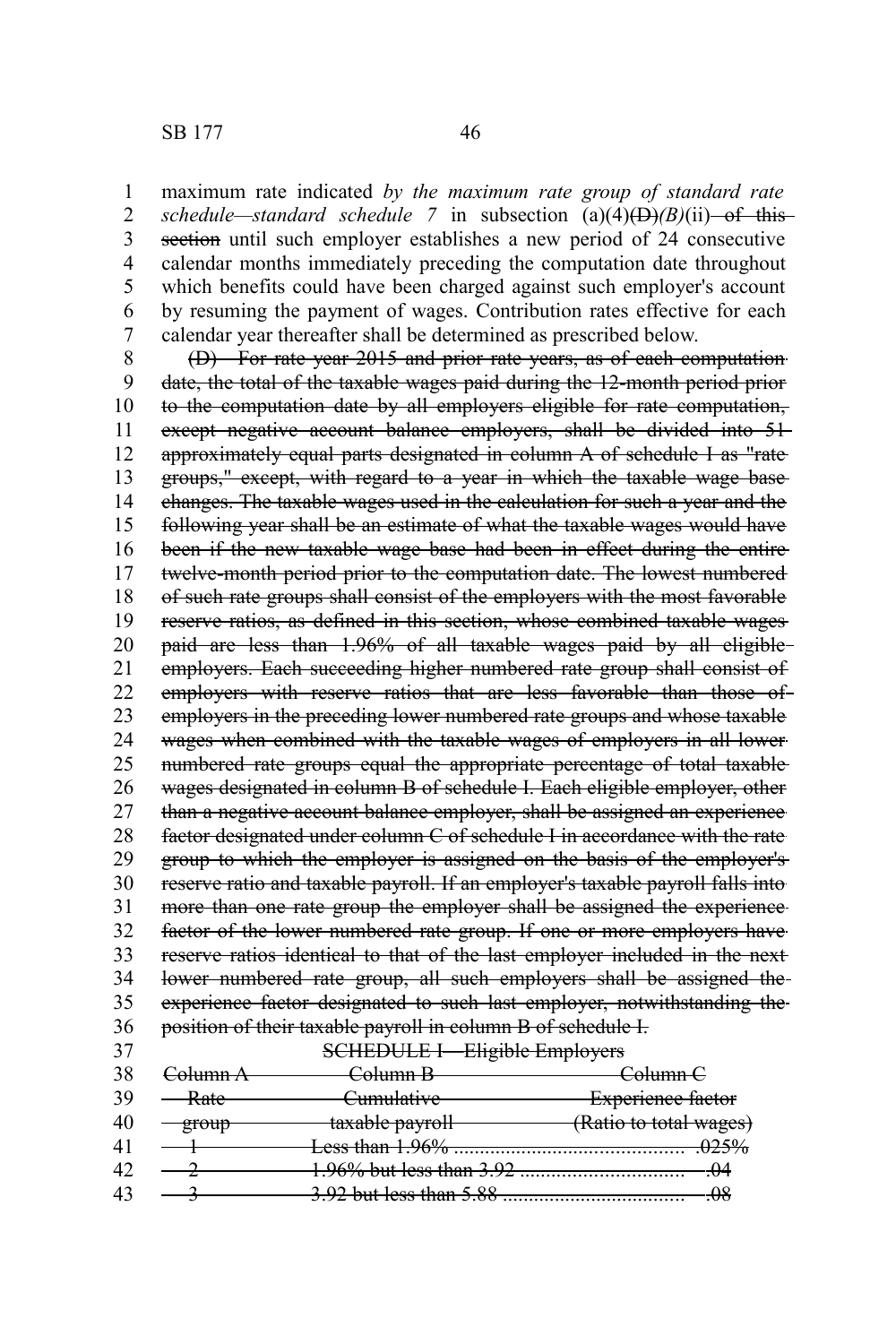maximum rate indicated *by the maximum rate group of standard rate schedule—standard schedule* 7 in subsection  $(a)(4)$ ( $\overrightarrow{D}$ ) $(B)(ii)$  of this section until such employer establishes a new period of 24 consecutive calendar months immediately preceding the computation date throughout which benefits could have been charged against such employer's account by resuming the payment of wages. Contribution rates effective for each calendar year thereafter shall be determined as prescribed below. 1 2 3 4 5 6 7

(D) For rate year 2015 and prior rate years, as of each computation date, the total of the taxable wages paid during the 12-month period prior to the computation date by all employers eligible for rate computation, except negative account balance employers, shall be divided into 51approximately equal parts designated in column A of schedule I as "rate groups," except, with regard to a year in which the taxable wage base changes. The taxable wages used in the calculation for such a year and the following year shall be an estimate of what the taxable wages would have been if the new taxable wage base had been in effect during the entire twelve-month period prior to the computation date. The lowest numbered of such rate groups shall consist of the employers with the most favorable reserve ratios, as defined in this section, whose combined taxable wages paid are less than 1.96% of all taxable wages paid by all eligible employers. Each succeeding higher numbered rate group shall consist of employers with reserve ratios that are less favorable than those of employers in the preceding lower numbered rate groups and whose taxable wages when combined with the taxable wages of employers in all lower numbered rate groups equal the appropriate percentage of total taxable wages designated in column B of schedule I. Each eligible employer, other than a negative account balance employer, shall be assigned an experience factor designated under column C of schedule I in accordance with the rate group to which the employer is assigned on the basis of the employer's reserve ratio and taxable payroll. If an employer's taxable payroll falls into more than one rate group the employer shall be assigned the experience factor of the lower numbered rate group. If one or more employers have reserve ratios identical to that of the last employer included in the next lower numbered rate group, all such employers shall be assigned the experience factor designated to such last employer, notwithstanding the position of their taxable payroll in column B of schedule I. 8 9 10 11 12 13 14 15 16 17 18 19 20 21 22 23 24 25 26 27 28 29 30 31 32 33 34 35 36

37

SCHEDULE I—Eligible Employers

| -38 | <del>-`olumn A</del> | <del>Solumn B</del>                | <del>Column C</del>      |
|-----|----------------------|------------------------------------|--------------------------|
|     | <del>Rate</del>      | <del>Cumulative</del>              | <b>Experience factor</b> |
| 40  |                      | taxable payroll                    | (Ratio to total wages)   |
|     |                      | Less than 1.96%                    | <del>025%</del>          |
|     |                      |                                    | 414                      |
|     |                      | <del>3.92 but less than 5.88</del> | ΩΩ                       |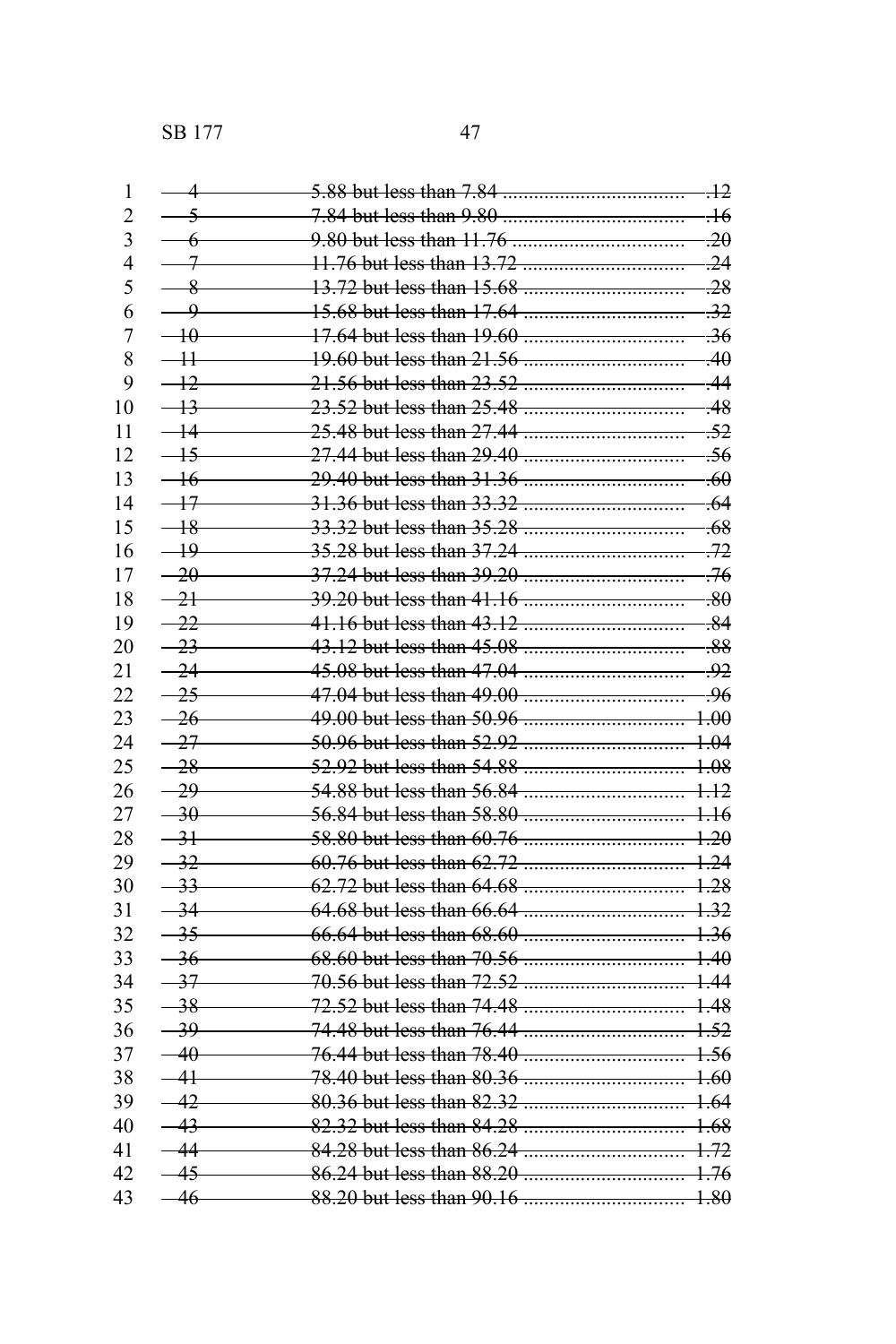SB 177 47

| 1                        | 4                       |                           | $+2$            |
|--------------------------|-------------------------|---------------------------|-----------------|
| $\overline{2}$           | $\overline{\mathbf{z}}$ |                           | -16             |
| $\overline{3}$           | 6                       | 9.80 but less than 11.76  | $\overline{20}$ |
| $\overline{\mathcal{A}}$ |                         | 11.76 but less than 13.72 | $-24$           |
| 5                        | $-8$                    | 13.72 but less than 15.68 | $-28$           |
| 6                        | $\overline{\mathbf{Q}}$ |                           | $-32$           |
| $\overline{7}$           | $\overline{40}$         | 17.64 but less than 19.60 | $-36$           |
| 8                        | $-11$                   | 19.60 but less than 21.56 | $\overline{40}$ |
| 9                        | $-12$                   |                           | -44             |
| 10                       | $+3$                    | 23.52 but less than 25.48 | .48             |
| 11                       |                         | 25.48 but less than 27.44 | .52             |
| 12                       | $-15$                   | 27.44 but less than 29.40 | -56             |
| 13                       | $-16$                   |                           | .60             |
| 14                       | $-17$                   |                           | $-64$           |
| 15                       | $-18$                   |                           | .68             |
| 16                       | $-19$                   | 35.28 but less than 37.24 | -72             |
| 17                       | 20                      |                           | -76             |
| 18                       | $-21$                   | 39.20 but less than 41.16 | $-80$           |
|                          | $-22$                   |                           |                 |
| 19                       |                         |                           | $-84$           |
| 20                       | $-23$                   |                           | -88             |
| 21                       | $-24$                   |                           | -92             |
| 22                       | $-25$                   |                           | -96             |
| 23                       | $-26$                   |                           | $+00$           |
| 24                       | $-27$                   |                           | $+04$           |
| 25                       | $-28$                   | 52.92 but less than 54.88 | $+08$           |
| 26                       | 29                      | 54.88 but less than 56.84 | $+12$           |
| 27                       | $-30$                   |                           | <del>116</del>  |
| 28                       | $-31$                   |                           | $+20$           |
| 29                       | $-32$                   |                           | $+24$           |
| 30                       | $-33$                   |                           | $+28$           |
| 31                       | $-34$                   |                           | $+32$           |
| 32                       | $-35$                   |                           | $+36$           |
| 33                       | $-36$                   |                           | $+40$           |
| 34                       | $-37$                   |                           | $+44$           |
| 35                       | $-38$                   |                           | $+48$           |
| 36                       | $-39$                   | 74.48 but less than 76.44 | $+52$           |
| 37                       | 40                      |                           | $+56$           |
| 38                       | 41                      |                           | $+60$           |
| 39                       | 42                      |                           | $+64$           |
| 40                       | 43                      | 82.32 but less than 84.28 | <del>1.68</del> |
| 41                       |                         | 84.28 but less than 86.24 | $+72$           |
|                          | 45                      |                           |                 |
| 42                       |                         |                           | $+76$           |
| 43                       | 46                      |                           | $+80$           |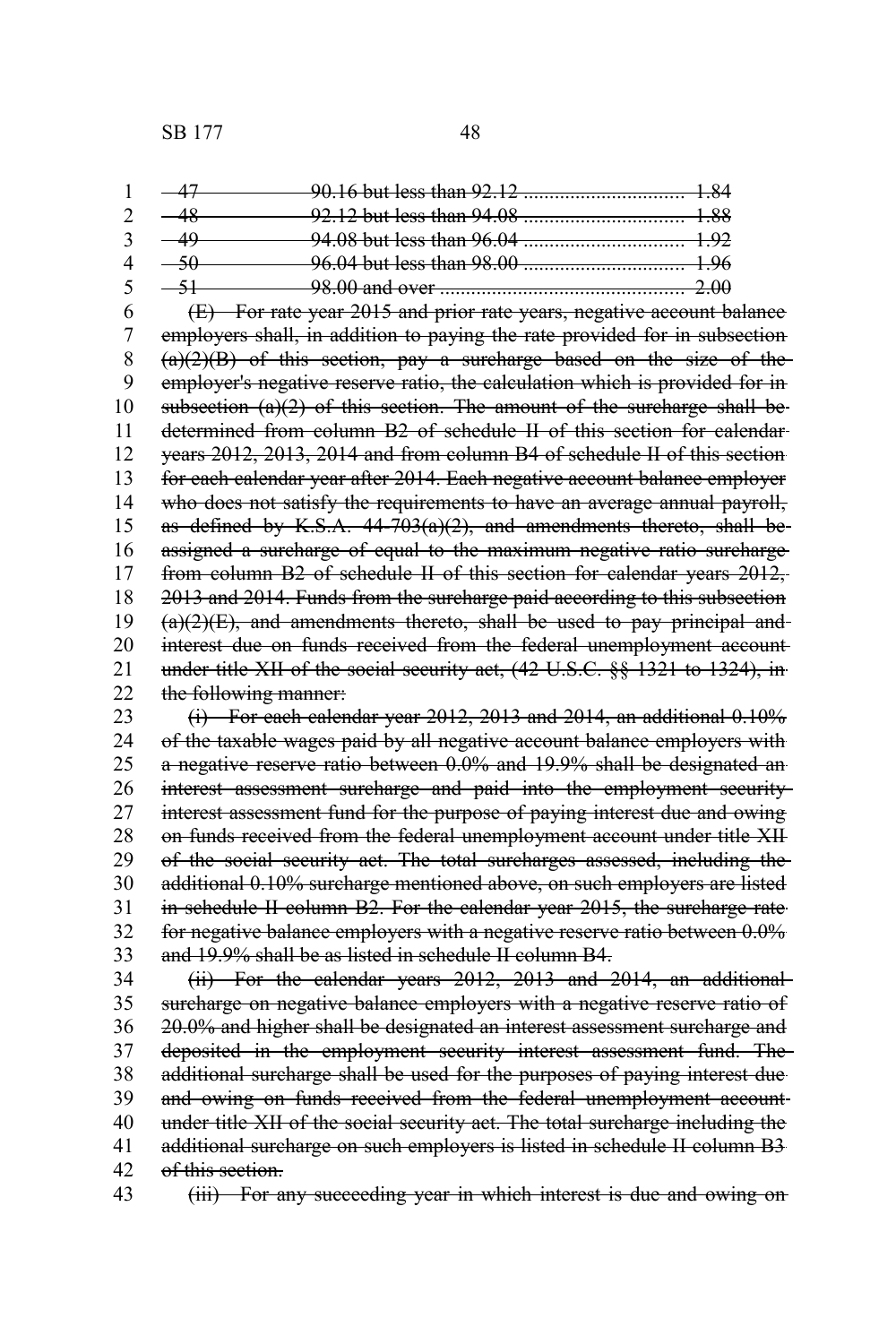SB 177 48

|  | 98.00 and over 2.00 |  |
|--|---------------------|--|

(E) For rate year 2015 and prior rate years, negative account balance employers shall, in addition to paying the rate provided for in subsection  $(a)(2)(B)$  of this section, pay a surcharge based on the size of the employer's negative reserve ratio, the calculation which is provided for in subsection  $(a)(2)$  of this section. The amount of the surcharge shall be determined from column B2 of schedule II of this section for calendar years 2012, 2013, 2014 and from column B4 of schedule II of this section for each calendar year after 2014. Each negative account balance employer who does not satisfy the requirements to have an average annual payroll, as defined by K.S.A.  $44-703(a)(2)$ , and amendments thereto, shall beassigned a surcharge of equal to the maximum negative ratio surcharge from column B2 of schedule II of this section for calendar years 2012, 2013 and 2014. Funds from the surcharge paid according to this subsection  $(a)(2)(E)$ , and amendments thereto, shall be used to pay principal andinterest due on funds received from the federal unemployment account under title XII of the social security act, (42 U.S.C. §§ 1321 to 1324), in the following manner: 6 7 8 9 10 11 12 13 14 15 16 17 18 19 20 21 22

(i) For each calendar year 2012, 2013 and 2014, an additional 0.10% of the taxable wages paid by all negative account balance employers with a negative reserve ratio between 0.0% and 19.9% shall be designated an interest assessment surcharge and paid into the employment security interest assessment fund for the purpose of paying interest due and owing on funds received from the federal unemployment account under title XII of the social security act. The total surcharges assessed, including the additional 0.10% surcharge mentioned above, on such employers are listed in schedule II column B2. For the calendar year 2015, the surcharge rate for negative balance employers with a negative reserve ratio between 0.0% and 19.9% shall be as listed in schedule II column B4. 23 24 25 26 27 28 29 30 31 32 33

(ii) For the calendar years 2012, 2013 and 2014, an additional surcharge on negative balance employers with a negative reserve ratio of 20.0% and higher shall be designated an interest assessment surcharge and deposited in the employment security interest assessment fund. The additional surcharge shall be used for the purposes of paying interest due and owing on funds received from the federal unemployment account under title XII of the social security act. The total surcharge including the additional surcharge on such employers is listed in schedule II column B3 of this section. 34 35 36 37 38 39 40 41 42

(iii) For any succeeding year in which interest is due and owing on 43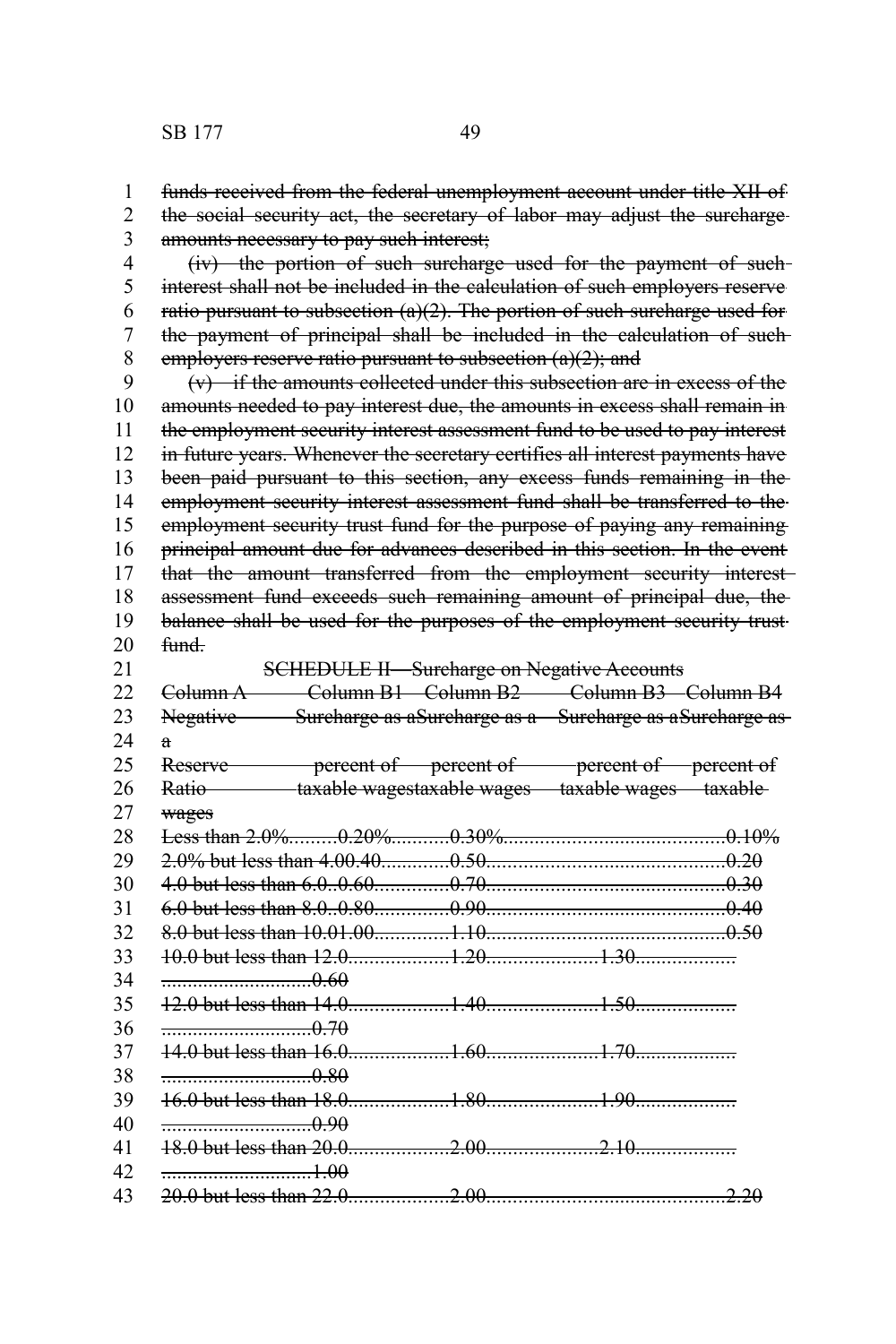| 1              | funds received from the federal unemployment account under title XII of                   |  |  |  |  |
|----------------|-------------------------------------------------------------------------------------------|--|--|--|--|
| $\overline{2}$ | the social security act, the secretary of labor may adjust the surcharge-                 |  |  |  |  |
| $\overline{3}$ | amounts necessary to pay such interest;                                                   |  |  |  |  |
| $\overline{4}$ | (iv) the portion of such surcharge used for the payment of such-                          |  |  |  |  |
| 5              | interest shall not be included in the calculation of such employers reserve               |  |  |  |  |
| 6              | ratio pursuant to subsection $(a)(2)$ . The portion of such surcharge used for            |  |  |  |  |
| $\overline{7}$ | the payment of principal shall be included in the calculation of such-                    |  |  |  |  |
| 8              | employers reserve ratio pursuant to subsection $(a)(2)$ ; and                             |  |  |  |  |
| 9              | $(v)$ if the amounts collected under this subsection are in excess of the                 |  |  |  |  |
| 10             | amounts needed to pay interest due, the amounts in excess shall remain in                 |  |  |  |  |
| 11             | the employment security interest assessment fund to be used to pay interest               |  |  |  |  |
| 12             | in future years. Whenever the secretary certifies all interest payments have              |  |  |  |  |
| 13             | been paid pursuant to this section, any excess funds remaining in the                     |  |  |  |  |
| 14             | employment security interest assessment fund shall be transferred to the                  |  |  |  |  |
| 15             | employment security trust fund for the purpose of paying any remaining                    |  |  |  |  |
| 16             | principal amount due for advances described in this section. In the event                 |  |  |  |  |
| 17             | that the amount transferred from the employment security interest                         |  |  |  |  |
| 18             | assessment fund exceeds such remaining amount of principal due, the                       |  |  |  |  |
| 19             | balance shall be used for the purposes of the employment security trust-                  |  |  |  |  |
| 20             | <del>fund.</del>                                                                          |  |  |  |  |
| 21             | <b>SCHEDULE II-Surcharge on Negative Accounts</b>                                         |  |  |  |  |
| 22             | Column A Column B1 Column B2 Column B3 Column B4                                          |  |  |  |  |
| 23             | Negative Surcharge as aSurcharge as a Surcharge as aSurcharge as                          |  |  |  |  |
| 24             | a                                                                                         |  |  |  |  |
| 25             | Reserve <b>Example 2</b> percent of <b>percent</b> of <b>percent</b> of <b>percent</b> of |  |  |  |  |
| 26             | Ratio taxable wagestaxable wages taxable wages taxable                                    |  |  |  |  |
| 27             | wages                                                                                     |  |  |  |  |
| 28             |                                                                                           |  |  |  |  |
| 29             |                                                                                           |  |  |  |  |
| 30             |                                                                                           |  |  |  |  |
| 31             |                                                                                           |  |  |  |  |
| 32             |                                                                                           |  |  |  |  |
| 33             |                                                                                           |  |  |  |  |
| 34             | $\frac{1}{1}$                                                                             |  |  |  |  |
| 35             |                                                                                           |  |  |  |  |
| 36             | $\frac{1}{2}$ 0.70                                                                        |  |  |  |  |
| 37             |                                                                                           |  |  |  |  |
| 38             | $\frac{1}{2}$ 0.80                                                                        |  |  |  |  |
| 39             |                                                                                           |  |  |  |  |
| 40             | $\frac{1}{1}$ 0.90                                                                        |  |  |  |  |
| 41             |                                                                                           |  |  |  |  |
| 42             |                                                                                           |  |  |  |  |

20.0 but less than 22.0 ...................2.00 ....................... ......................2.20 43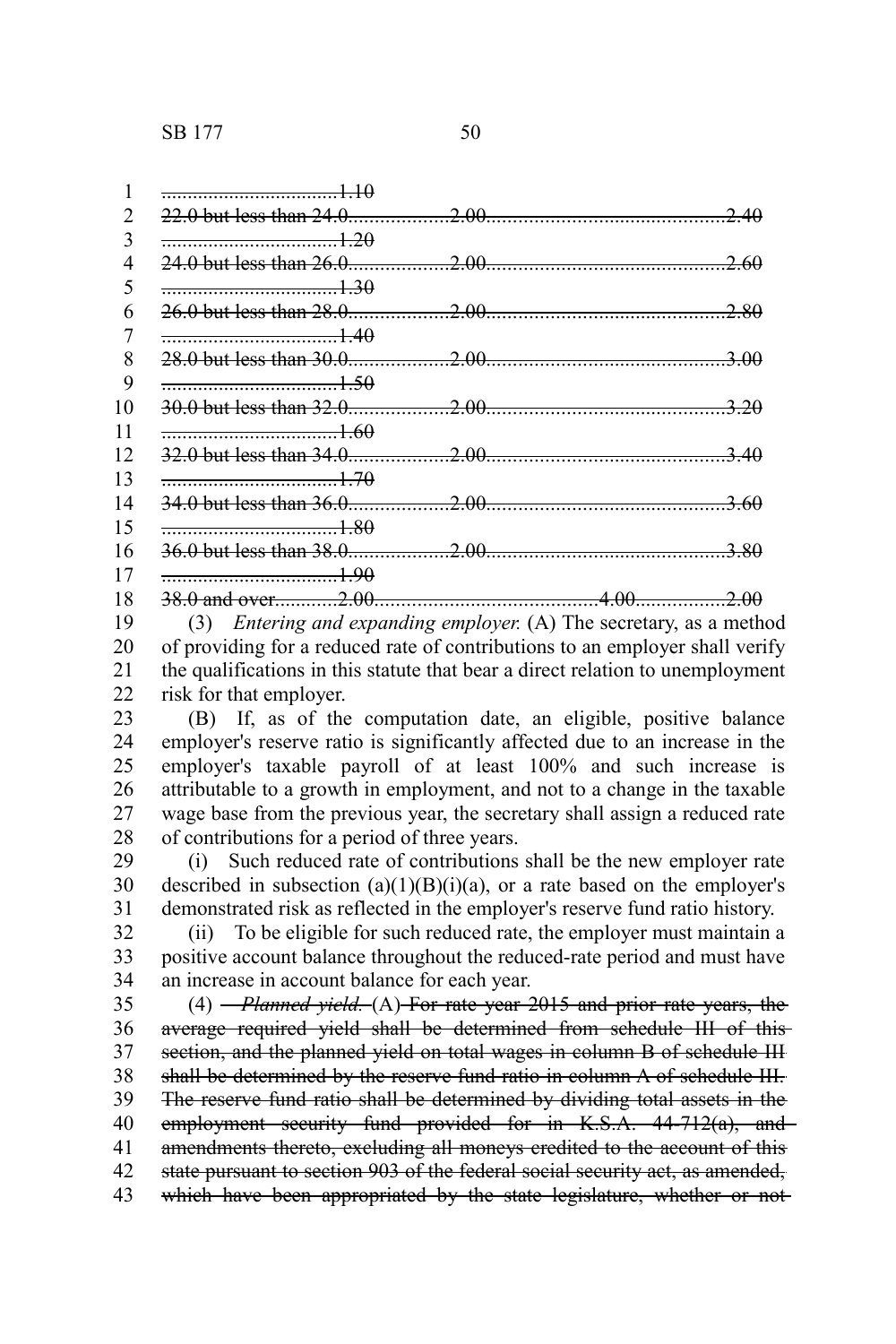|    | 1.10              |                  |
|----|-------------------|------------------|
|    |                   |                  |
| 3  | $\frac{1}{20}$    |                  |
| 4  |                   |                  |
| 5  | $\frac{1}{20}$    |                  |
| 6  |                   | 280              |
|    |                   |                  |
| 8  |                   |                  |
| 9  | $\frac{1}{20}$    |                  |
| 10 |                   |                  |
| 11 |                   |                  |
| 12 |                   |                  |
| 13 | $\frac{1}{1}$ .70 |                  |
| 14 |                   |                  |
| 15 | $\frac{1.80}{2}$  |                  |
| 16 |                   |                  |
| 17 | $\frac{1}{20}$    |                  |
| 18 |                   | 4.00 <del></del> |

(3) *Entering and expanding employer.* (A) The secretary, as a method of providing for a reduced rate of contributions to an employer shall verify the qualifications in this statute that bear a direct relation to unemployment risk for that employer. 19 20 21 22

(B) If, as of the computation date, an eligible, positive balance employer's reserve ratio is significantly affected due to an increase in the employer's taxable payroll of at least 100% and such increase is attributable to a growth in employment, and not to a change in the taxable wage base from the previous year, the secretary shall assign a reduced rate of contributions for a period of three years. 23 24 25 26 27 28

(i) Such reduced rate of contributions shall be the new employer rate described in subsection  $(a)(1)(B)(i)(a)$ , or a rate based on the employer's demonstrated risk as reflected in the employer's reserve fund ratio history. 29 30 31

(ii) To be eligible for such reduced rate, the employer must maintain a positive account balance throughout the reduced-rate period and must have an increase in account balance for each year. 32 33 34

(4) *Planned yield.* (A) For rate year 2015 and prior rate years, the average required yield shall be determined from schedule III of this section, and the planned yield on total wages in column B of schedule III shall be determined by the reserve fund ratio in column A of schedule III. The reserve fund ratio shall be determined by dividing total assets in the employment security fund provided for in K.S.A. 44-712(a), and amendments thereto, excluding all moneys credited to the account of this state pursuant to section 903 of the federal social security act, as amended, which have been appropriated by the state legislature, whether or not-35 36 37 38 39 40 41 42 43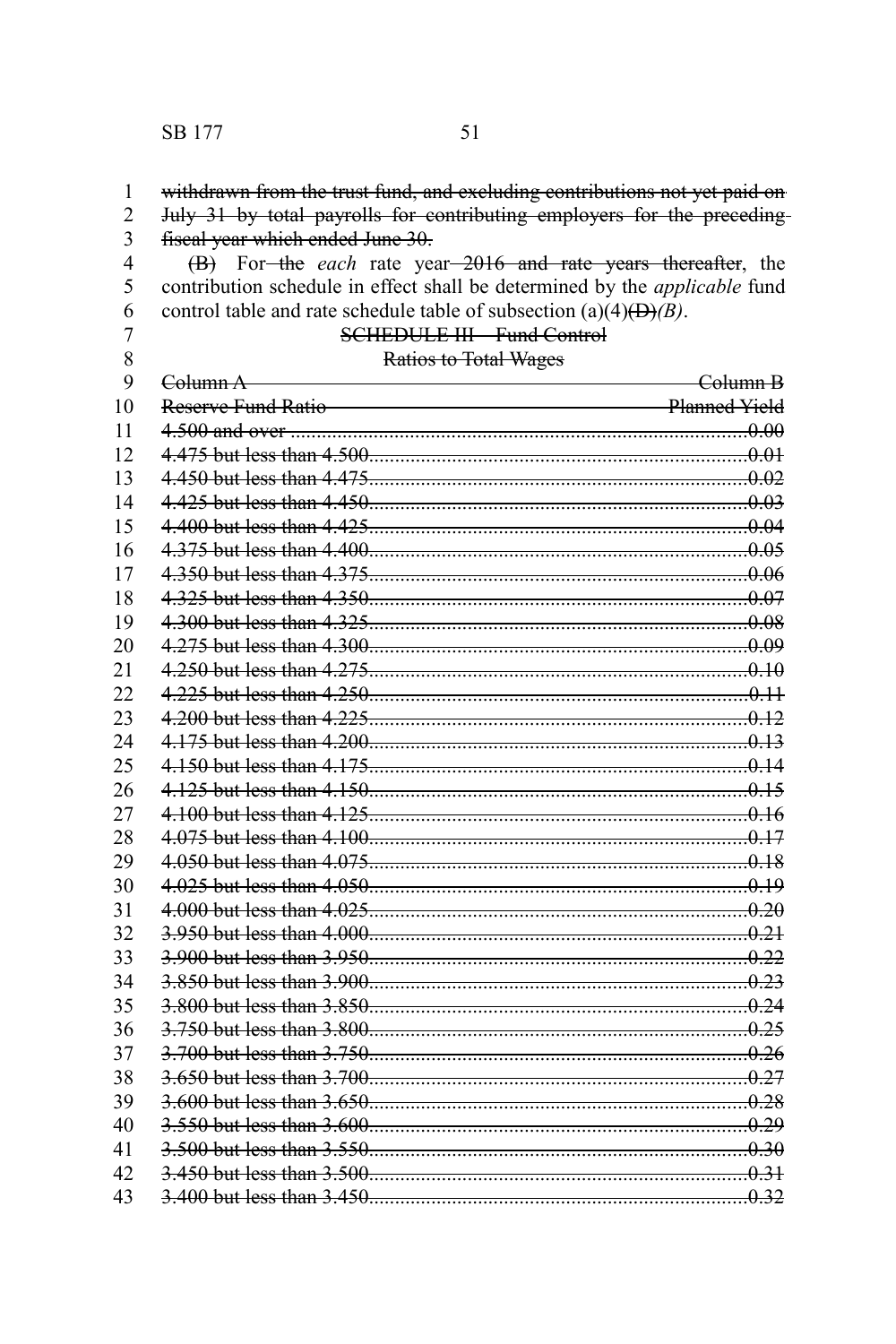### SB 177 51

#### withdrawn from the trust fund, and excluding contributions not yet paid on 1

July 31 by total payrolls for contributing employers for the preceding fiscal year which ended June 30. 2 3

(B) For the *each* rate year 2016 and rate years thereafter, the contribution schedule in effect shall be determined by the *applicable* fund control table and rate schedule table of subsection (a) $\overrightarrow{(4)}$ ( $\overrightarrow{B}$ ). 4 5 6

7 8  $\Omega$ 

# SCHEDULE III—Fund Control

## Ratios to Total Wages

| 9  | Column A <b>Executive Column</b> A  | <del>-Column B</del> |
|----|-------------------------------------|----------------------|
| 10 | Reserve Fund Ratio<br>Planned Yield |                      |
| 11 |                                     |                      |
| 12 |                                     |                      |
| 13 |                                     |                      |
| 14 |                                     |                      |
| 15 |                                     |                      |
| 16 |                                     |                      |
| 17 |                                     |                      |
| 18 |                                     |                      |
| 19 |                                     |                      |
| 20 |                                     |                      |
| 21 |                                     |                      |
| 22 |                                     |                      |
| 23 |                                     |                      |
| 24 |                                     |                      |
| 25 |                                     |                      |
| 26 |                                     |                      |
| 27 |                                     |                      |
| 28 |                                     |                      |
| 29 |                                     |                      |
| 30 |                                     |                      |
| 31 |                                     |                      |
| 32 |                                     |                      |
| 33 |                                     |                      |
| 34 |                                     |                      |
| 35 | 3.800 but less than 3.850           |                      |
| 36 |                                     |                      |
| 37 |                                     |                      |
| 38 |                                     |                      |
| 39 |                                     |                      |
| 40 |                                     |                      |
| 41 |                                     |                      |
| 42 |                                     |                      |
| 43 |                                     |                      |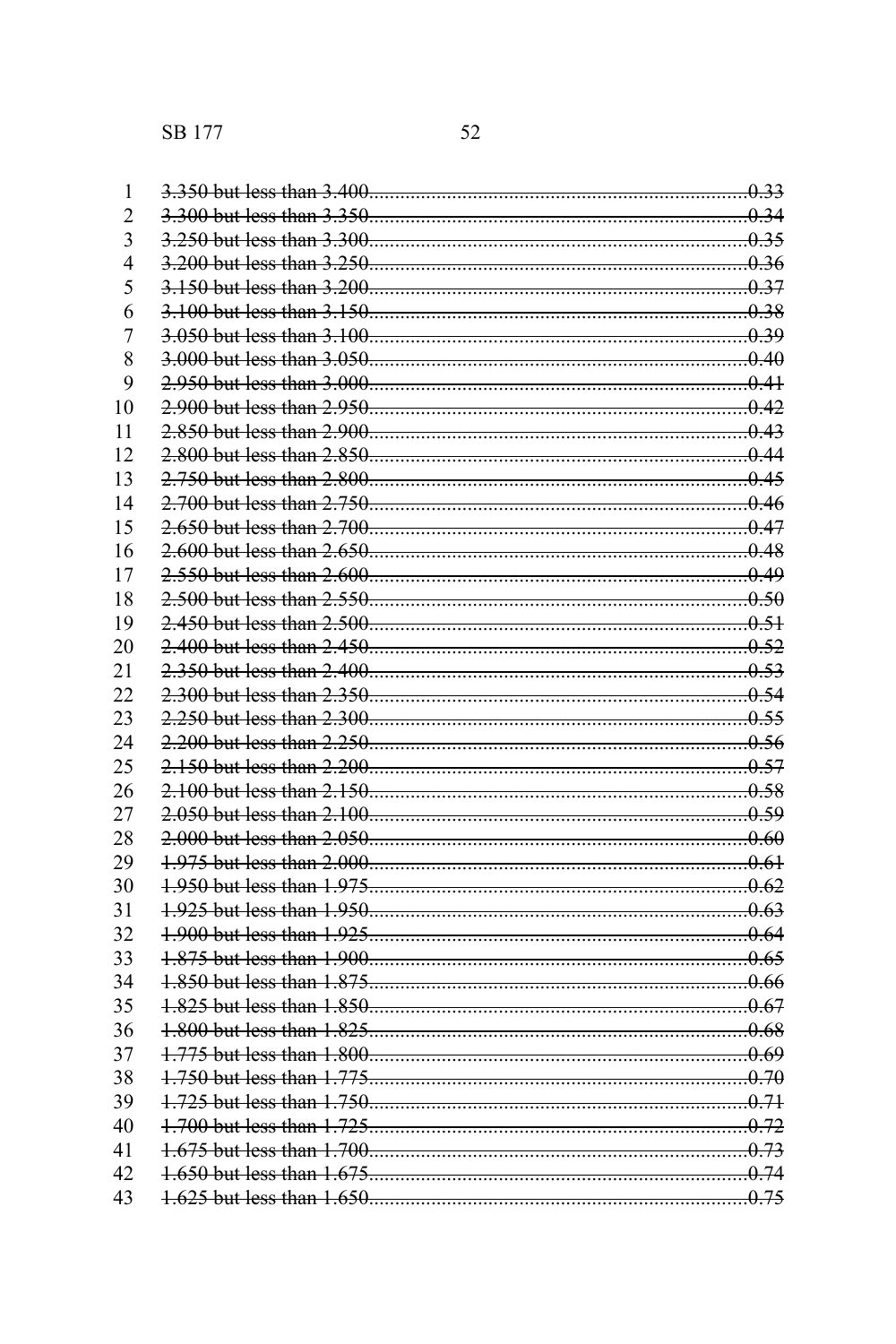| $\mathbf{1}$   |  |
|----------------|--|
| $\overline{2}$ |  |
| 3              |  |
| $\overline{4}$ |  |
| 5              |  |
| 6              |  |
| $\overline{7}$ |  |
| 8              |  |
| 9              |  |
| 10             |  |
| 11             |  |
| 12             |  |
| 13             |  |
| 14             |  |
| 15             |  |
| 16             |  |
| 17             |  |
| 18             |  |
| 19             |  |
| 20             |  |
| 21             |  |
| 22             |  |
| 23             |  |
| 24             |  |
| 25             |  |
| 26             |  |
| 27             |  |
| 28             |  |
| 29             |  |
| 30             |  |
| 31             |  |
| 32             |  |
| 33             |  |
| 34             |  |
| 35             |  |
| 36             |  |
| 37             |  |
| 38             |  |
| 39             |  |
| 40             |  |
| 41             |  |
| 42             |  |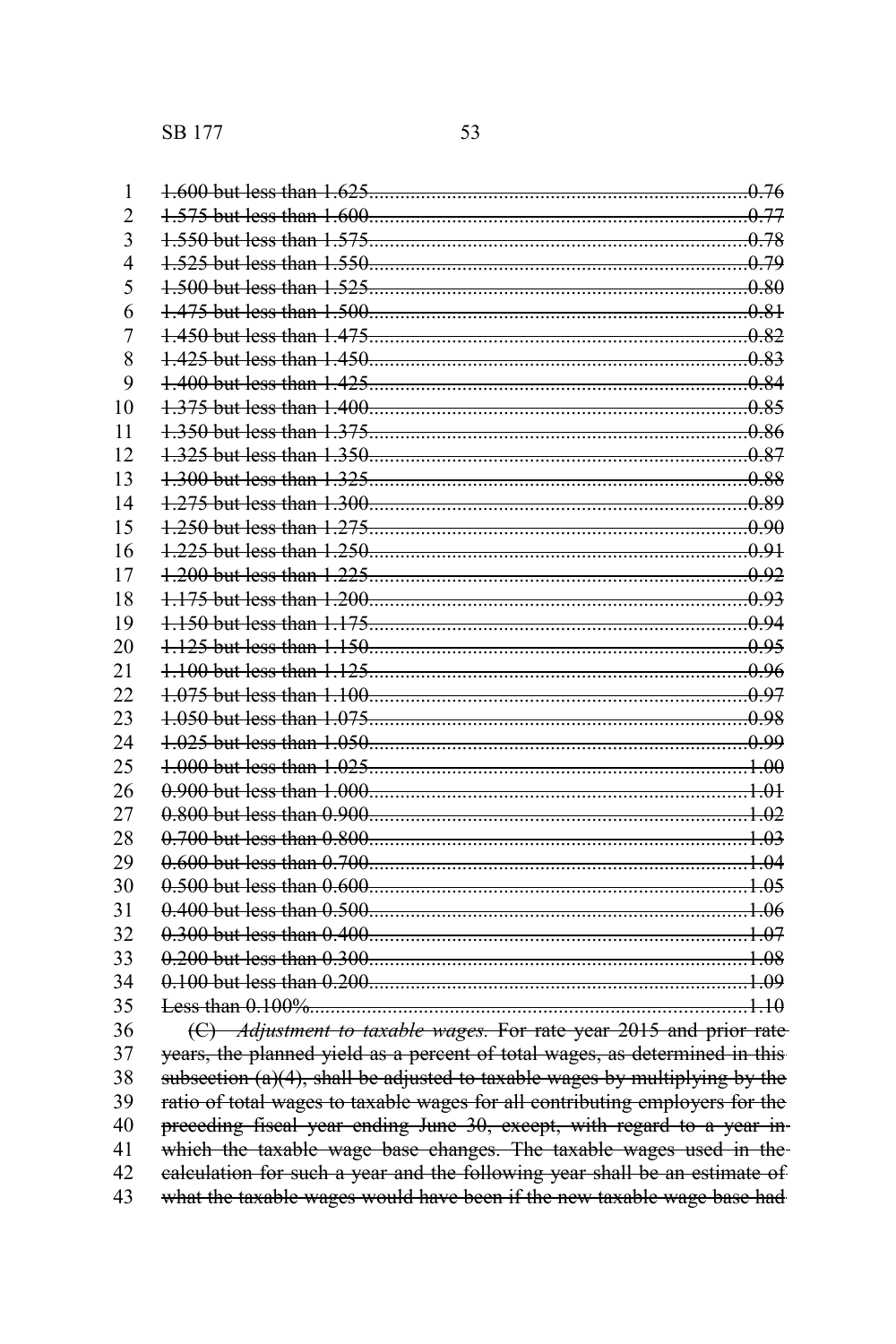SB 177 53

| 1              |                                                                              |  |
|----------------|------------------------------------------------------------------------------|--|
| $\overline{2}$ |                                                                              |  |
| $\overline{3}$ |                                                                              |  |
| 4              |                                                                              |  |
| 5              |                                                                              |  |
| 6              |                                                                              |  |
| 7              |                                                                              |  |
| 8              |                                                                              |  |
| 9              |                                                                              |  |
| 10             |                                                                              |  |
| 11             |                                                                              |  |
| 12             |                                                                              |  |
| 13             |                                                                              |  |
| 14             |                                                                              |  |
| 15             |                                                                              |  |
| 16             |                                                                              |  |
| 17             |                                                                              |  |
| 18             |                                                                              |  |
| 19             |                                                                              |  |
| 20             |                                                                              |  |
| 21             |                                                                              |  |
| 22             |                                                                              |  |
| 23             |                                                                              |  |
| 24             |                                                                              |  |
| 25             |                                                                              |  |
| 26             |                                                                              |  |
| 27             |                                                                              |  |
| 28             |                                                                              |  |
| 29             |                                                                              |  |
| 30             |                                                                              |  |
| 31             |                                                                              |  |
| 32             |                                                                              |  |
| 33             |                                                                              |  |
| 34             |                                                                              |  |
| 35             |                                                                              |  |
| 36             | (C) Adjustment to taxable wages. For rate year 2015 and prior rate           |  |
| 37             | years, the planned yield as a percent of total wages, as determined in this  |  |
| 38             | subsection (a)(4), shall be adjusted to taxable wages by multiplying by the  |  |
| 39             | ratio of total wages to taxable wages for all contributing employers for the |  |
| 40             | preceding fiscal year ending June 30, except, with regard to a year in-      |  |
| 41             | which the taxable wage base changes. The taxable wages used in the           |  |
| 42             | ealculation for such a year and the following year shall be an estimate of   |  |
| 43             | what the taxable wages would have been if the new taxable wage base had      |  |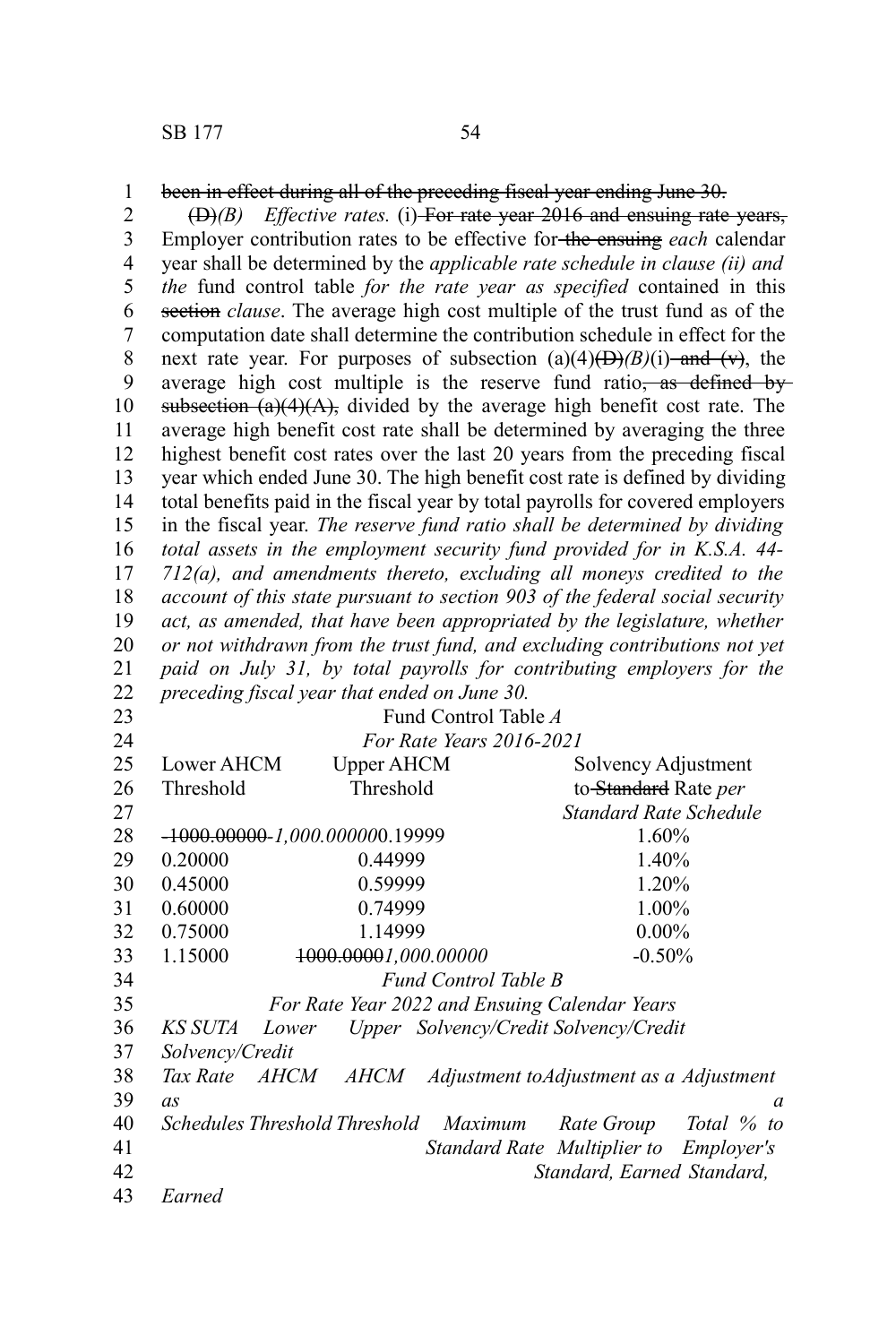been in effect during all of the preceding fiscal year ending June 30. 1

(D)*(B) Effective rates.* (i) For rate year 2016 and ensuing rate years, Employer contribution rates to be effective for the ensuing *each* calendar year shall be determined by the *applicable rate schedule in clause (ii) and the* fund control table *for the rate year as specified* contained in this section *clause*. The average high cost multiple of the trust fund as of the computation date shall determine the contribution schedule in effect for the next rate year. For purposes of subsection  $(a)(4)$ ( $\rightarrow$ ) $(B)(i)$  and (v), the average high cost multiple is the reserve fund ratio, as defined by subsection  $(a)(4)(A)$ , divided by the average high benefit cost rate. The average high benefit cost rate shall be determined by averaging the three highest benefit cost rates over the last 20 years from the preceding fiscal year which ended June 30. The high benefit cost rate is defined by dividing total benefits paid in the fiscal year by total payrolls for covered employers in the fiscal year. *The reserve fund ratio shall be determined by dividing total assets in the employment security fund provided for in K.S.A. 44- 712(a), and amendments thereto, excluding all moneys credited to the account of this state pursuant to section 903 of the federal social security act, as amended, that have been appropriated by the legislature, whether or not withdrawn from the trust fund, and excluding contributions not yet paid on July 31, by total payrolls for contributing employers for the preceding fiscal year that ended on June 30.* 2 3 4 5 6 7 8 9 10 11 12 13 14 15 16 17 18 19 20 21 22

23

24

Fund Control Table *A For Rate Years 2016-2021*

| 25 | <b>Lower AHCM</b> | Upper AHCM                                    |                                       | Solvency Adjustment                     |
|----|-------------------|-----------------------------------------------|---------------------------------------|-----------------------------------------|
| 26 | Threshold         | Threshold                                     |                                       | to-Standard Rate per                    |
| 27 |                   |                                               |                                       | Standard Rate Schedule                  |
| 28 |                   | <del>-1000.00000</del> -1.000.000000.19999    |                                       | 1.60%                                   |
| 29 | 0.20000           | 0.44999                                       |                                       | 1.40%                                   |
| 30 | 0.45000           | 0.59999                                       |                                       | 1.20%                                   |
| 31 | 0.60000           | 0.74999                                       |                                       | 1.00%                                   |
| 32 | 0.75000           | 1.14999                                       |                                       | $0.00\%$                                |
| 33 | 1.15000           | 1000.00001,000.00000                          |                                       | $-0.50%$                                |
| 34 |                   |                                               | Fund Control Table B                  |                                         |
| 35 |                   | For Rate Year 2022 and Ensuing Calendar Years |                                       |                                         |
| 36 | KS SUTA           | Lower                                         | Upper Solvency/Credit Solvency/Credit |                                         |
| 37 | Solvency/Credit   |                                               |                                       |                                         |
| 38 | Tax Rate          | <i>AHCM</i><br><i>AHCM</i>                    |                                       | Adjustment toAdjustment as a Adjustment |
| 39 | as                |                                               |                                       | a                                       |
| 40 |                   | Schedules Threshold Threshold                 | Maximum                               | Rate Group<br>Total % to                |
| 41 |                   |                                               |                                       | Standard Rate Multiplier to Employer's  |
| 42 |                   |                                               |                                       | Standard, Earned Standard,              |
| 43 | Earned            |                                               |                                       |                                         |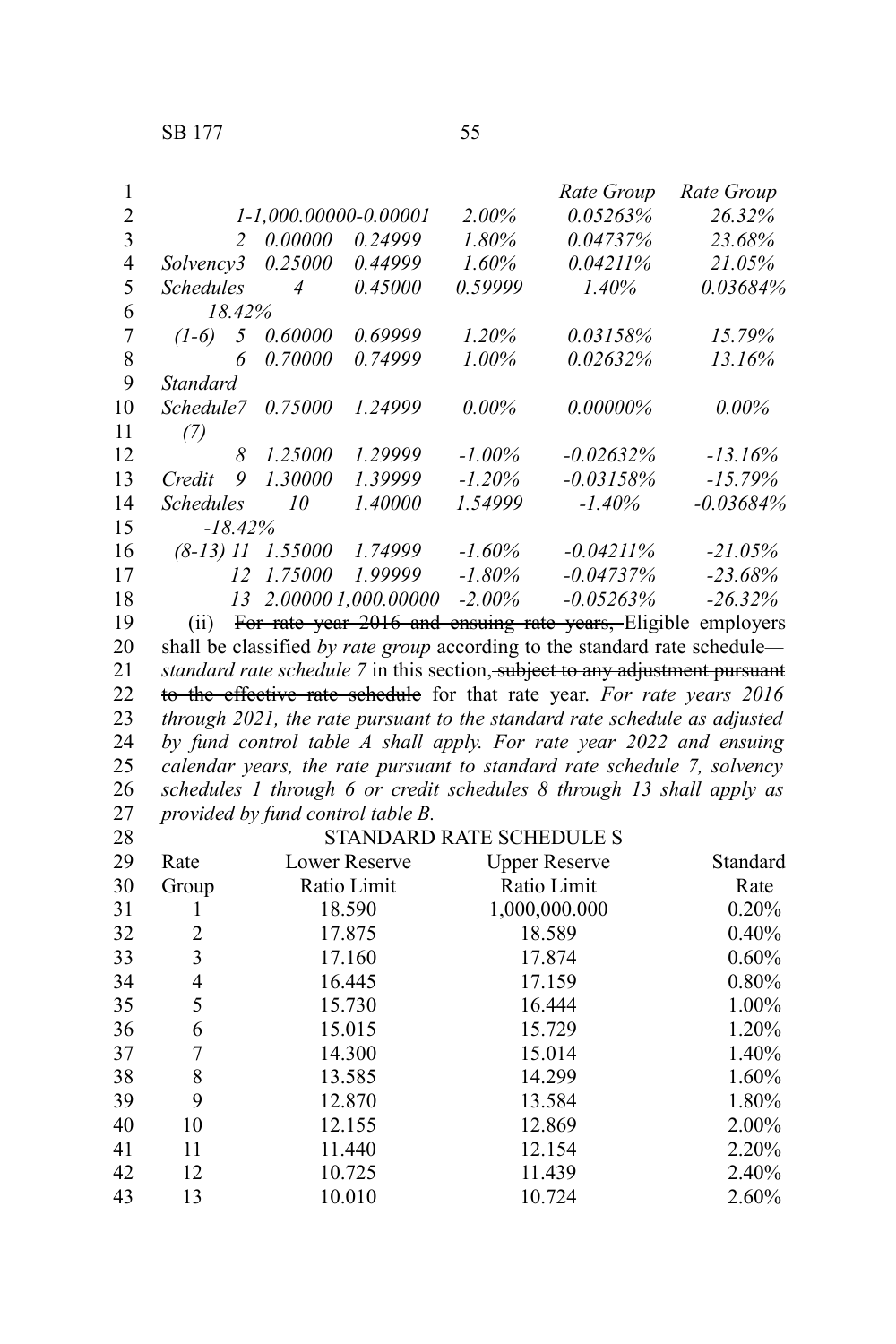| 1                |                  |                             |                        |           | Rate Group                                                                          | Rate Group   |
|------------------|------------------|-----------------------------|------------------------|-----------|-------------------------------------------------------------------------------------|--------------|
| $\overline{c}$   |                  | $1 - 1,000.00000 - 0.00001$ |                        | $2.00\%$  | 0.05263%                                                                            | 26.32%       |
| 3                | $\overline{2}$   | 0.00000                     | 0.24999                | $1.80\%$  | 0.04737%                                                                            | 23.68%       |
| 4                | Solvency3        | 0.25000                     | 0.44999                | $1.60\%$  | $0.04211\%$                                                                         | 21.05%       |
| 5                | <b>Schedules</b> | $\overline{4}$              | 0.45000                | 0.59999   | $1.40\%$                                                                            | 0.03684%     |
| 6                | 18.42%           |                             |                        |           |                                                                                     |              |
| $\boldsymbol{7}$ | 5<br>$(1-6)$     | 0.60000                     | 0.69999                | 1.20%     | 0.03158%                                                                            | 15.79%       |
| 8                | 6                | 0.70000                     | 0.74999                | $1.00\%$  | $0.02632\%$                                                                         | 13.16%       |
| 9                | <b>Standard</b>  |                             |                        |           |                                                                                     |              |
| 10               | Schedule7        | 0.75000                     | 1.24999                | $0.00\%$  | $0.00000\%$                                                                         | $0.00\%$     |
| 11               | (7)              |                             |                        |           |                                                                                     |              |
| 12               | 8                | 1.25000                     | 1.29999                | $-1.00\%$ | $-0.02632%$                                                                         | $-13.16%$    |
| 13               | 9<br>Credit      | 1.30000                     | 1.39999                | $-1.20\%$ | $-0.03158%$                                                                         | $-15.79%$    |
| 14               | <b>Schedules</b> | 10                          | 1.40000                | 1.54999   | $-1.40\%$                                                                           | $-0.03684\%$ |
| 15               | $-18.42%$        |                             |                        |           |                                                                                     |              |
| 16               |                  | $(8-13)$ 11 $1.55000$       | 1.74999                | $-1.60\%$ | -0.04211%                                                                           | $-21.05%$    |
| 17               |                  | 12 1.75000                  | 1.99999                | -1.80%    | $-0.04737\%$                                                                        | $-23.68%$    |
| 18               |                  |                             | 13 2.00000 1,000.00000 | $-2.00\%$ | $-0.05263\%$                                                                        | $-26.32\%$   |
| 19               |                  |                             |                        |           | (ii) For rate year 2016 and ensuing rate years, Eligible employers                  |              |
| 20               |                  |                             |                        |           | shall be classified by rate group according to the standard rate schedule—          |              |
| 21               |                  |                             |                        |           | <i>standard rate schedule</i> 7 in this section, subject to any adjustment pursuant |              |
| 22               |                  |                             |                        |           | to the effective rate schedule for that rate year. For rate years 2016              |              |
| 23               |                  |                             |                        |           | through 2021, the rate pursuant to the standard rate schedule as adjusted           |              |
| 24               |                  |                             |                        |           | by fund control table A shall apply. For rate year 2022 and ensuing                 |              |
| 25               |                  |                             |                        |           | calendar years, the rate pursuant to standard rate schedule 7, solvency             |              |

*schedules 1 through 6 or credit schedules 8 through 13 shall apply as provided by fund control table B.*

STANDARD RATE SCHEDULE S

| 28 |                |               | STANDARD RATE SCHEDULE S |          |
|----|----------------|---------------|--------------------------|----------|
| 29 | Rate           | Lower Reserve | <b>Upper Reserve</b>     | Standard |
| 30 | Group          | Ratio Limit   | Ratio Limit              | Rate     |
| 31 |                | 18.590        | 1,000,000.000            | 0.20%    |
| 32 | $\overline{2}$ | 17.875        | 18.589                   | 0.40%    |
| 33 | 3              | 17.160        | 17.874                   | $0.60\%$ |
| 34 | 4              | 16.445        | 17.159                   | 0.80%    |
| 35 | 5              | 15.730        | 16.444                   | 1.00%    |
| 36 | 6              | 15.015        | 15.729                   | 1.20%    |
| 37 | 7              | 14.300        | 15.014                   | 1.40%    |
| 38 | 8              | 13.585        | 14.299                   | 1.60%    |
| 39 | 9              | 12.870        | 13.584                   | 1.80%    |
| 40 | 10             | 12.155        | 12.869                   | 2.00%    |
| 41 | 11             | 11.440        | 12.154                   | 2.20%    |
| 42 | 12             | 10.725        | 11.439                   | 2.40%    |
| 43 | 13             | 10.010        | 10.724                   | 2.60%    |
|    |                |               |                          |          |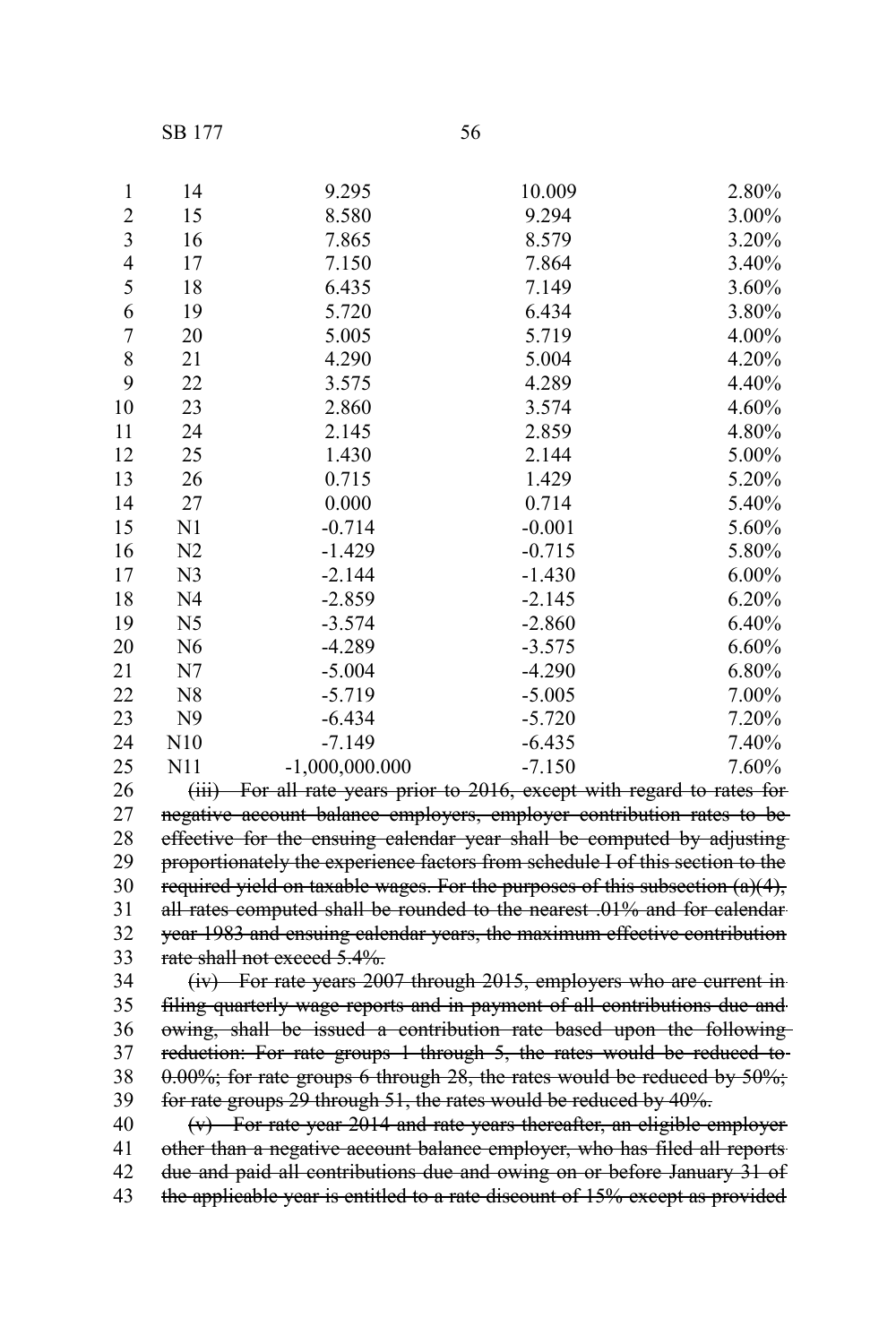SB 177

| -                 | ۰.<br>٠           |
|-------------------|-------------------|
| I<br>I<br>×<br>۰. | I<br>I<br>٠<br>۰, |

| 1                       | 14             | 9.295            | 10.009   | 2.80%    |
|-------------------------|----------------|------------------|----------|----------|
| $\overline{2}$          | 15             | 8.580            | 9.294    | 3.00%    |
| $\overline{\mathbf{3}}$ | 16             | 7.865            | 8.579    | 3.20%    |
| $\overline{4}$          | 17             | 7.150            | 7.864    | 3.40%    |
| 5                       | 18             | 6.435            | 7.149    | 3.60%    |
| 6                       | 19             | 5.720            | 6.434    | 3.80%    |
| $\boldsymbol{7}$        | 20             | 5.005            | 5.719    | 4.00%    |
| 8                       | 21             | 4.290            | 5.004    | 4.20%    |
| 9                       | 22             | 3.575            | 4.289    | 4.40%    |
| 10                      | 23             | 2.860            | 3.574    | 4.60%    |
| 11                      | 24             | 2.145            | 2.859    | 4.80%    |
| 12                      | 25             | 1.430            | 2.144    | 5.00%    |
| 13                      | 26             | 0.715            | 1.429    | 5.20%    |
| 14                      | 27             | 0.000            | 0.714    | 5.40%    |
| 15                      | N <sub>1</sub> | $-0.714$         | $-0.001$ | 5.60%    |
| 16                      | N <sub>2</sub> | $-1.429$         | $-0.715$ | 5.80%    |
| 17                      | N <sub>3</sub> | $-2.144$         | $-1.430$ | $6.00\%$ |
| 18                      | N <sub>4</sub> | $-2.859$         | $-2.145$ | 6.20%    |
| 19                      | N5             | $-3.574$         | $-2.860$ | 6.40%    |
| 20                      | N <sub>6</sub> | $-4.289$         | $-3.575$ | 6.60%    |
| 21                      | N7             | $-5.004$         | $-4.290$ | 6.80%    |
| 22                      | N8             | $-5.719$         | $-5.005$ | 7.00%    |
| 23                      | N <sub>9</sub> | $-6.434$         | $-5.720$ | 7.20%    |
| 24                      | N10            | $-7.149$         | $-6.435$ | 7.40%    |
| 25                      | N11            | $-1,000,000.000$ | $-7.150$ | 7.60%    |

(iii) For all rate years prior to 2016, except with regard to rates for negative account balance employers, employer contribution rates to beeffective for the ensuing calendar year shall be computed by adjusting proportionately the experience factors from schedule I of this section to the required yield on taxable wages. For the purposes of this subsection  $(a)(4)$ , all rates computed shall be rounded to the nearest .01% and for calendar year 1983 and ensuing calendar years, the maximum effective contribution rate shall not exceed 5.4%. 

(iv) For rate years 2007 through 2015, employers who are current in filing quarterly wage reports and in payment of all contributions due and owing, shall be issued a contribution rate based upon the following reduction: For rate groups 1 through 5, the rates would be reduced to- $0.00\%$ ; for rate groups 6 through 28, the rates would be reduced by  $50\%$ ; for rate groups 29 through 51, the rates would be reduced by 40%. 

(v) For rate year 2014 and rate years thereafter, an eligible employer other than a negative account balance employer, who has filed all reports due and paid all contributions due and owing on or before January 31 of the applicable year is entitled to a rate discount of 15% except as provided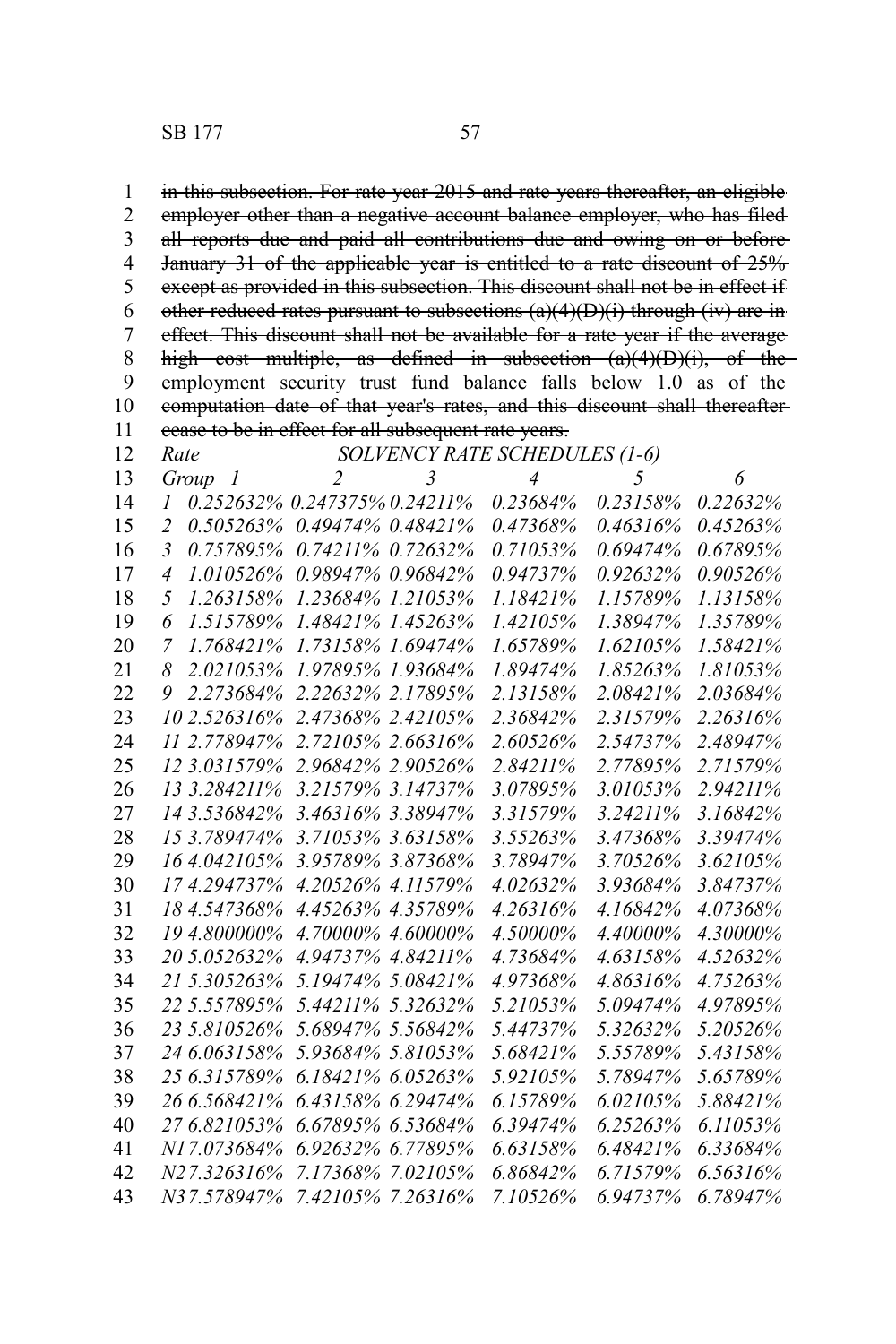SB 177 57

in this subsection. For rate year 2015 and rate years thereafter, an eligible employer other than a negative account balance employer, who has filed all reports due and paid all contributions due and owing on or before January 31 of the applicable year is entitled to a rate discount of 25% except as provided in this subsection. This discount shall not be in effect if other reduced rates pursuant to subsections  $(a)(4)(D)(i)$  through (iv) are in effect. This discount shall not be available for a rate year if the average high cost multiple, as defined in subsection  $(a)(4)(D)(i)$ , of the employment security trust fund balance falls below 1.0 as of thecomputation date of that year's rates, and this discount shall thereafter cease to be in effect for all subsequent rate years. *Rate SOLVENCY RATE SCHEDULES (1-6) Group 1 2 3 4 5 6 0.252632% 0.247375% 0.24211% 0.23684% 0.23158% 0.22632% 0.505263% 0.49474% 0.48421% 0.47368% 0.46316% 0.45263% 0.757895% 0.74211% 0.72632% 0.71053% 0.69474% 0.67895% 1.010526% 0.98947% 0.96842% 0.94737% 0.92632% 0.90526% 1.263158% 1.23684% 1.21053% 1.18421% 1.15789% 1.13158% 1.515789% 1.48421% 1.45263% 1.42105% 1.38947% 1.35789% 1.768421% 1.73158% 1.69474% 1.65789% 1.62105% 1.58421% 2.021053% 1.97895% 1.93684% 1.89474% 1.85263% 1.81053% 2.273684% 2.22632% 2.17895% 2.13158% 2.08421% 2.03684% 2.526316% 2.47368% 2.42105% 2.36842% 2.31579% 2.26316% 2.778947% 2.72105% 2.66316% 2.60526% 2.54737% 2.48947% 3.031579% 2.96842% 2.90526% 2.84211% 2.77895% 2.71579% 3.284211% 3.21579% 3.14737% 3.07895% 3.01053% 2.94211% 3.536842% 3.46316% 3.38947% 3.31579% 3.24211% 3.16842% 3.789474% 3.71053% 3.63158% 3.55263% 3.47368% 3.39474% 4.042105% 3.95789% 3.87368% 3.78947% 3.70526% 3.62105% 4.294737% 4.20526% 4.11579% 4.02632% 3.93684% 3.84737% 4.547368% 4.45263% 4.35789% 4.26316% 4.16842% 4.07368% 4.800000% 4.70000% 4.60000% 4.50000% 4.40000% 4.30000% 5.052632% 4.94737% 4.84211% 4.73684% 4.63158% 4.52632% 5.305263% 5.19474% 5.08421% 4.97368% 4.86316% 4.75263% 5.557895% 5.44211% 5.32632% 5.21053% 5.09474% 4.97895% 5.810526% 5.68947% 5.56842% 5.44737% 5.32632% 5.20526% 6.063158% 5.93684% 5.81053% 5.68421% 5.55789% 5.43158% 6.315789% 6.18421% 6.05263% 5.92105% 5.78947% 5.65789% 6.568421% 6.43158% 6.29474% 6.15789% 6.02105% 5.88421% 6.821053% 6.67895% 6.53684% 6.39474% 6.25263% 6.11053% N17.073684% 6.92632% 6.77895% 6.63158% 6.48421% 6.33684% N27.326316% 7.17368% 7.02105% 6.86842% 6.71579% 6.56316% N37.578947% 7.42105% 7.26316% 7.10526% 6.94737% 6.78947%*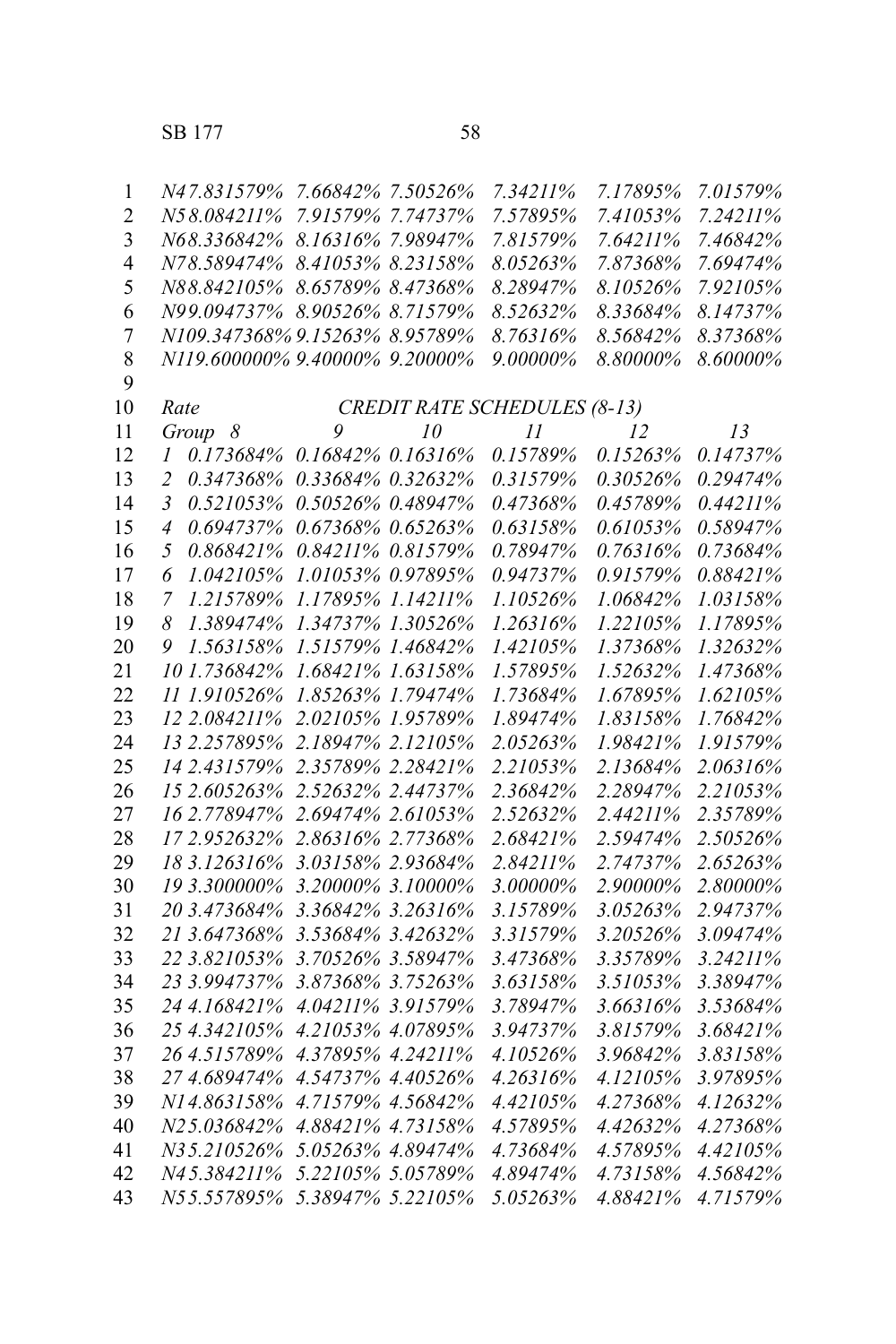| $\mathbf{1}$   | N47.831579%                                 | 7.66842% 7.50526%              | 7.34211% | 7.17895% | 7.01579% |  |  |  |
|----------------|---------------------------------------------|--------------------------------|----------|----------|----------|--|--|--|
| $\overline{2}$ | N58.084211%                                 | 7.91579% 7.74737%              | 7.57895% | 7.41053% | 7.24211% |  |  |  |
| $\overline{3}$ | N68.336842%                                 | 8.16316% 7.98947%              | 7.81579% | 7.64211% | 7.46842% |  |  |  |
| $\overline{4}$ | N78.589474%                                 | 8.41053% 8.23158%              | 8.05263% | 7.87368% | 7.69474% |  |  |  |
| 5              | N88.842105%                                 | 8.65789% 8.47368%              | 8.28947% | 8.10526% | 7.92105% |  |  |  |
| 6              |                                             | N99.094737% 8.90526% 8.71579%  | 8.52632% | 8.33684% | 8.14737% |  |  |  |
| $\overline{7}$ |                                             | N109.347368% 9.15263% 8.95789% | 8.76316% | 8.56842% | 8.37368% |  |  |  |
| 8              |                                             | N119.600000% 9.40000% 9.20000% | 9.00000% | 8.80000% | 8.60000% |  |  |  |
| 9              |                                             |                                |          |          |          |  |  |  |
| 10             | <b>CREDIT RATE SCHEDULES (8-13)</b><br>Rate |                                |          |          |          |  |  |  |
| 11             | Group 8                                     | 9<br>10                        | 11       | 12       | 13       |  |  |  |
| 12             | 0.173684%<br>1                              | 0.16842% 0.16316%              | 0.15789% | 0.15263% | 0.14737% |  |  |  |
| 13             | $\overline{c}$<br>0.347368%                 | 0.33684% 0.32632%              | 0.31579% | 0.30526% | 0.29474% |  |  |  |
| 14             | $\mathfrak{Z}$<br>0.521053%                 | 0.50526% 0.48947%              | 0.47368% | 0.45789% | 0.44211% |  |  |  |
| 15             | 0.694737%<br>$\overline{4}$                 | 0.67368% 0.65263%              | 0.63158% | 0.61053% | 0.58947% |  |  |  |
| 16             | 0.868421%<br>5                              | 0.84211% 0.81579%              | 0.78947% | 0.76316% | 0.73684% |  |  |  |
| 17             | 6<br>1.042105%                              | 1.01053% 0.97895%              | 0.94737% | 0.91579% | 0.88421% |  |  |  |
| 18             | $\overline{7}$<br>1.215789%                 | 1.17895% 1.14211%              | 1.10526% | 1.06842% | 1.03158% |  |  |  |
| 19             | 8<br>1.389474%                              | 1.34737% 1.30526%              | 1.26316% | 1.22105% | 1.17895% |  |  |  |
| 20             | 9<br>1.563158%                              | 1.51579% 1.46842%              | 1.42105% | 1.37368% | 1.32632% |  |  |  |
| 21             | 101.736842%                                 | 1.68421% 1.63158%              | 1.57895% | 1.52632% | 1.47368% |  |  |  |
| 22             | 11 1.910526%                                | 1.85263% 1.79474%              | 1.73684% | 1.67895% | 1.62105% |  |  |  |
| 23             | 12 2.084211%                                | 2.02105% 1.95789%              | 1.89474% | 1.83158% | 1.76842% |  |  |  |
| 24             | 13 2.257895%                                | 2.18947% 2.12105%              | 2.05263% | 1.98421% | 1.91579% |  |  |  |
| 25             | 14 2.431579%                                | 2.35789% 2.28421%              | 2.21053% | 2.13684% | 2.06316% |  |  |  |
| 26             | 15 2.605263%                                | 2.52632% 2.44737%              | 2.36842% | 2.28947% | 2.21053% |  |  |  |
| 27             | 16 2.778947%                                | 2.69474% 2.61053%              | 2.52632% | 2.44211% | 2.35789% |  |  |  |
| 28             | 172.952632%                                 | 2.86316% 2.77368%              | 2.68421% | 2.59474% | 2.50526% |  |  |  |
| 29             | 18 3.126316%                                | 3.03158% 2.93684%              | 2.84211% | 2.74737% | 2.65263% |  |  |  |
| 30             | 19 3.300000%                                | 3.20000% 3.10000%              | 3.00000% | 2.90000% | 2.80000% |  |  |  |
| 31             | 20 3.473684%                                | 3.36842% 3.26316%              | 3.15789% | 3.05263% | 2.94737% |  |  |  |
| 32             | 21 3.647368%                                | 3.53684% 3.42632%              | 3.31579% | 3.20526% | 3.09474% |  |  |  |
| 33             | 22 3.821053%                                | 3.70526% 3.58947%              | 3.47368% | 3.35789% | 3.24211% |  |  |  |
| 34             | 23 3.994737%                                | 3.87368% 3.75263%              | 3.63158% | 3.51053% | 3.38947% |  |  |  |
| 35             | 24 4.168421%                                | 4.04211% 3.91579%              | 3.78947% | 3.66316% | 3.53684% |  |  |  |
| 36             | 25 4.342105%                                | 4.21053% 4.07895%              | 3.94737% | 3.81579% | 3.68421% |  |  |  |
| 37             | 26 4.515789%                                | 4.37895% 4.24211%              | 4.10526% | 3.96842% | 3.83158% |  |  |  |
| 38             | 27 4.689474%                                | 4.54737% 4.40526%              | 4.26316% | 4.12105% | 3.97895% |  |  |  |
| 39             | N14.863158%                                 | 4.71579% 4.56842%              | 4.42105% | 4.27368% | 4.12632% |  |  |  |
| 40             | N25.036842%                                 | 4.88421% 4.73158%              | 4.57895% | 4.42632% | 4.27368% |  |  |  |
| 41             | N35.210526%                                 | 5.05263% 4.89474%              | 4.73684% | 4.57895% | 4.42105% |  |  |  |
| 42             | N45.384211%                                 | 5.22105% 5.05789%              | 4.89474% | 4.73158% | 4.56842% |  |  |  |
| 43             | N55.557895%                                 | 5.38947% 5.22105%              | 5.05263% | 4.88421% | 4.71579% |  |  |  |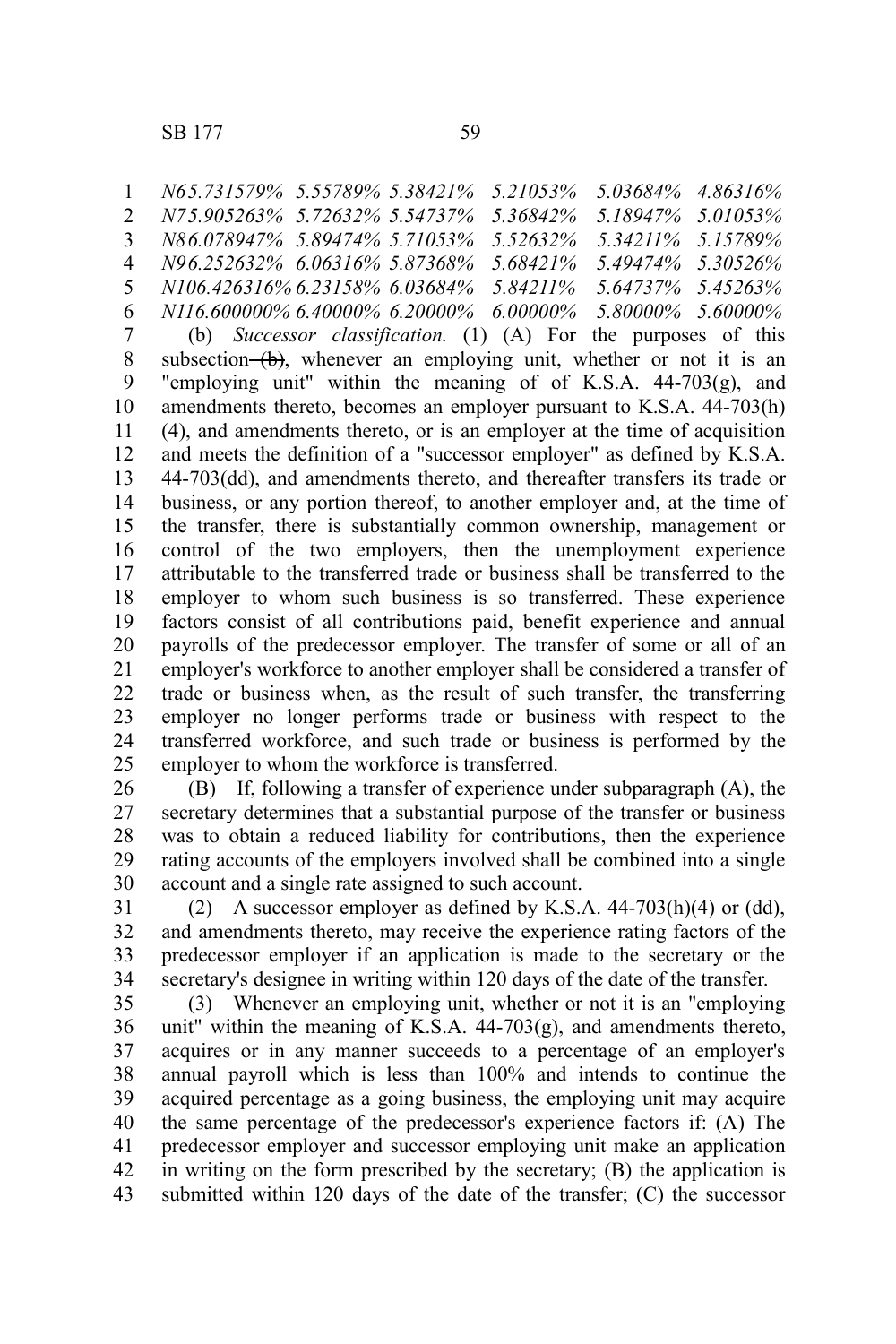*N65.731579% 5.55789% 5.38421% 5.21053% 5.03684% 4.86316% N75.905263% 5.72632% 5.54737% 5.36842% 5.18947% 5.01053% N86.078947% 5.89474% 5.71053% 5.52632% 5.34211% 5.15789% N96.252632% 6.06316% 5.87368% 5.68421% 5.49474% 5.30526% N106.426316% 6.23158% 6.03684% 5.84211% 5.64737% 5.45263% N116.600000% 6.40000% 6.20000% 6.00000% 5.80000% 5.60000%* (b) *Successor classification.* (1) (A) For the purposes of this subsection  $(b)$ , whenever an employing unit, whether or not it is an "employing unit" within the meaning of of K.S.A.  $44-703(g)$ , and amendments thereto, becomes an employer pursuant to K.S.A. 44-703(h) (4), and amendments thereto, or is an employer at the time of acquisition and meets the definition of a "successor employer" as defined by K.S.A. 44-703(dd), and amendments thereto, and thereafter transfers its trade or business, or any portion thereof, to another employer and, at the time of the transfer, there is substantially common ownership, management or control of the two employers, then the unemployment experience attributable to the transferred trade or business shall be transferred to the employer to whom such business is so transferred. These experience factors consist of all contributions paid, benefit experience and annual payrolls of the predecessor employer. The transfer of some or all of an employer's workforce to another employer shall be considered a transfer of trade or business when, as the result of such transfer, the transferring employer no longer performs trade or business with respect to the transferred workforce, and such trade or business is performed by the employer to whom the workforce is transferred. 1 2 3 4 5 6 7 8 9 10 11 12 13 14 15 16 17 18 19 20 21 22 23 24 25

(B) If, following a transfer of experience under subparagraph (A), the secretary determines that a substantial purpose of the transfer or business was to obtain a reduced liability for contributions, then the experience rating accounts of the employers involved shall be combined into a single account and a single rate assigned to such account. 26 27 28 29 30

(2) A successor employer as defined by K.S.A.  $44-703(h)(4)$  or (dd), and amendments thereto, may receive the experience rating factors of the predecessor employer if an application is made to the secretary or the secretary's designee in writing within 120 days of the date of the transfer. 31 32 33 34

(3) Whenever an employing unit, whether or not it is an "employing unit" within the meaning of K.S.A.  $44-703(g)$ , and amendments thereto, acquires or in any manner succeeds to a percentage of an employer's annual payroll which is less than 100% and intends to continue the acquired percentage as a going business, the employing unit may acquire the same percentage of the predecessor's experience factors if: (A) The predecessor employer and successor employing unit make an application in writing on the form prescribed by the secretary; (B) the application is submitted within 120 days of the date of the transfer; (C) the successor 35 36 37 38 39 40 41 42 43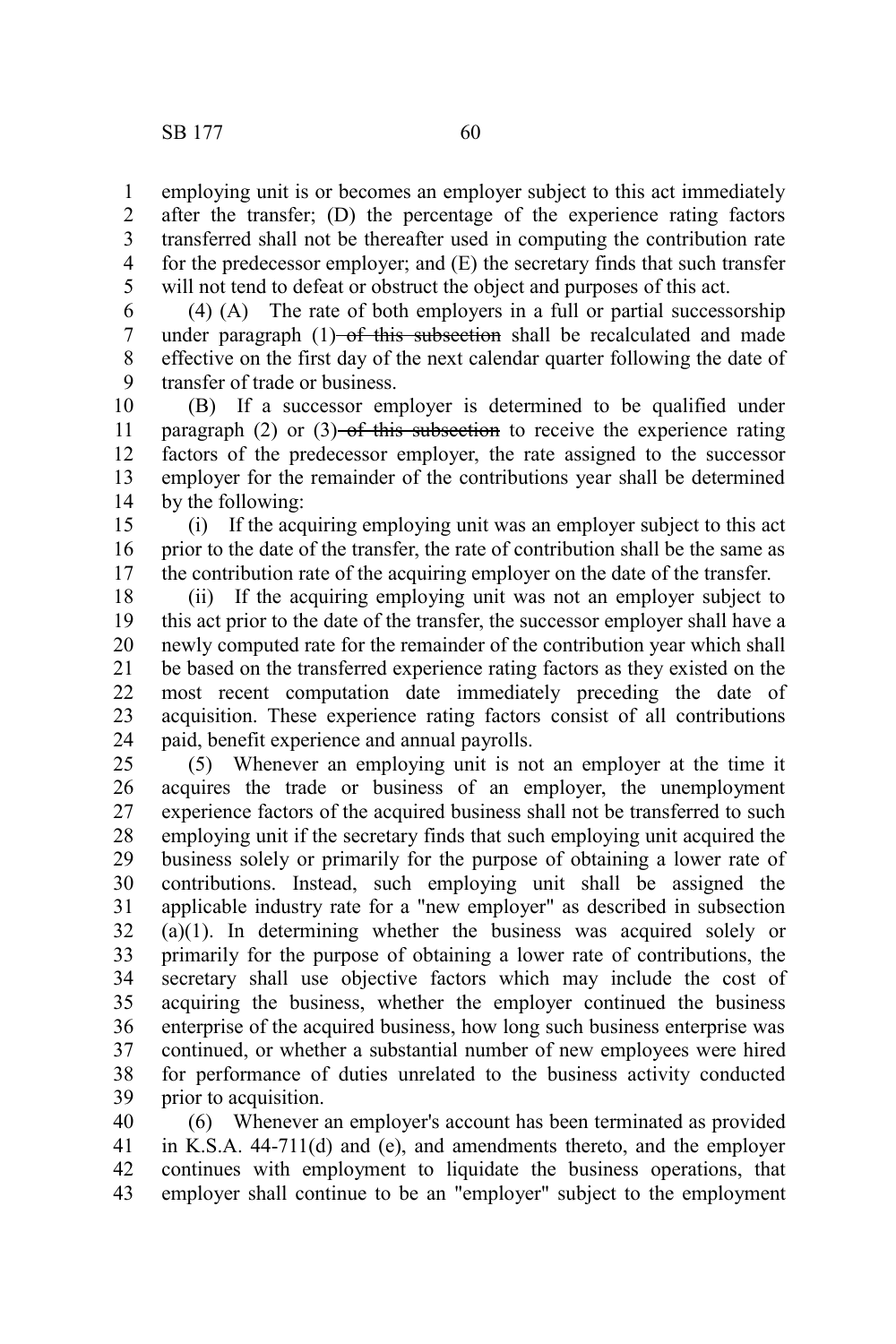employing unit is or becomes an employer subject to this act immediately after the transfer; (D) the percentage of the experience rating factors transferred shall not be thereafter used in computing the contribution rate for the predecessor employer; and (E) the secretary finds that such transfer will not tend to defeat or obstruct the object and purposes of this act. 1 2 3 4 5

(4) (A) The rate of both employers in a full or partial successorship under paragraph  $(1)$ -of this subsection shall be recalculated and made effective on the first day of the next calendar quarter following the date of transfer of trade or business. 6 7 8 9

(B) If a successor employer is determined to be qualified under paragraph (2) or (3)–of this subsection to receive the experience rating factors of the predecessor employer, the rate assigned to the successor employer for the remainder of the contributions year shall be determined by the following: 10 11 12 13 14

(i) If the acquiring employing unit was an employer subject to this act prior to the date of the transfer, the rate of contribution shall be the same as the contribution rate of the acquiring employer on the date of the transfer. 15 16 17

(ii) If the acquiring employing unit was not an employer subject to this act prior to the date of the transfer, the successor employer shall have a newly computed rate for the remainder of the contribution year which shall be based on the transferred experience rating factors as they existed on the most recent computation date immediately preceding the date of acquisition. These experience rating factors consist of all contributions paid, benefit experience and annual payrolls. 18 19 20 21 22 23 24

(5) Whenever an employing unit is not an employer at the time it acquires the trade or business of an employer, the unemployment experience factors of the acquired business shall not be transferred to such employing unit if the secretary finds that such employing unit acquired the business solely or primarily for the purpose of obtaining a lower rate of contributions. Instead, such employing unit shall be assigned the applicable industry rate for a "new employer" as described in subsection (a)(1). In determining whether the business was acquired solely or primarily for the purpose of obtaining a lower rate of contributions, the secretary shall use objective factors which may include the cost of acquiring the business, whether the employer continued the business enterprise of the acquired business, how long such business enterprise was continued, or whether a substantial number of new employees were hired for performance of duties unrelated to the business activity conducted prior to acquisition. 25 26 27 28 29 30 31 32 33 34 35 36 37 38 39

(6) Whenever an employer's account has been terminated as provided in K.S.A. 44-711(d) and (e), and amendments thereto, and the employer continues with employment to liquidate the business operations, that employer shall continue to be an "employer" subject to the employment 40 41 42 43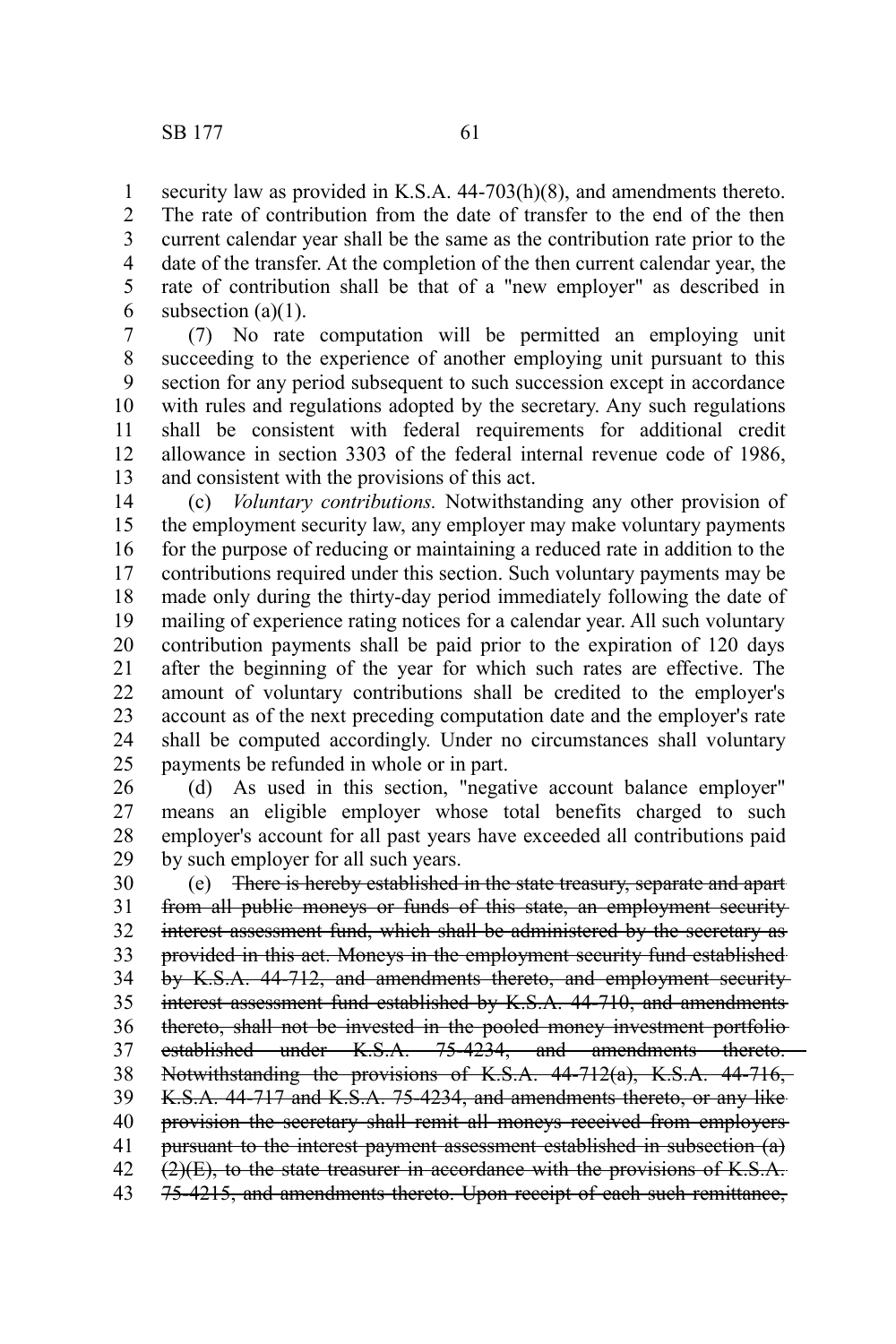1 2

current calendar year shall be the same as the contribution rate prior to the date of the transfer. At the completion of the then current calendar year, the rate of contribution shall be that of a "new employer" as described in subsection  $(a)(1)$ . 3 4 5 6

(7) No rate computation will be permitted an employing unit succeeding to the experience of another employing unit pursuant to this section for any period subsequent to such succession except in accordance with rules and regulations adopted by the secretary. Any such regulations shall be consistent with federal requirements for additional credit allowance in section 3303 of the federal internal revenue code of 1986, and consistent with the provisions of this act. 7 8 9 10 11 12 13

(c) *Voluntary contributions.* Notwithstanding any other provision of the employment security law, any employer may make voluntary payments for the purpose of reducing or maintaining a reduced rate in addition to the contributions required under this section. Such voluntary payments may be made only during the thirty-day period immediately following the date of mailing of experience rating notices for a calendar year. All such voluntary contribution payments shall be paid prior to the expiration of 120 days after the beginning of the year for which such rates are effective. The amount of voluntary contributions shall be credited to the employer's account as of the next preceding computation date and the employer's rate shall be computed accordingly. Under no circumstances shall voluntary payments be refunded in whole or in part. 14 15 16 17 18 19 20 21 22 23 24 25

(d) As used in this section, "negative account balance employer" means an eligible employer whose total benefits charged to such employer's account for all past years have exceeded all contributions paid by such employer for all such years. 26 27 28 29

(e) There is hereby established in the state treasury, separate and apart from all public moneys or funds of this state, an employment security interest assessment fund, which shall be administered by the secretary as provided in this act. Moneys in the employment security fund established by K.S.A. 44-712, and amendments thereto, and employment security interest assessment fund established by K.S.A. 44-710, and amendments thereto, shall not be invested in the pooled money investment portfolio established under K.S.A. 75-4234, and amendments thereto. Notwithstanding the provisions of K.S.A. 44-712(a), K.S.A. 44-716, K.S.A. 44-717 and K.S.A. 75-4234, and amendments thereto, or any like provision the secretary shall remit all moneys received from employers pursuant to the interest payment assessment established in subsection (a)  $(2)(E)$ , to the state treasurer in accordance with the provisions of K.S.A. 75-4215, and amendments thereto. Upon receipt of each such remittance, 30 31 32 33 34 35 36 37 38 39 40 41 42 43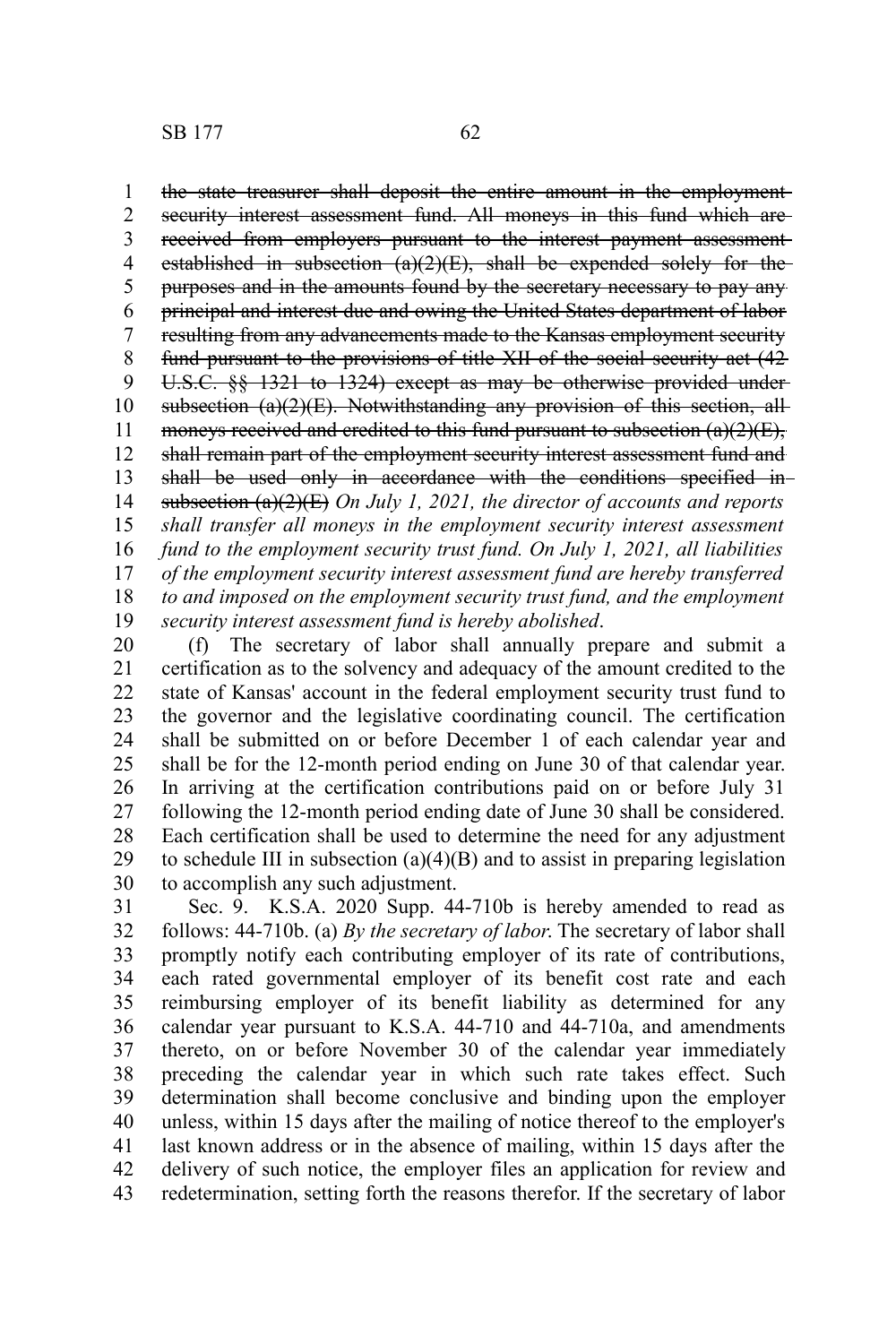the state treasurer shall deposit the entire amount in the employment security interest assessment fund. All moneys in this fund which arereceived from employers pursuant to the interest payment assessment established in subsection  $(a)(2)(E)$ , shall be expended solely for the purposes and in the amounts found by the secretary necessary to pay any principal and interest due and owing the United States department of labor resulting from any advancements made to the Kansas employment security fund pursuant to the provisions of title XII of the social security act (42 U.S.C. §§ 1321 to 1324) except as may be otherwise provided under subsection (a)(2)(E). Notwithstanding any provision of this section, allmoneys received and credited to this fund pursuant to subsection  $(a)(2)(E)$ , shall remain part of the employment security interest assessment fund and shall be used only in accordance with the conditions specified insubsection (a)(2)(E) *On July 1, 2021, the director of accounts and reports shall transfer all moneys in the employment security interest assessment fund to the employment security trust fund. On July 1, 2021, all liabilities of the employment security interest assessment fund are hereby transferred to and imposed on the employment security trust fund, and the employment security interest assessment fund is hereby abolished*. 1 2 3 4 5 6 7 8 9 10 11 12 13 14 15 16 17 18 19

(f) The secretary of labor shall annually prepare and submit a certification as to the solvency and adequacy of the amount credited to the state of Kansas' account in the federal employment security trust fund to the governor and the legislative coordinating council. The certification shall be submitted on or before December 1 of each calendar year and shall be for the 12-month period ending on June 30 of that calendar year. In arriving at the certification contributions paid on or before July 31 following the 12-month period ending date of June 30 shall be considered. Each certification shall be used to determine the need for any adjustment to schedule III in subsection  $(a)(4)(B)$  and to assist in preparing legislation to accomplish any such adjustment. 20 21 22 23 24 25 26 27 28 29 30

Sec. 9. K.S.A. 2020 Supp. 44-710b is hereby amended to read as follows: 44-710b. (a) *By the secretary of labor*. The secretary of labor shall promptly notify each contributing employer of its rate of contributions, each rated governmental employer of its benefit cost rate and each reimbursing employer of its benefit liability as determined for any calendar year pursuant to K.S.A. 44-710 and 44-710a, and amendments thereto, on or before November 30 of the calendar year immediately preceding the calendar year in which such rate takes effect. Such determination shall become conclusive and binding upon the employer unless, within 15 days after the mailing of notice thereof to the employer's last known address or in the absence of mailing, within 15 days after the delivery of such notice, the employer files an application for review and redetermination, setting forth the reasons therefor. If the secretary of labor 31 32 33 34 35 36 37 38 39 40 41 42 43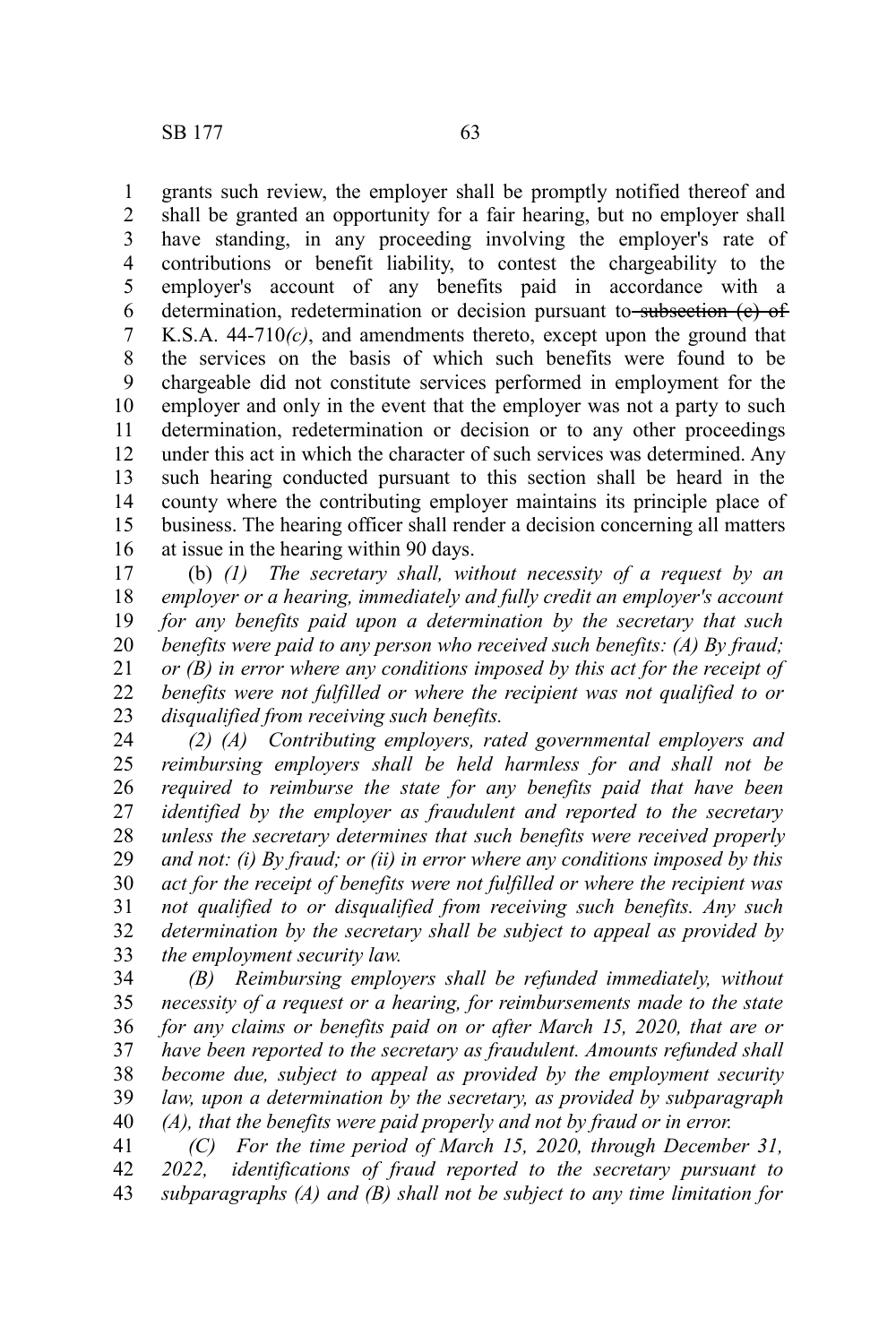grants such review, the employer shall be promptly notified thereof and shall be granted an opportunity for a fair hearing, but no employer shall have standing, in any proceeding involving the employer's rate of contributions or benefit liability, to contest the chargeability to the employer's account of any benefits paid in accordance with a determination, redetermination or decision pursuant to subsection (e) of K.S.A. 44-710*(c)*, and amendments thereto, except upon the ground that the services on the basis of which such benefits were found to be chargeable did not constitute services performed in employment for the employer and only in the event that the employer was not a party to such determination, redetermination or decision or to any other proceedings under this act in which the character of such services was determined. Any such hearing conducted pursuant to this section shall be heard in the county where the contributing employer maintains its principle place of business. The hearing officer shall render a decision concerning all matters at issue in the hearing within 90 days. 1 2 3 4 5 6 7 8 9 10 11 12 13 14 15 16

(b) *(1) The secretary shall, without necessity of a request by an employer or a hearing, immediately and fully credit an employer's account for any benefits paid upon a determination by the secretary that such benefits were paid to any person who received such benefits: (A) By fraud; or (B) in error where any conditions imposed by this act for the receipt of benefits were not fulfilled or where the recipient was not qualified to or disqualified from receiving such benefits.* 17 18 19 20 21 22 23

*(2) (A) Contributing employers, rated governmental employers and reimbursing employers shall be held harmless for and shall not be required to reimburse the state for any benefits paid that have been identified by the employer as fraudulent and reported to the secretary unless the secretary determines that such benefits were received properly and not: (i) By fraud; or (ii) in error where any conditions imposed by this act for the receipt of benefits were not fulfilled or where the recipient was not qualified to or disqualified from receiving such benefits. Any such determination by the secretary shall be subject to appeal as provided by the employment security law.* 24 25 26 27 28 29 30 31 32 33

*(B) Reimbursing employers shall be refunded immediately, without necessity of a request or a hearing, for reimbursements made to the state for any claims or benefits paid on or after March 15, 2020, that are or have been reported to the secretary as fraudulent. Amounts refunded shall become due, subject to appeal as provided by the employment security law, upon a determination by the secretary, as provided by subparagraph (A), that the benefits were paid properly and not by fraud or in error.* 34 35 36 37 38 39 40

*(C) For the time period of March 15, 2020, through December 31, 2022, identifications of fraud reported to the secretary pursuant to subparagraphs (A) and (B) shall not be subject to any time limitation for* 41 42 43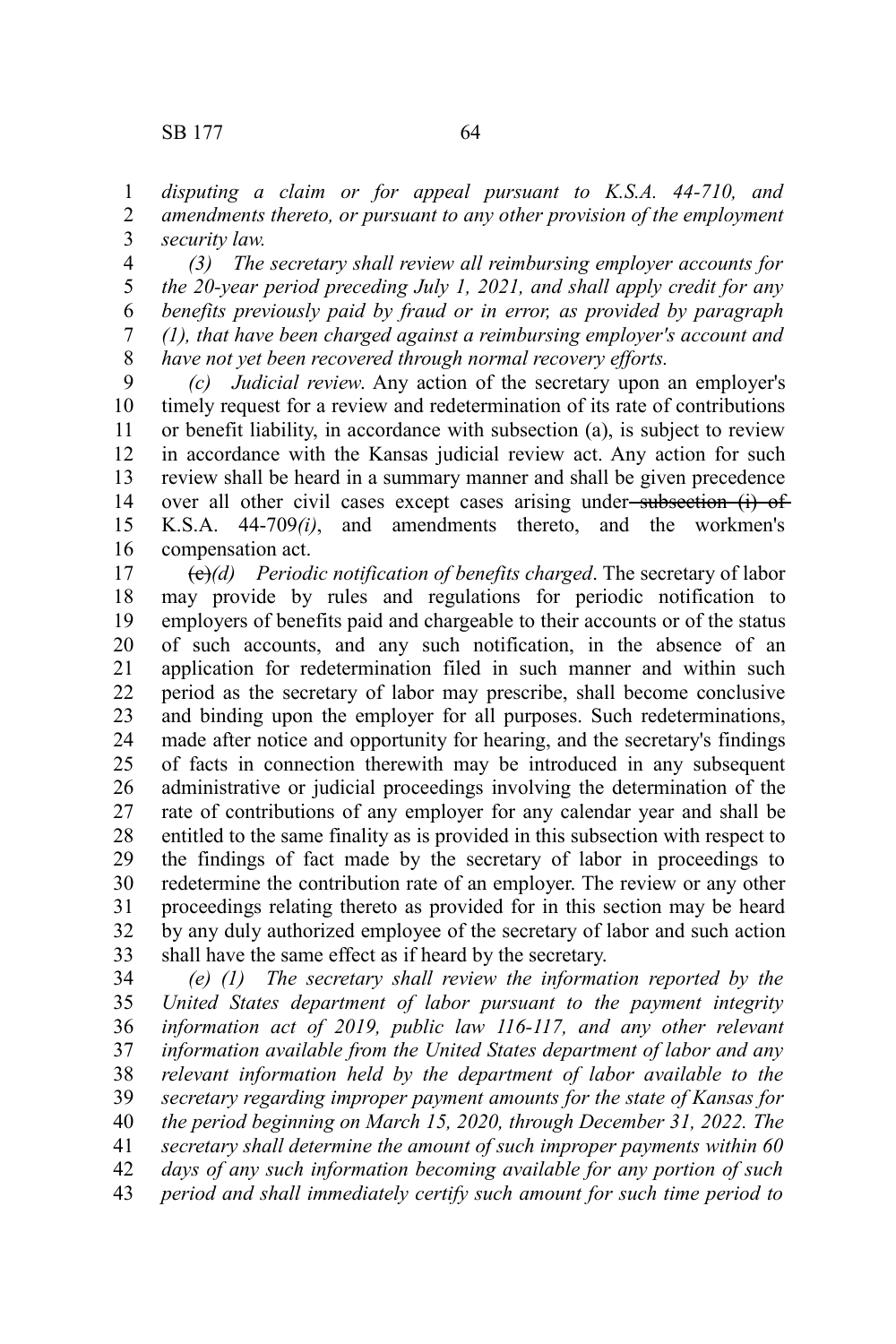*disputing a claim or for appeal pursuant to K.S.A. 44-710, and amendments thereto, or pursuant to any other provision of the employment security law.*  1 2 3

*(3) The secretary shall review all reimbursing employer accounts for the 20-year period preceding July 1, 2021, and shall apply credit for any benefits previously paid by fraud or in error, as provided by paragraph (1), that have been charged against a reimbursing employer's account and have not yet been recovered through normal recovery efforts.* 4 5 6 7 8

*(c) Judicial review*. Any action of the secretary upon an employer's timely request for a review and redetermination of its rate of contributions or benefit liability, in accordance with subsection (a), is subject to review in accordance with the Kansas judicial review act. Any action for such review shall be heard in a summary manner and shall be given precedence over all other civil cases except cases arising under-subsection (i) of K.S.A. 44-709*(i)*, and amendments thereto, and the workmen's compensation act. 9 10 11 12 13 14 15 16

(c)*(d) Periodic notification of benefits charged*. The secretary of labor may provide by rules and regulations for periodic notification to employers of benefits paid and chargeable to their accounts or of the status of such accounts, and any such notification, in the absence of an application for redetermination filed in such manner and within such period as the secretary of labor may prescribe, shall become conclusive and binding upon the employer for all purposes. Such redeterminations, made after notice and opportunity for hearing, and the secretary's findings of facts in connection therewith may be introduced in any subsequent administrative or judicial proceedings involving the determination of the rate of contributions of any employer for any calendar year and shall be entitled to the same finality as is provided in this subsection with respect to the findings of fact made by the secretary of labor in proceedings to redetermine the contribution rate of an employer. The review or any other proceedings relating thereto as provided for in this section may be heard by any duly authorized employee of the secretary of labor and such action shall have the same effect as if heard by the secretary. 17 18 19 20 21 22 23 24 25 26 27 28 29 30 31 32 33

*(e) (1) The secretary shall review the information reported by the United States department of labor pursuant to the payment integrity information act of 2019, public law 116-117, and any other relevant information available from the United States department of labor and any relevant information held by the department of labor available to the secretary regarding improper payment amounts for the state of Kansas for the period beginning on March 15, 2020, through December 31, 2022. The secretary shall determine the amount of such improper payments within 60 days of any such information becoming available for any portion of such period and shall immediately certify such amount for such time period to* 34 35 36 37 38 39 40 41 42 43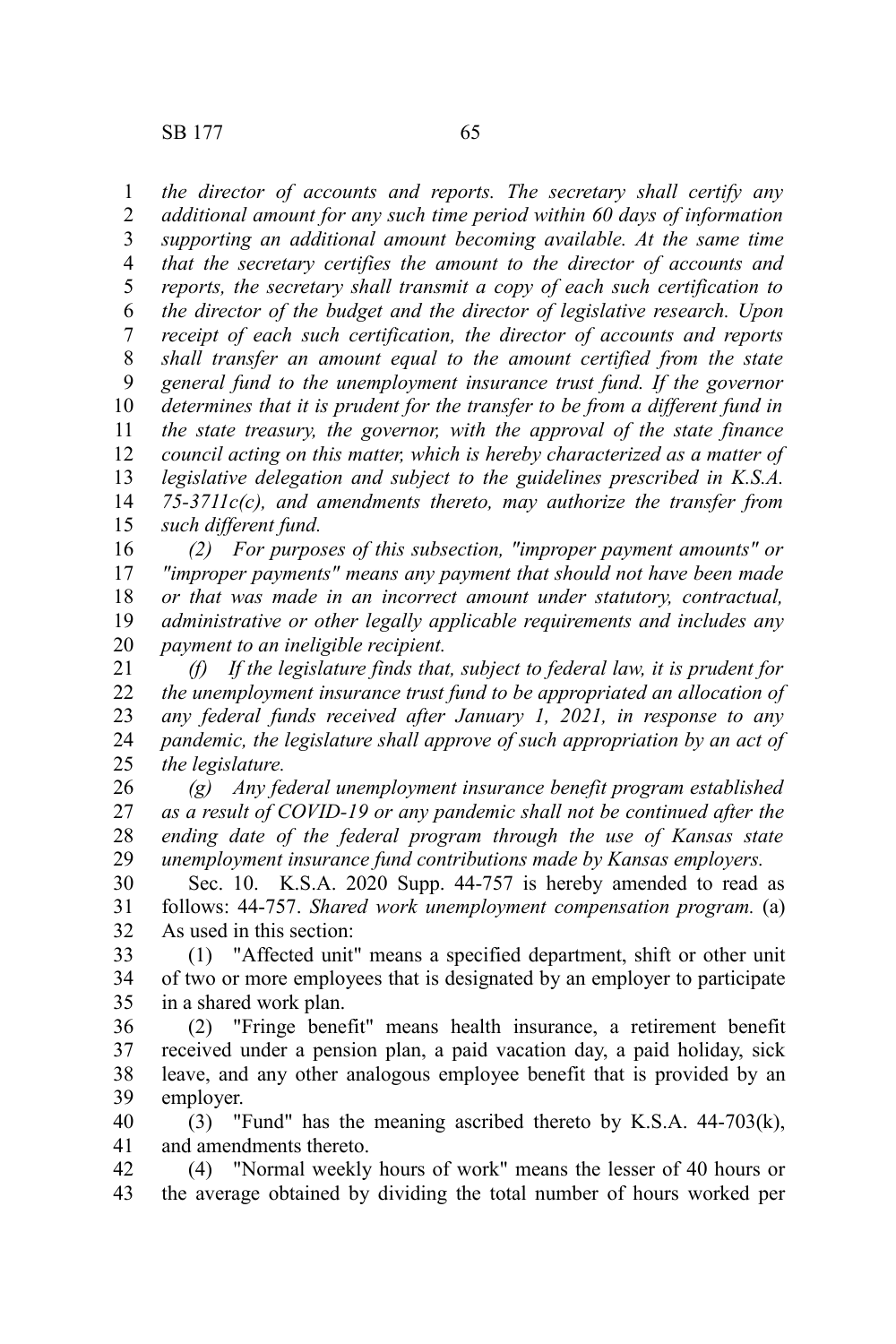*the director of accounts and reports. The secretary shall certify any additional amount for any such time period within 60 days of information supporting an additional amount becoming available. At the same time that the secretary certifies the amount to the director of accounts and reports, the secretary shall transmit a copy of each such certification to the director of the budget and the director of legislative research. Upon receipt of each such certification, the director of accounts and reports shall transfer an amount equal to the amount certified from the state general fund to the unemployment insurance trust fund. If the governor determines that it is prudent for the transfer to be from a different fund in the state treasury, the governor, with the approval of the state finance council acting on this matter, which is hereby characterized as a matter of legislative delegation and subject to the guidelines prescribed in K.S.A. 75-3711c(c), and amendments thereto, may authorize the transfer from such different fund.* 1 2 3 4 5 6 7 8 9 10 11 12 13 14 15

*(2) For purposes of this subsection, "improper payment amounts" or "improper payments" means any payment that should not have been made or that was made in an incorrect amount under statutory, contractual, administrative or other legally applicable requirements and includes any payment to an ineligible recipient.* 16 17 18 19 20

*(f) If the legislature finds that, subject to federal law, it is prudent for the unemployment insurance trust fund to be appropriated an allocation of any federal funds received after January 1, 2021, in response to any pandemic, the legislature shall approve of such appropriation by an act of the legislature.* 21 22 23 24 25

*(g) Any federal unemployment insurance benefit program established as a result of COVID-19 or any pandemic shall not be continued after the ending date of the federal program through the use of Kansas state unemployment insurance fund contributions made by Kansas employers.* 26 27 28 29

Sec. 10. K.S.A. 2020 Supp. 44-757 is hereby amended to read as follows: 44-757. *Shared work unemployment compensation program.* (a) As used in this section: 30 31 32

(1) "Affected unit" means a specified department, shift or other unit of two or more employees that is designated by an employer to participate in a shared work plan. 33 34 35

(2) "Fringe benefit" means health insurance, a retirement benefit received under a pension plan, a paid vacation day, a paid holiday, sick leave, and any other analogous employee benefit that is provided by an employer. 36 37 38 39

(3) "Fund" has the meaning ascribed thereto by K.S.A. 44-703(k), and amendments thereto. 40 41

(4) "Normal weekly hours of work" means the lesser of 40 hours or the average obtained by dividing the total number of hours worked per 42 43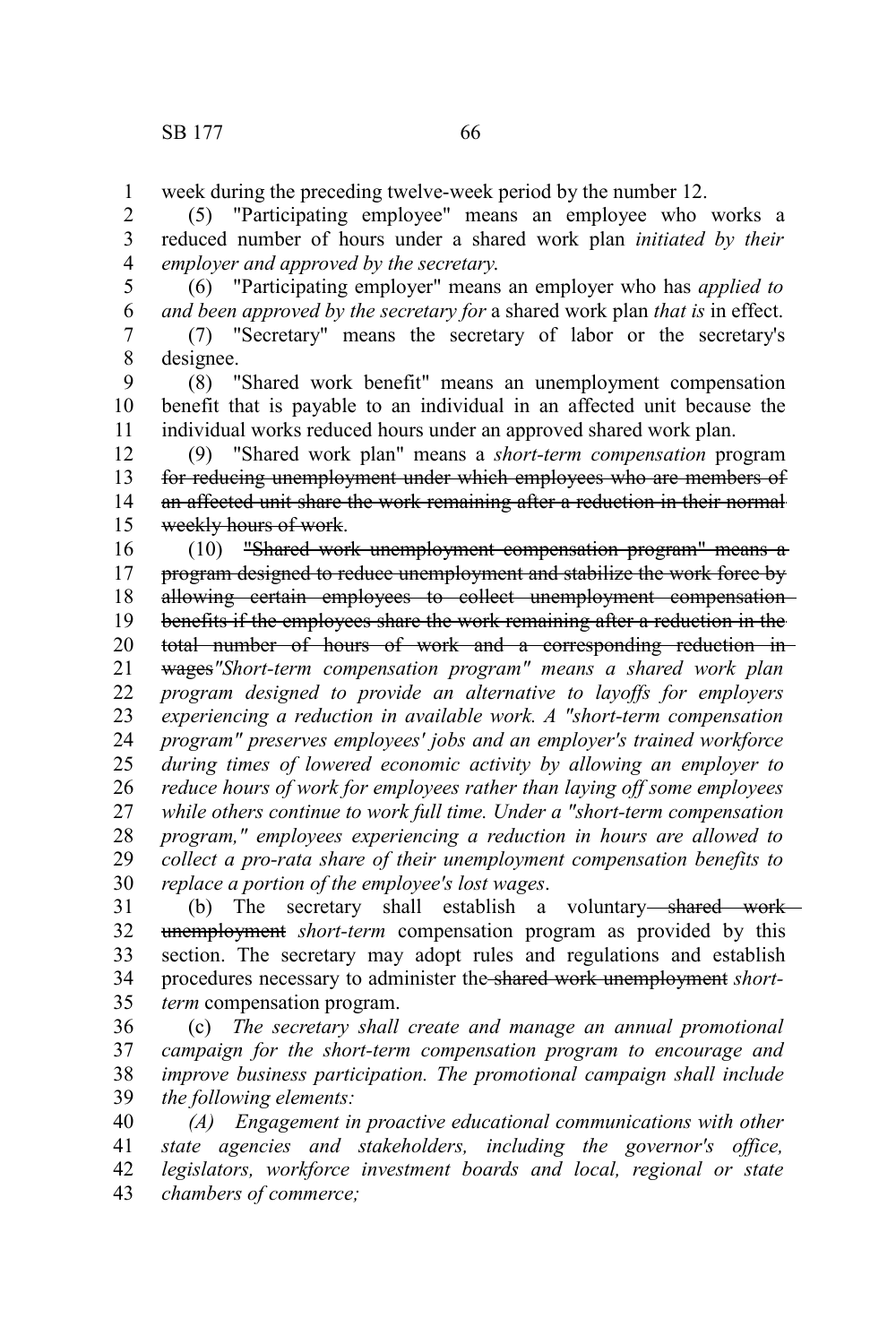week during the preceding twelve-week period by the number 12. 1

(5) "Participating employee" means an employee who works a reduced number of hours under a shared work plan *initiated by their employer and approved by the secretary*. 2 3 4

(6) "Participating employer" means an employer who has *applied to and been approved by the secretary for* a shared work plan *that is* in effect. 5 6

(7) "Secretary" means the secretary of labor or the secretary's designee. 7 8

(8) "Shared work benefit" means an unemployment compensation benefit that is payable to an individual in an affected unit because the individual works reduced hours under an approved shared work plan. 9 10 11

(9) "Shared work plan" means a *short-term compensation* program for reducing unemployment under which employees who are members of an affected unit share the work remaining after a reduction in their normal weekly hours of work. 12 13 14 15

(10) "Shared work unemployment compensation program" means a program designed to reduce unemployment and stabilize the work force by allowing certain employees to collect unemployment compensationbenefits if the employees share the work remaining after a reduction in the total number of hours of work and a corresponding reduction in 16 17 18 19 20

wages*"Short-term compensation program" means a shared work plan program designed to provide an alternative to layoffs for employers experiencing a reduction in available work. A "short-term compensation program" preserves employees' jobs and an employer's trained workforce during times of lowered economic activity by allowing an employer to reduce hours of work for employees rather than laying off some employees while others continue to work full time. Under a "short-term compensation program," employees experiencing a reduction in hours are allowed to collect a pro-rata share of their unemployment compensation benefits to replace a portion of the employee's lost wages*. 21 22 23 24 25 26 27 28 29 30

(b) The secretary shall establish a voluntary shared work unemployment *short-term* compensation program as provided by this section. The secretary may adopt rules and regulations and establish procedures necessary to administer the shared work unemployment *shortterm* compensation program. 31 32 33 34 35

(c) *The secretary shall create and manage an annual promotional campaign for the short-term compensation program to encourage and improve business participation. The promotional campaign shall include the following elements:* 36 37 38 39

*(A) Engagement in proactive educational communications with other state agencies and stakeholders, including the governor's office, legislators, workforce investment boards and local, regional or state chambers of commerce;* 40 41 42 43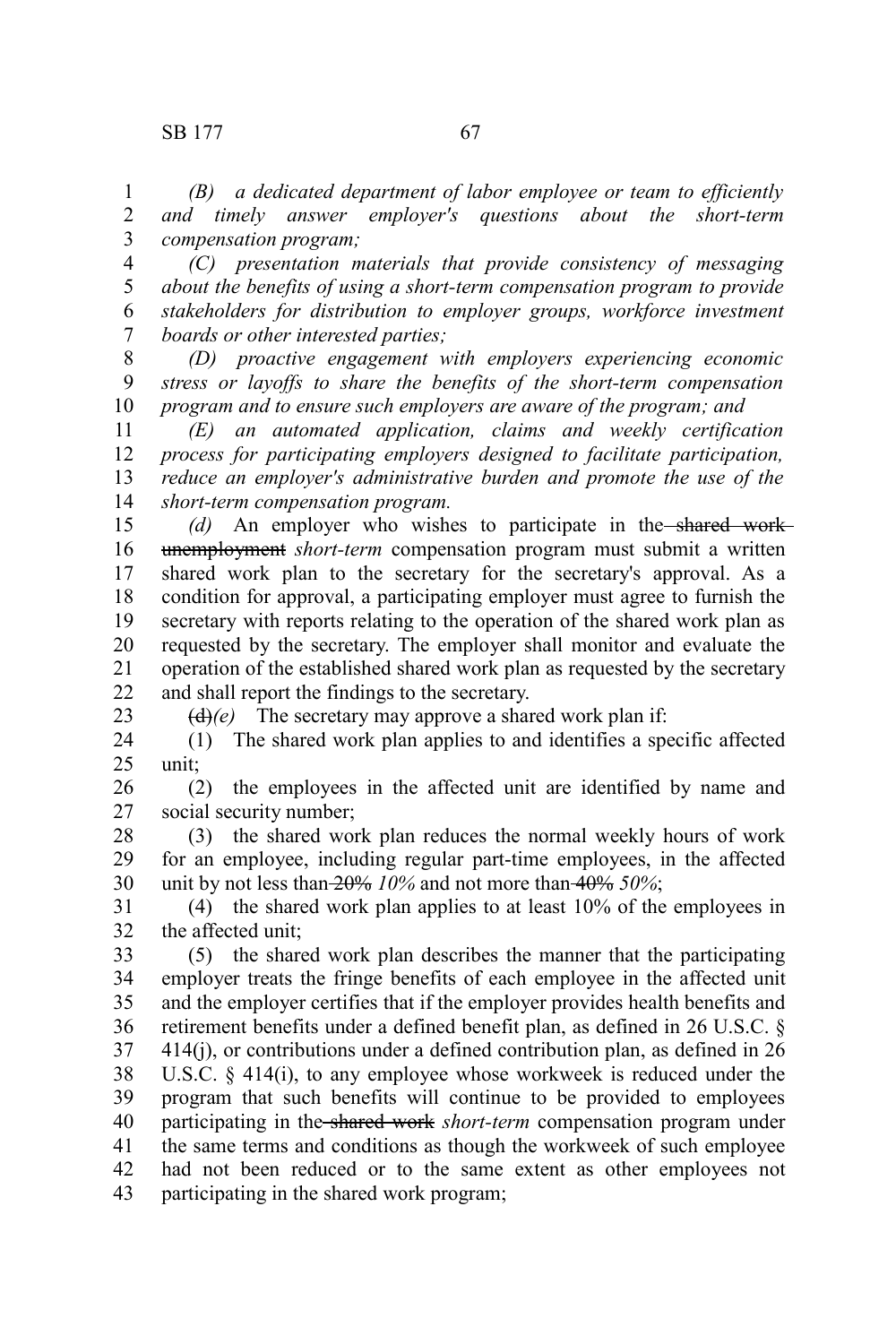23

*(B) a dedicated department of labor employee or team to efficiently and timely answer employer's questions about the short-term compensation program;* 1 2 3

*(C) presentation materials that provide consistency of messaging about the benefits of using a short-term compensation program to provide stakeholders for distribution to employer groups, workforce investment boards or other interested parties;* 4 5 6 7

*(D) proactive engagement with employers experiencing economic stress or layoffs to share the benefits of the short-term compensation program and to ensure such employers are aware of the program; and* 8 9 10

*(E) an automated application, claims and weekly certification process for participating employers designed to facilitate participation, reduce an employer's administrative burden and promote the use of the short-term compensation program.* 11 12 13 14

*(d)* An employer who wishes to participate in the shared work unemployment *short-term* compensation program must submit a written shared work plan to the secretary for the secretary's approval. As a condition for approval, a participating employer must agree to furnish the secretary with reports relating to the operation of the shared work plan as requested by the secretary. The employer shall monitor and evaluate the operation of the established shared work plan as requested by the secretary and shall report the findings to the secretary. 15 16 17 18 19 20 21 22

 $\left(\frac{d}{e}\right)(e)$  The secretary may approve a shared work plan if:

(1) The shared work plan applies to and identifies a specific affected unit; 24 25

(2) the employees in the affected unit are identified by name and social security number; 26 27

(3) the shared work plan reduces the normal weekly hours of work for an employee, including regular part-time employees, in the affected unit by not less than 20% *10%* and not more than 40% *50%*; 28 29 30

(4) the shared work plan applies to at least 10% of the employees in the affected unit; 31 32

(5) the shared work plan describes the manner that the participating employer treats the fringe benefits of each employee in the affected unit and the employer certifies that if the employer provides health benefits and retirement benefits under a defined benefit plan, as defined in 26 U.S.C. §  $414(i)$ , or contributions under a defined contribution plan, as defined in  $26$ U.S.C. § 414(i), to any employee whose workweek is reduced under the program that such benefits will continue to be provided to employees participating in the shared work *short-term* compensation program under the same terms and conditions as though the workweek of such employee had not been reduced or to the same extent as other employees not participating in the shared work program; 33 34 35 36 37 38 39 40 41 42 43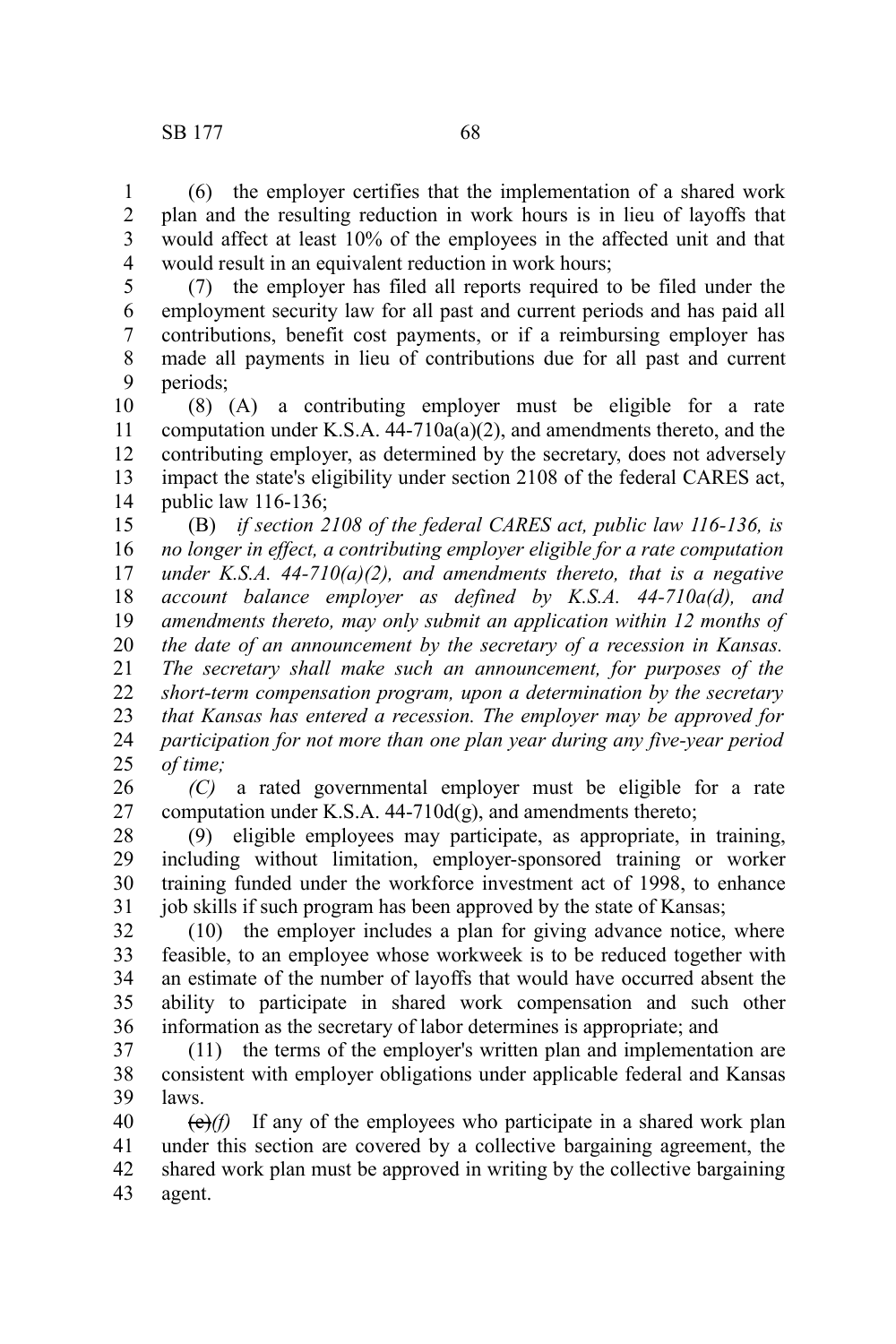(6) the employer certifies that the implementation of a shared work plan and the resulting reduction in work hours is in lieu of layoffs that would affect at least 10% of the employees in the affected unit and that would result in an equivalent reduction in work hours; 1 2 3 4

(7) the employer has filed all reports required to be filed under the employment security law for all past and current periods and has paid all contributions, benefit cost payments, or if a reimbursing employer has made all payments in lieu of contributions due for all past and current periods; 5 6 7 8 9

(8) (A) a contributing employer must be eligible for a rate computation under K.S.A.  $44-710a(a)(2)$ , and amendments thereto, and the contributing employer, as determined by the secretary, does not adversely impact the state's eligibility under section 2108 of the federal CARES act, public law 116-136; 10 11 12 13 14

(B) *if section 2108 of the federal CARES act, public law 116-136, is no longer in effect, a contributing employer eligible for a rate computation under K.S.A. 44-710(a)(2), and amendments thereto, that is a negative account balance employer as defined by K.S.A. 44-710a(d), and amendments thereto, may only submit an application within 12 months of the date of an announcement by the secretary of a recession in Kansas. The secretary shall make such an announcement, for purposes of the short-term compensation program, upon a determination by the secretary that Kansas has entered a recession. The employer may be approved for participation for not more than one plan year during any five-year period of time;* 15 16 17 18 19 20 21 22 23 24 25

*(C)* a rated governmental employer must be eligible for a rate computation under K.S.A.  $44-710d(g)$ , and amendments thereto; 26 27

(9) eligible employees may participate, as appropriate, in training, including without limitation, employer-sponsored training or worker training funded under the workforce investment act of 1998, to enhance job skills if such program has been approved by the state of Kansas; 28 29 30 31

(10) the employer includes a plan for giving advance notice, where feasible, to an employee whose workweek is to be reduced together with an estimate of the number of layoffs that would have occurred absent the ability to participate in shared work compensation and such other information as the secretary of labor determines is appropriate; and 32 33 34 35 36

(11) the terms of the employer's written plan and implementation are consistent with employer obligations under applicable federal and Kansas laws. 37 38 39

 $(e)$ (f) If any of the employees who participate in a shared work plan under this section are covered by a collective bargaining agreement, the shared work plan must be approved in writing by the collective bargaining agent. 40 41 42 43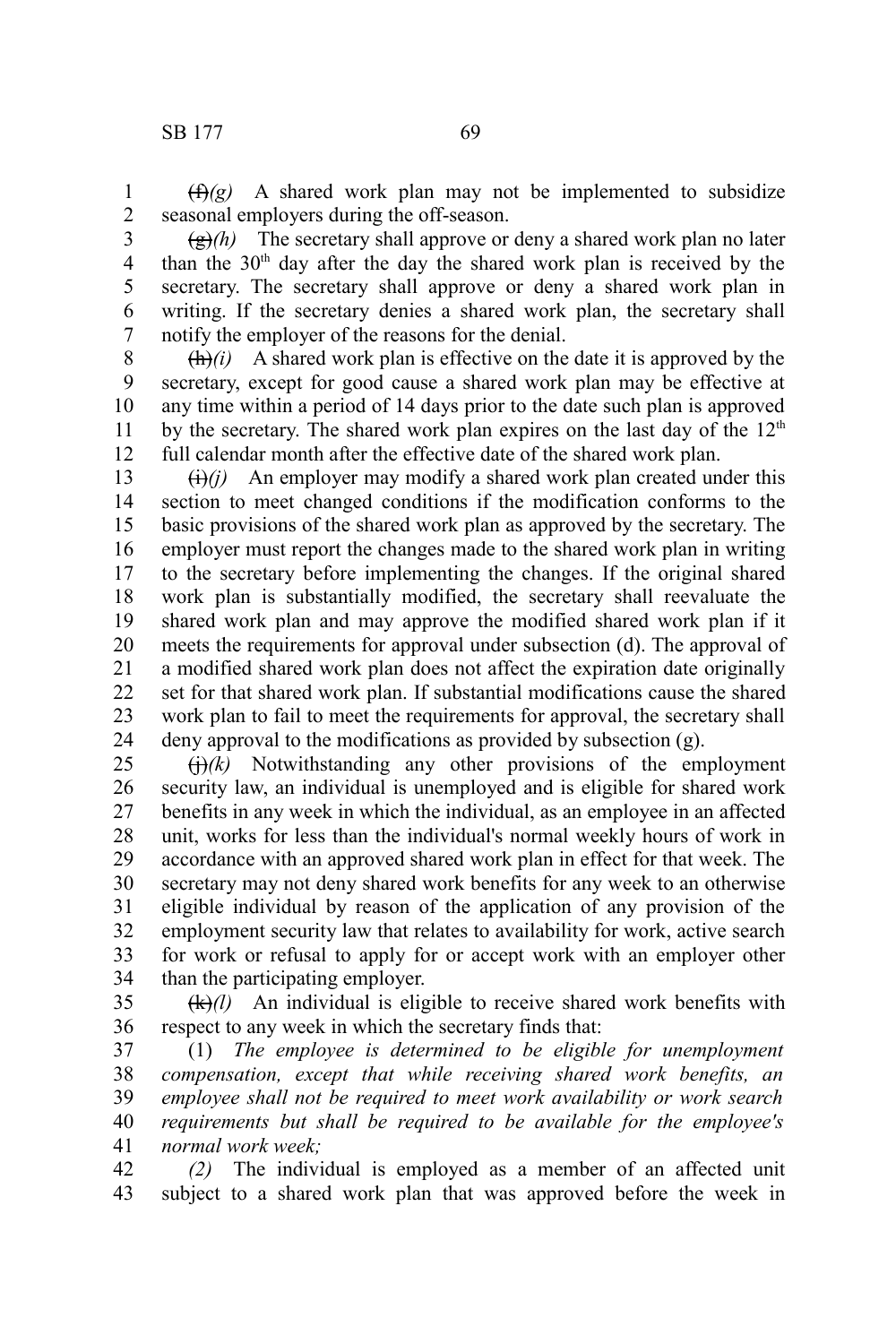$(f(x))^2$  A shared work plan may not be implemented to subsidize seasonal employers during the off-season. 1 2

3

 $\left(\frac{g}{g}\right)$  The secretary shall approve or deny a shared work plan no later than the  $30<sup>th</sup>$  day after the day the shared work plan is received by the secretary. The secretary shall approve or deny a shared work plan in writing. If the secretary denies a shared work plan, the secretary shall notify the employer of the reasons for the denial. 4 5 6 7

 $\frac{d\mathbf{h}}{dt}$ *(i)* A shared work plan is effective on the date it is approved by the secretary, except for good cause a shared work plan may be effective at any time within a period of 14 days prior to the date such plan is approved by the secretary. The shared work plan expires on the last day of the  $12<sup>th</sup>$ full calendar month after the effective date of the shared work plan. 8 9 10 11 12

 $\Theta(i)$  An employer may modify a shared work plan created under this section to meet changed conditions if the modification conforms to the basic provisions of the shared work plan as approved by the secretary. The employer must report the changes made to the shared work plan in writing to the secretary before implementing the changes. If the original shared work plan is substantially modified, the secretary shall reevaluate the shared work plan and may approve the modified shared work plan if it meets the requirements for approval under subsection (d). The approval of a modified shared work plan does not affect the expiration date originally set for that shared work plan. If substantial modifications cause the shared work plan to fail to meet the requirements for approval, the secretary shall deny approval to the modifications as provided by subsection (g). 13 14 15 16 17 18 19 20 21 22 23 24

 $\left(\frac{H}{k}\right)$  Notwithstanding any other provisions of the employment security law, an individual is unemployed and is eligible for shared work benefits in any week in which the individual, as an employee in an affected unit, works for less than the individual's normal weekly hours of work in accordance with an approved shared work plan in effect for that week. The secretary may not deny shared work benefits for any week to an otherwise eligible individual by reason of the application of any provision of the employment security law that relates to availability for work, active search for work or refusal to apply for or accept work with an employer other than the participating employer. 25 26 27 28 29 30 31 32 33 34

 $(k)/l$  An individual is eligible to receive shared work benefits with respect to any week in which the secretary finds that: 35 36

(1) *The employee is determined to be eligible for unemployment compensation, except that while receiving shared work benefits, an employee shall not be required to meet work availability or work search requirements but shall be required to be available for the employee's normal work week;* 37 38 39 40 41

*(2)* The individual is employed as a member of an affected unit subject to a shared work plan that was approved before the week in 42 43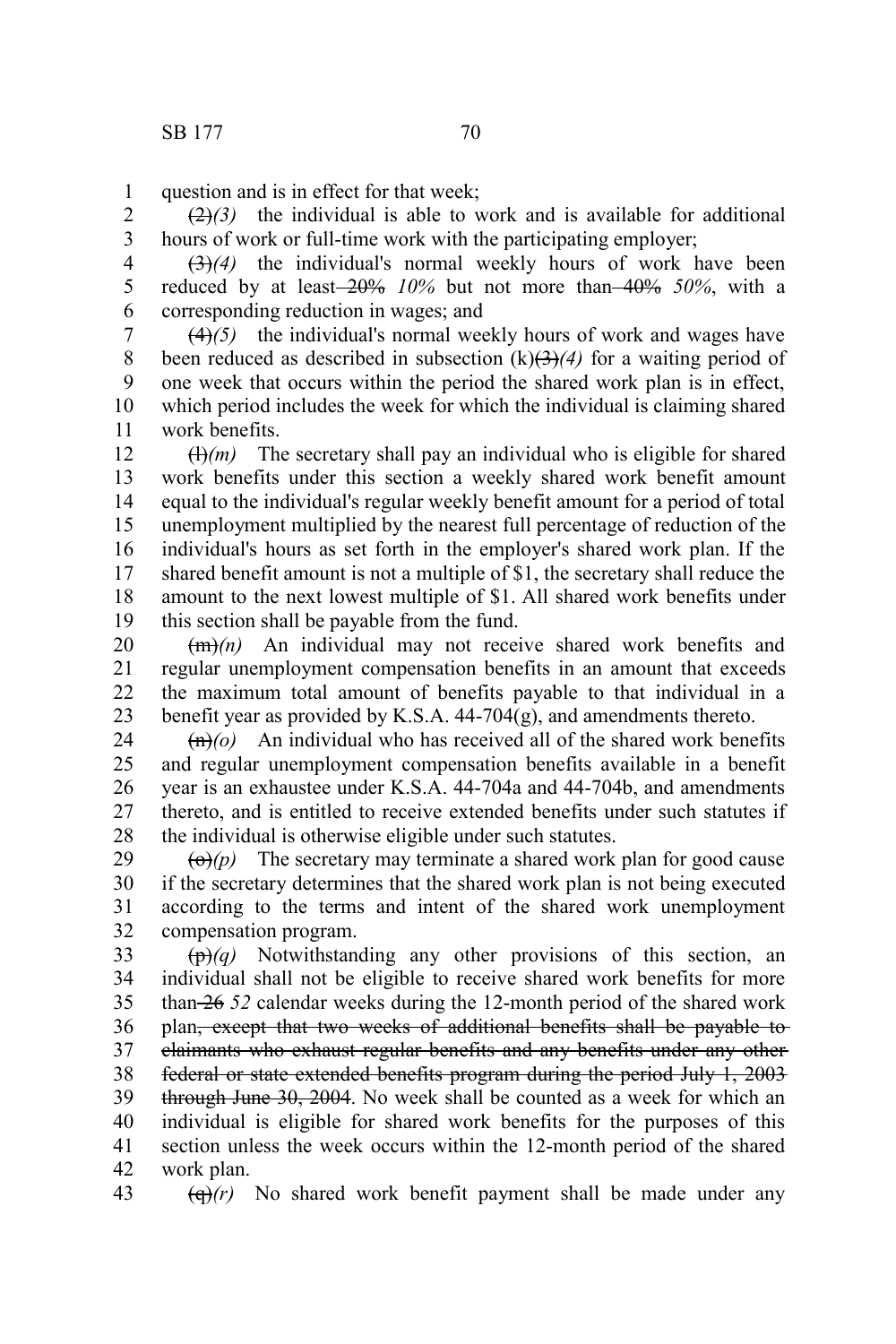question and is in effect for that week; 1

 $\left(\frac{2}{2}\right)$  the individual is able to work and is available for additional hours of work or full-time work with the participating employer; 2 3

(3)*(4)* the individual's normal weekly hours of work have been reduced by at least 20% *10%* but not more than 40% *50%*, with a corresponding reduction in wages; and 4 5 6

(4)*(5)* the individual's normal weekly hours of work and wages have been reduced as described in subsection  $(k)(3)(4)$  for a waiting period of one week that occurs within the period the shared work plan is in effect, which period includes the week for which the individual is claiming shared work benefits. 7 8 9 10 11

 $(H)(m)$  The secretary shall pay an individual who is eligible for shared work benefits under this section a weekly shared work benefit amount equal to the individual's regular weekly benefit amount for a period of total unemployment multiplied by the nearest full percentage of reduction of the individual's hours as set forth in the employer's shared work plan. If the shared benefit amount is not a multiple of \$1, the secretary shall reduce the amount to the next lowest multiple of \$1. All shared work benefits under this section shall be payable from the fund. 12 13 14 15 16 17 18 19

(m)*(n)* An individual may not receive shared work benefits and regular unemployment compensation benefits in an amount that exceeds the maximum total amount of benefits payable to that individual in a benefit year as provided by K.S.A. 44-704(g), and amendments thereto. 20 21 22 23

 $\left(\frac{f_n}{o}\right)$  An individual who has received all of the shared work benefits and regular unemployment compensation benefits available in a benefit year is an exhaustee under K.S.A. 44-704a and 44-704b, and amendments thereto, and is entitled to receive extended benefits under such statutes if the individual is otherwise eligible under such statutes. 24 25 26 27 28

 $\left(\Theta\right)(p)$  The secretary may terminate a shared work plan for good cause if the secretary determines that the shared work plan is not being executed according to the terms and intent of the shared work unemployment compensation program. 29 30 31 32

(p)*(q)* Notwithstanding any other provisions of this section, an individual shall not be eligible to receive shared work benefits for more than 26 *52* calendar weeks during the 12-month period of the shared work plan, except that two weeks of additional benefits shall be payable to claimants who exhaust regular benefits and any benefits under any other federal or state extended benefits program during the period July 1, 2003 through June 30, 2004. No week shall be counted as a week for which an individual is eligible for shared work benefits for the purposes of this section unless the week occurs within the 12-month period of the shared work plan. 33 34 35 36 37 38 39 40 41 42

 $\left(\frac{d}{dx}\right)(r)$  No shared work benefit payment shall be made under any 43